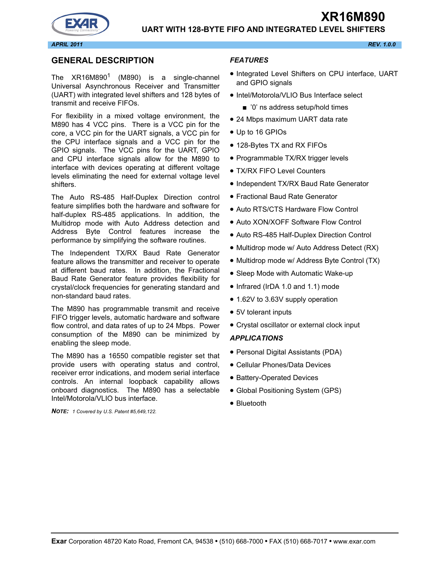# **UART WITH 128-BYTE FIFO AND INTEGRATED LEVEL SHIFTERS**

#### **GENERAL DESCRIPTION**

The  $XR16M890<sup>1</sup>$  (M890) is a single-channel Universal Asynchronous Receiver and Transmitter (UART) with integrated level shifters and 128 bytes of transmit and receive FIFOs.

For flexibility in a mixed voltage environment, the M890 has 4 VCC pins. There is a VCC pin for the core, a VCC pin for the UART signals, a VCC pin for the CPU interface signals and a VCC pin for the GPIO signals. The VCC pins for the UART, GPIO and CPU interface signals allow for the M890 to interface with devices operating at different voltage levels eliminating the need for external voltage level shifters.

The Auto RS-485 Half-Duplex Direction control feature simplifies both the hardware and software for half-duplex RS-485 applications. In addition, the Multidrop mode with Auto Address detection and Address Byte Control features increase the performance by simplifying the software routines.

The Independent TX/RX Baud Rate Generator feature allows the transmitter and receiver to operate at different baud rates. In addition, the Fractional Baud Rate Generator feature provides flexibility for crystal/clock frequencies for generating standard and non-standard baud rates.

The M890 has programmable transmit and receive FIFO trigger levels, automatic hardware and software flow control, and data rates of up to 24 Mbps. Power consumption of the M890 can be minimized by enabling the sleep mode.

The M890 has a 16550 compatible register set that provide users with operating status and control, receiver error indications, and modem serial interface controls. An internal loopback capability allows onboard diagnostics. The M890 has a selectable Intel/Motorola/VLIO bus interface.

*NOTE: 1 Covered by U.S. Patent #5,649,122.*

#### *FEATURES*

- Integrated Level Shifters on CPU interface, UART and GPIO signals
- Intel/Motorola/VLIO Bus Interface select
	- '0' ns address setup/hold times
- 24 Mbps maximum UART data rate
- Up to 16 GPIOs
- 128-Bytes TX and RX FIFOs
- Programmable TX/RX trigger levels
- TX/RX FIFO Level Counters
- Independent TX/RX Baud Rate Generator
- Fractional Baud Rate Generator
- Auto RTS/CTS Hardware Flow Control
- Auto XON/XOFF Software Flow Control
- Auto RS-485 Half-Duplex Direction Control
- Multidrop mode w/ Auto Address Detect (RX)
- Multidrop mode w/ Address Byte Control (TX)
- Sleep Mode with Automatic Wake-up
- Infrared (IrDA 1.0 and 1.1) mode
- 1.62V to 3.63V supply operation
- 5V tolerant inputs
- Crystal oscillator or external clock input

#### *APPLICATIONS*

- Personal Digital Assistants (PDA)
- Cellular Phones/Data Devices
- Battery-Operated Devices
- Global Positioning System (GPS)
- Bluetooth

**XR16M890**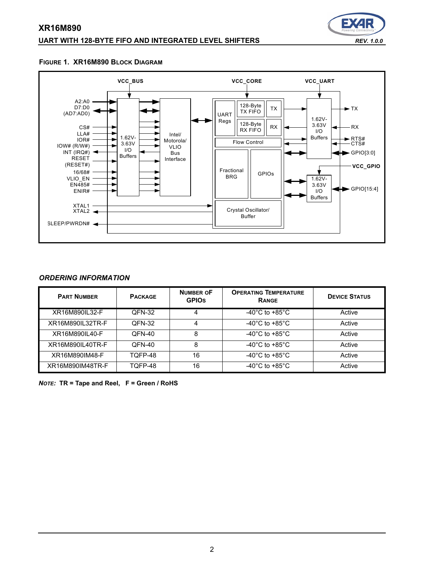#### **UART WITH 128-BYTE FIFO AND INTEGRATED LEVEL SHIFTERS** *REV. 1.0.0*



#### **FIGURE 1. XR16M890 BLOCK DIAGRAM**



#### *ORDERING INFORMATION*

| <b>PART NUMBER</b> | <b>PACKAGE</b> | <b>NUMBER OF</b><br><b>GPIOS</b> | <b>OPERATING TEMPERATURE</b><br><b>RANGE</b> | <b>DEVICE STATUS</b> |
|--------------------|----------------|----------------------------------|----------------------------------------------|----------------------|
| XR16M890IL32-F     | QFN-32         | 4                                | -40 $^{\circ}$ C to +85 $^{\circ}$ C         | Active               |
| XR16M890IL32TR-F   | QFN-32         | 4                                | -40 $^{\circ}$ C to +85 $^{\circ}$ C         | Active               |
| XR16M890IL40-F     | QFN-40         | 8                                | -40 $^{\circ}$ C to +85 $^{\circ}$ C         | Active               |
| XR16M890IL40TR-F   | QFN-40         | 8                                | -40 $^{\circ}$ C to +85 $^{\circ}$ C         | Active               |
| XR16M890IM48-F     | TOFP-48        | 16                               | -40 $^{\circ}$ C to +85 $^{\circ}$ C         | Active               |
| XR16M890IM48TR-F   | TOFP-48        | 16                               | -40 $^{\circ}$ C to +85 $^{\circ}$ C         | Active               |

*NOTE:* **TR = Tape and Reel, F = Green / RoHS**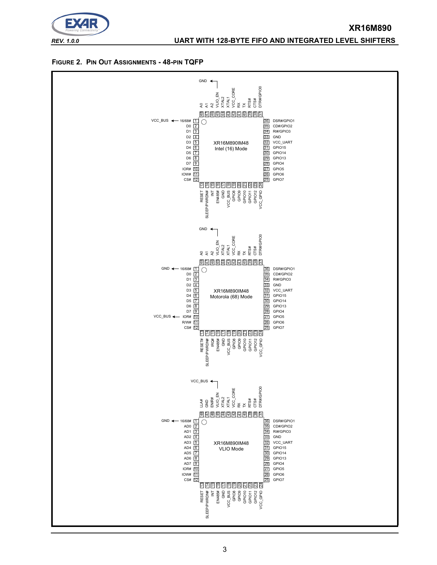

# *REV. 1.0.0* **UART WITH 128-BYTE FIFO AND INTEGRATED LEVEL SHIFTERS**

**XR16M890**

#### **FIGURE 2. PIN OUT ASSIGNMENTS - 48-PIN TQFP**

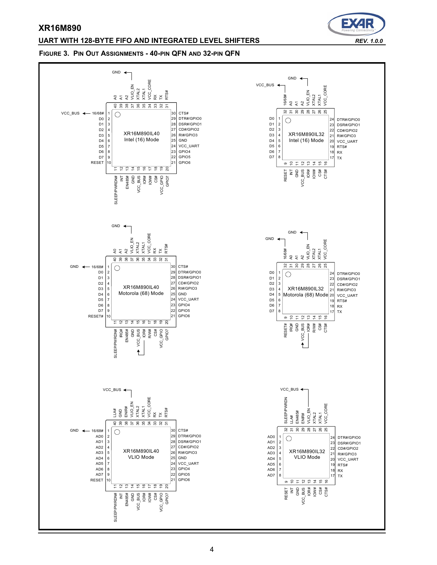#### **UART WITH 128-BYTE FIFO AND INTEGRATED LEVEL SHIFTERS** *REV. 1.0.0*



#### **FIGURE 3. PIN OUT ASSIGNMENTS - 40-PIN QFN AND 32-PIN QFN**

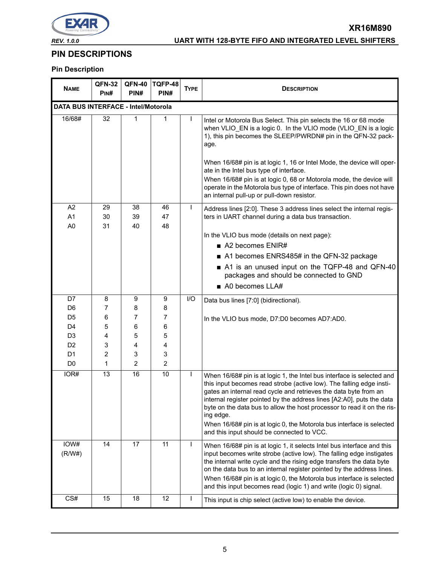

# *REV. 1.0.0* **UART WITH 128-BYTE FIFO AND INTEGRATED LEVEL SHIFTERS**

**XR16M890**

# **PIN DESCRIPTIONS**

# **Pin Description**

| <b>NAME</b>                                | <b>QFN-32</b><br>P <sub>IN#</sub> | <b>QFN-40</b><br>PIN# | TQFP-48<br>PIN# | <b>TYPE</b> | <b>DESCRIPTION</b>                                                                                                                                                                                                                                                                                                                                                                                                                                                                                         |
|--------------------------------------------|-----------------------------------|-----------------------|-----------------|-------------|------------------------------------------------------------------------------------------------------------------------------------------------------------------------------------------------------------------------------------------------------------------------------------------------------------------------------------------------------------------------------------------------------------------------------------------------------------------------------------------------------------|
| <b>DATA BUS INTERFACE - Intel/Motorola</b> |                                   |                       |                 |             |                                                                                                                                                                                                                                                                                                                                                                                                                                                                                                            |
| 16/68#                                     | 32                                | 1                     | 1               |             | Intel or Motorola Bus Select. This pin selects the 16 or 68 mode<br>when VLIO_EN is a logic 0. In the VLIO mode (VLIO_EN is a logic<br>1), this pin becomes the SLEEP/PWRDN# pin in the QFN-32 pack-<br>age.                                                                                                                                                                                                                                                                                               |
|                                            |                                   |                       |                 |             | When 16/68# pin is at logic 1, 16 or Intel Mode, the device will oper-<br>ate in the Intel bus type of interface.<br>When 16/68# pin is at logic 0, 68 or Motorola mode, the device will<br>operate in the Motorola bus type of interface. This pin does not have<br>an internal pull-up or pull-down resistor.                                                                                                                                                                                            |
| A2<br>A1                                   | 29<br>30                          | 38<br>39              | 46<br>47        |             | Address lines [2:0]. These 3 address lines select the internal regis-<br>ters in UART channel during a data bus transaction.                                                                                                                                                                                                                                                                                                                                                                               |
| A <sub>0</sub>                             | 31                                | 40                    | 48              |             | In the VLIO bus mode (details on next page):<br>■ A2 becomes ENIR#<br>A1 becomes ENRS485# in the QFN-32 package<br>A1 is an unused input on the TQFP-48 and QFN-40                                                                                                                                                                                                                                                                                                                                         |
|                                            |                                   |                       |                 |             | packages and should be connected to GND<br>$\blacksquare$ A0 becomes LLA#                                                                                                                                                                                                                                                                                                                                                                                                                                  |
| D7                                         | 8                                 |                       |                 | I/O         |                                                                                                                                                                                                                                                                                                                                                                                                                                                                                                            |
| D6                                         | 7                                 | 9<br>8                | 9<br>8          |             | Data bus lines [7:0] (bidirectional).                                                                                                                                                                                                                                                                                                                                                                                                                                                                      |
| D <sub>5</sub>                             | 6                                 | 7                     | 7               |             | In the VLIO bus mode, D7:D0 becomes AD7:AD0.                                                                                                                                                                                                                                                                                                                                                                                                                                                               |
| D <sub>4</sub>                             | 5                                 | 6                     | 6               |             |                                                                                                                                                                                                                                                                                                                                                                                                                                                                                                            |
| D <sub>3</sub>                             | 4                                 | 5                     | 5               |             |                                                                                                                                                                                                                                                                                                                                                                                                                                                                                                            |
| D <sub>2</sub><br>D <sub>1</sub>           | 3                                 | 4                     | 4               |             |                                                                                                                                                                                                                                                                                                                                                                                                                                                                                                            |
| D <sub>0</sub>                             | 2<br>1                            | 3<br>2                | 3<br>2          |             |                                                                                                                                                                                                                                                                                                                                                                                                                                                                                                            |
| IOR#                                       | 13                                | 16                    | 10              |             | When 16/68# pin is at logic 1, the Intel bus interface is selected and<br>this input becomes read strobe (active low). The falling edge insti-<br>gates an internal read cycle and retrieves the data byte from an<br>internal register pointed by the address lines [A2:A0], puts the data<br>byte on the data bus to allow the host processor to read it on the ris-<br>ing edge.<br>When 16/68# pin is at logic 0, the Motorola bus interface is selected<br>and this input should be connected to VCC. |
| IOW#<br>(R/W#)                             | 14                                | 17                    | 11              | I.          | When 16/68# pin is at logic 1, it selects Intel bus interface and this<br>input becomes write strobe (active low). The falling edge instigates<br>the internal write cycle and the rising edge transfers the data byte<br>on the data bus to an internal register pointed by the address lines.<br>When 16/68# pin is at logic 0, the Motorola bus interface is selected<br>and this input becomes read (logic 1) and write (logic 0) signal.                                                              |
| CS#                                        | 15                                | 18                    | 12              |             | This input is chip select (active low) to enable the device.                                                                                                                                                                                                                                                                                                                                                                                                                                               |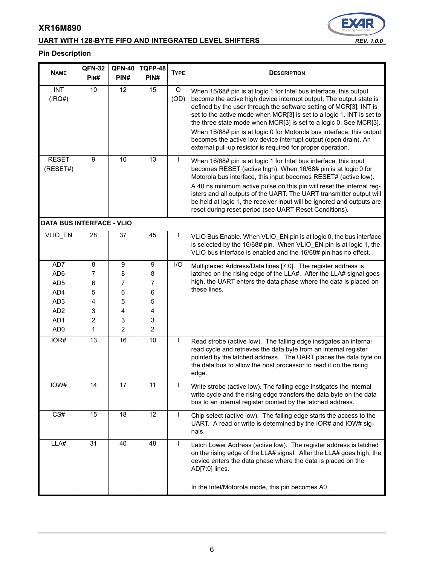# **UART WITH 128-BYTE FIFO AND INTEGRATED LEVEL SHIFTERS** *REV. 1.0.0*



# **Pin Description**

| <b>NAME</b>                      | <b>QFN-32</b>  | <b>QFN-40</b>   | TQFP-48          | <b>TYPE</b> | <b>DESCRIPTION</b>                                                                                                                                                                                                                                                                                                                                                                                                                                                                                                                                                       |  |  |
|----------------------------------|----------------|-----------------|------------------|-------------|--------------------------------------------------------------------------------------------------------------------------------------------------------------------------------------------------------------------------------------------------------------------------------------------------------------------------------------------------------------------------------------------------------------------------------------------------------------------------------------------------------------------------------------------------------------------------|--|--|
|                                  | PIN#           | PIN#            | PIN#             |             |                                                                                                                                                                                                                                                                                                                                                                                                                                                                                                                                                                          |  |  |
| <b>INT</b><br>(IRQ#)             | 10             | $\overline{12}$ | $\overline{15}$  | O<br>(OD)   | When 16/68# pin is at logic 1 for Intel bus interface, this output<br>become the active high device interrupt output. The output state is<br>defined by the user through the software setting of MCR[3]. INT is<br>set to the active mode when MCR[3] is set to a logic 1. INT is set to<br>the three state mode when MCR[3] is set to a logic 0. See MCR[3].<br>When 16/68# pin is at logic 0 for Motorola bus interface, this output<br>becomes the active low device interrupt output (open drain). An<br>external pull-up resistor is required for proper operation. |  |  |
| <b>RESET</b><br>(RESET#)         | 9              | 10              | 13               | L           | When 16/68# pin is at logic 1 for Intel bus interface, this input<br>becomes RESET (active high). When 16/68# pin is at logic 0 for<br>Motorola bus interface, this input becomes RESET# (active low).<br>A 40 ns minimum active pulse on this pin will reset the internal reg-<br>isters and all outputs of the UART. The UART transmitter output will<br>be held at logic 1, the receiver input will be ignored and outputs are<br>reset during reset period (see UART Reset Conditions).                                                                              |  |  |
| <b>DATA BUS INTERFACE - VLIO</b> |                |                 |                  |             |                                                                                                                                                                                                                                                                                                                                                                                                                                                                                                                                                                          |  |  |
| VLIO_EN                          | 28             | 37              | 45               | ı           | VLIO Bus Enable. When VLIO EN pin is at logic 0, the bus interface<br>is selected by the 16/68# pin. When VLIO_EN pin is at logic 1, the<br>VLIO bus interface is enabled and the 16/68# pin has no effect.                                                                                                                                                                                                                                                                                                                                                              |  |  |
| AD7                              | 8              | 9               | $\boldsymbol{9}$ | I/O         | Multiplexed Address/Data lines [7:0]. The register address is                                                                                                                                                                                                                                                                                                                                                                                                                                                                                                            |  |  |
| AD <sub>6</sub>                  | 7              | 8               | 8                |             | latched on the rising edge of the LLA#. After the LLA# signal goes                                                                                                                                                                                                                                                                                                                                                                                                                                                                                                       |  |  |
| AD <sub>5</sub>                  | $\,6\,$        | 7               | 7                |             | high, the UART enters the data phase where the data is placed on<br>these lines.                                                                                                                                                                                                                                                                                                                                                                                                                                                                                         |  |  |
| AD4                              | 5              | 6               | 6                |             |                                                                                                                                                                                                                                                                                                                                                                                                                                                                                                                                                                          |  |  |
| AD <sub>3</sub>                  | 4              | 5               | 5                |             |                                                                                                                                                                                                                                                                                                                                                                                                                                                                                                                                                                          |  |  |
| AD <sub>2</sub>                  | 3              | 4               | 4                |             |                                                                                                                                                                                                                                                                                                                                                                                                                                                                                                                                                                          |  |  |
| AD1                              | $\overline{2}$ | 3               | 3                |             |                                                                                                                                                                                                                                                                                                                                                                                                                                                                                                                                                                          |  |  |
| AD <sub>0</sub>                  | 1              | 2               | $\overline{2}$   |             |                                                                                                                                                                                                                                                                                                                                                                                                                                                                                                                                                                          |  |  |
| IOR#                             | 13             | 16              | 10               | L           | Read strobe (active low). The falling edge instigates an internal<br>read cycle and retrieves the data byte from an internal register<br>pointed by the latched address. The UART places the data byte on<br>the data bus to allow the host processor to read it on the rising<br>edge.                                                                                                                                                                                                                                                                                  |  |  |
| IOW#                             | 14             | 17              | 11               | L           | Write strobe (active low). The falling edge instigates the internal<br>write cycle and the rising edge transfers the data byte on the data<br>bus to an internal register pointed by the latched address.                                                                                                                                                                                                                                                                                                                                                                |  |  |
| CS#                              | 15             | 18              | 12               | T           | Chip select (active low). The falling edge starts the access to the<br>UART. A read or write is determined by the IOR# and IOW# sig-<br>nals.                                                                                                                                                                                                                                                                                                                                                                                                                            |  |  |
| LLA#                             | 31             | 40              | 48               | L           | Latch Lower Address (active low). The register address is latched<br>on the rising edge of the LLA# signal. After the LLA# goes high, the<br>device enters the data phase where the data is placed on the<br>AD[7:0] lines.<br>In the Intel/Motorola mode, this pin becomes A0.                                                                                                                                                                                                                                                                                          |  |  |
|                                  |                |                 |                  |             |                                                                                                                                                                                                                                                                                                                                                                                                                                                                                                                                                                          |  |  |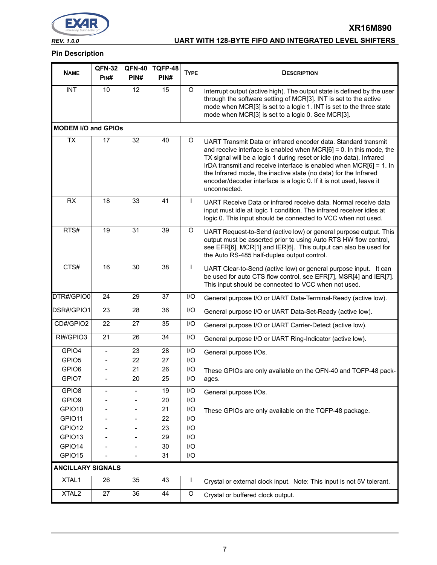

# *REV. 1.0.0* **UART WITH 128-BYTE FIFO AND INTEGRATED LEVEL SHIFTERS**

**XR16M890**

#### **Pin Description**

|                            | <b>QFN-32</b> | <b>QFN-40</b>     | TQFP-48 |                         |                                                                                                                                                                                                                                                                                                                                                                                                                                                      |  |  |
|----------------------------|---------------|-------------------|---------|-------------------------|------------------------------------------------------------------------------------------------------------------------------------------------------------------------------------------------------------------------------------------------------------------------------------------------------------------------------------------------------------------------------------------------------------------------------------------------------|--|--|
| <b>NAME</b>                | PIN#          | PIN#              | PIN#    | <b>TYPE</b>             | <b>DESCRIPTION</b>                                                                                                                                                                                                                                                                                                                                                                                                                                   |  |  |
| $\overline{\text{INT}}$    | 10            | 12                | 15      | O                       | Interrupt output (active high). The output state is defined by the user<br>through the software setting of MCR[3]. INT is set to the active<br>mode when MCR[3] is set to a logic 1. INT is set to the three state<br>mode when MCR[3] is set to a logic 0. See MCR[3].                                                                                                                                                                              |  |  |
| <b>MODEM I/O and GPIOs</b> |               |                   |         |                         |                                                                                                                                                                                                                                                                                                                                                                                                                                                      |  |  |
| <b>TX</b>                  | 17            | 32                | 40      | O                       | UART Transmit Data or infrared encoder data. Standard transmit<br>and receive interface is enabled when $MCR[6] = 0$ . In this mode, the<br>TX signal will be a logic 1 during reset or idle (no data). Infrared<br>IrDA transmit and receive interface is enabled when $MCR[6] = 1$ . In<br>the Infrared mode, the inactive state (no data) for the Infrared<br>encoder/decoder interface is a logic 0. If it is not used, leave it<br>unconnected. |  |  |
| <b>RX</b>                  | 18            | 33                | 41      | L                       | UART Receive Data or infrared receive data. Normal receive data<br>input must idle at logic 1 condition. The infrared receiver idles at<br>logic 0. This input should be connected to VCC when not used.                                                                                                                                                                                                                                             |  |  |
| RTS#                       | 19            | 31                | 39      | O                       | UART Request-to-Send (active low) or general purpose output. This<br>output must be asserted prior to using Auto RTS HW flow control,<br>see EFR[6], MCR[1] and IER[6]. This output can also be used for<br>the Auto RS-485 half-duplex output control.                                                                                                                                                                                              |  |  |
| CTS#                       | 16            | 30                | 38      | L                       | UART Clear-to-Send (active low) or general purpose input. It can<br>be used for auto CTS flow control, see EFR[7], MSR[4] and IER[7].<br>This input should be connected to VCC when not used.                                                                                                                                                                                                                                                        |  |  |
| DTR#/GPIO0                 | 24            | 29                | 37      | I/O                     | General purpose I/O or UART Data-Terminal-Ready (active low).                                                                                                                                                                                                                                                                                                                                                                                        |  |  |
| DSR#/GPIO1                 | 23            | 28                | 36      | I/O                     | General purpose I/O or UART Data-Set-Ready (active low).                                                                                                                                                                                                                                                                                                                                                                                             |  |  |
| CD#/GPIO2                  | 22            | 27                | 35      | I/O                     | General purpose I/O or UART Carrier-Detect (active low).                                                                                                                                                                                                                                                                                                                                                                                             |  |  |
| RI#/GPIO3                  | 21            | 26                | 34      | I/O                     | General purpose I/O or UART Ring-Indicator (active low).                                                                                                                                                                                                                                                                                                                                                                                             |  |  |
| GPIO4                      |               | 23                | 28      | I/O                     | General purpose I/Os.                                                                                                                                                                                                                                                                                                                                                                                                                                |  |  |
| GPIO <sub>5</sub>          |               | 22                | 27      | I/O                     |                                                                                                                                                                                                                                                                                                                                                                                                                                                      |  |  |
| GPIO6                      |               | 21                | 26      | I/O                     | These GPIOs are only available on the QFN-40 and TQFP-48 pack-                                                                                                                                                                                                                                                                                                                                                                                       |  |  |
| GPIO7                      |               | 20                | 25      | I/O                     | ages.                                                                                                                                                                                                                                                                                                                                                                                                                                                |  |  |
| GPIO8                      |               | $\qquad \qquad -$ | 19      | I/O                     | General purpose I/Os.                                                                                                                                                                                                                                                                                                                                                                                                                                |  |  |
| GPIO9                      |               |                   | 20      | $\mathsf{I}/\mathsf{O}$ |                                                                                                                                                                                                                                                                                                                                                                                                                                                      |  |  |
| GPIO10                     |               |                   | 21      | I/O                     | These GPIOs are only available on the TQFP-48 package.                                                                                                                                                                                                                                                                                                                                                                                               |  |  |
| GPIO11                     |               |                   | 22      | I/O                     |                                                                                                                                                                                                                                                                                                                                                                                                                                                      |  |  |
| GPIO12                     |               |                   | 23      | I/O                     |                                                                                                                                                                                                                                                                                                                                                                                                                                                      |  |  |
| GPIO13                     |               |                   | 29      | $\mathsf{I}/\mathsf{O}$ |                                                                                                                                                                                                                                                                                                                                                                                                                                                      |  |  |
| GPIO14                     |               |                   | 30      | I/O                     |                                                                                                                                                                                                                                                                                                                                                                                                                                                      |  |  |
| GPIO15                     |               |                   | 31      | $\mathsf{I}/\mathsf{O}$ |                                                                                                                                                                                                                                                                                                                                                                                                                                                      |  |  |
| <b>ANCILLARY SIGNALS</b>   |               |                   |         |                         |                                                                                                                                                                                                                                                                                                                                                                                                                                                      |  |  |
| XTAL1                      | 26            | 35                | 43      |                         | Crystal or external clock input. Note: This input is not 5V tolerant.                                                                                                                                                                                                                                                                                                                                                                                |  |  |
| XTAL <sub>2</sub>          | 27            | 36                | 44      | O                       | Crystal or buffered clock output.                                                                                                                                                                                                                                                                                                                                                                                                                    |  |  |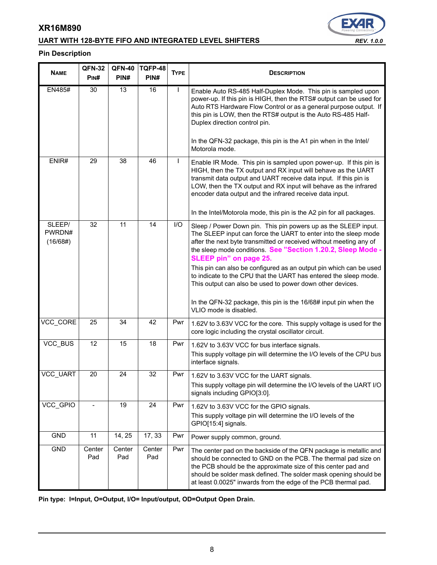# **UART WITH 128-BYTE FIFO AND INTEGRATED LEVEL SHIFTERS** *REV. 1.0.0*

#### **Pin Description**

| <b>NAME</b>                  | <b>QFN-32</b><br>PINH | <b>QFN-40</b><br>PIN# | TQFP-48<br>PIN# | <b>TYPE</b> | <b>DESCRIPTION</b>                                                                                                                                                                                                                                                                                                                                                                                             |  |  |  |
|------------------------------|-----------------------|-----------------------|-----------------|-------------|----------------------------------------------------------------------------------------------------------------------------------------------------------------------------------------------------------------------------------------------------------------------------------------------------------------------------------------------------------------------------------------------------------------|--|--|--|
| <b>EN485#</b>                | 30                    | 13                    | 16              | L           | Enable Auto RS-485 Half-Duplex Mode. This pin is sampled upon<br>power-up. If this pin is HIGH, then the RTS# output can be used for<br>Auto RTS Hardware Flow Control or as a general purpose output. If<br>this pin is LOW, then the RTS# output is the Auto RS-485 Half-<br>Duplex direction control pin.                                                                                                   |  |  |  |
|                              |                       |                       |                 |             | In the QFN-32 package, this pin is the A1 pin when in the Intel/<br>Motorola mode.                                                                                                                                                                                                                                                                                                                             |  |  |  |
| ENIR#                        | 29                    | 38                    | 46              | L           | Enable IR Mode. This pin is sampled upon power-up. If this pin is<br>HIGH, then the TX output and RX input will behave as the UART<br>transmit data output and UART receive data input. If this pin is<br>LOW, then the TX output and RX input will behave as the infrared<br>encoder data output and the infrared receive data input.<br>In the Intel/Motorola mode, this pin is the A2 pin for all packages. |  |  |  |
|                              |                       |                       |                 |             |                                                                                                                                                                                                                                                                                                                                                                                                                |  |  |  |
| SLEEP/<br>PWRDN#<br>(16/68#) | 32                    | 11                    | 14              | I/O         | Sleep / Power Down pin. This pin powers up as the SLEEP input.<br>The SLEEP input can force the UART to enter into the sleep mode<br>after the next byte transmitted or received without meeting any of<br>the sleep mode conditions. See "Section 1.20.2, Sleep Mode -<br>SLEEP pin" on page 25.                                                                                                              |  |  |  |
|                              |                       |                       |                 |             | This pin can also be configured as an output pin which can be used<br>to indicate to the CPU that the UART has entered the sleep mode.<br>This output can also be used to power down other devices.                                                                                                                                                                                                            |  |  |  |
|                              |                       |                       |                 |             | In the QFN-32 package, this pin is the 16/68# input pin when the<br>VLIO mode is disabled.                                                                                                                                                                                                                                                                                                                     |  |  |  |
| VCC CORE                     | 25                    | 34                    | 42              | Pwr         | 1.62V to 3.63V VCC for the core. This supply voltage is used for the<br>core logic including the crystal oscillator circuit.                                                                                                                                                                                                                                                                                   |  |  |  |
| VCC BUS                      | $\overline{12}$       | 15                    | 18              | Pwr         | 1.62V to 3.63V VCC for bus interface signals.                                                                                                                                                                                                                                                                                                                                                                  |  |  |  |
|                              |                       |                       |                 |             | This supply voltage pin will determine the I/O levels of the CPU bus<br>interface signals.                                                                                                                                                                                                                                                                                                                     |  |  |  |
| VCC_UART                     | 20                    | 24                    | 32              | Pwr         | 1.62V to 3.63V VCC for the UART signals.                                                                                                                                                                                                                                                                                                                                                                       |  |  |  |
|                              |                       |                       |                 |             | This supply voltage pin will determine the I/O levels of the UART I/O<br>signals including GPIO[3:0].                                                                                                                                                                                                                                                                                                          |  |  |  |
| VCC_GPIO                     |                       | 19                    | 24              | Pwr         | 1.62V to 3.63V VCC for the GPIO signals.                                                                                                                                                                                                                                                                                                                                                                       |  |  |  |
|                              |                       |                       |                 |             | This supply voltage pin will determine the I/O levels of the<br>GPIO[15:4] signals.                                                                                                                                                                                                                                                                                                                            |  |  |  |
| GND                          | 11                    | 14, 25                | 17, 33          | Pwr         | Power supply common, ground.                                                                                                                                                                                                                                                                                                                                                                                   |  |  |  |
| GND                          | Center<br>Pad         | Center<br>Pad         | Center<br>Pad   | Pwr         | The center pad on the backside of the QFN package is metallic and<br>should be connected to GND on the PCB. The thermal pad size on<br>the PCB should be the approximate size of this center pad and<br>should be solder mask defined. The solder mask opening should be<br>at least 0.0025" inwards from the edge of the PCB thermal pad.                                                                     |  |  |  |

**Pin type: I=Input, O=Output, I/O= Input/output, OD=Output Open Drain.**

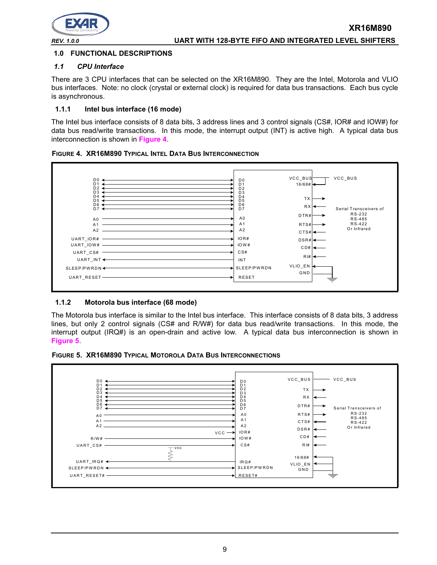

#### **1.0 FUNCTIONAL DESCRIPTIONS**

#### *1.1 CPU Interface*

There are 3 CPU interfaces that can be selected on the XR16M890. They are the Intel, Motorola and VLIO bus interfaces. Note: no clock (crystal or external clock) is required for data bus transactions. Each bus cycle is asynchronous.

#### **1.1.1 Intel bus interface (16 mode)**

The Intel bus interface consists of 8 data bits, 3 address lines and 3 control signals (CS#, IOR# and IOW#) for data bus read/write transactions. In this mode, the interrupt output (INT) is active high. A typical data bus interconnection is shown in **[Figure](#page-8-0) 4**.



<span id="page-8-0"></span>

#### **1.1.2 Motorola bus interface (68 mode)**

The Motorola bus interface is similar to the Intel bus interface. This interface consists of 8 data bits, 3 address lines, but only 2 control signals (CS# and R/W#) for data bus read/write transactions. In this mode, the interrupt output (IRQ#) is an open-drain and active low. A typical data bus interconnection is shown in **[Figure](#page-8-1) 5**.

<span id="page-8-1"></span>

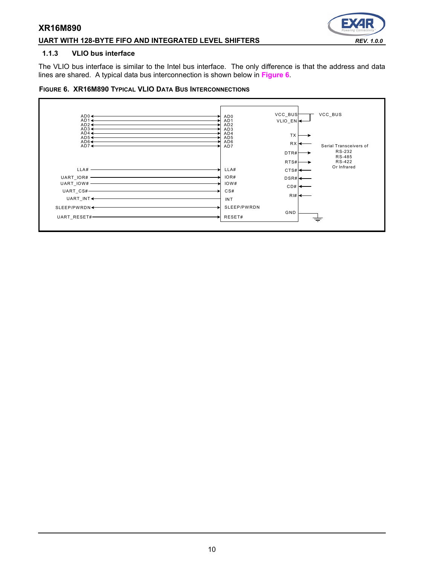#### **UART WITH 128-BYTE FIFO AND INTEGRATED LEVEL SHIFTERS** *REV. 1.0.0*



#### **1.1.3 VLIO bus interface**

The VLIO bus interface is similar to the Intel bus interface. The only difference is that the address and data lines are shared. A typical data bus interconnection is shown below in **[Figure](#page-9-0) 6**.

#### <span id="page-9-0"></span>**FIGURE 6. XR16M890 TYPICAL VLIO DATA BUS INTERCONNECTIONS**

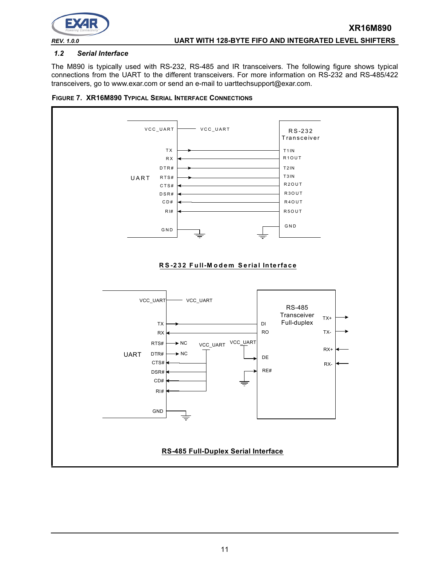

#### *1.2 Serial Interface*

The M890 is typically used with RS-232, RS-485 and IR transceivers. The following figure shows typical connections from the UART to the different transceivers. For more information on RS-232 and RS-485/422 transceivers, go to www.exar.com or send an e-mail to uarttechsupport@exar.com.



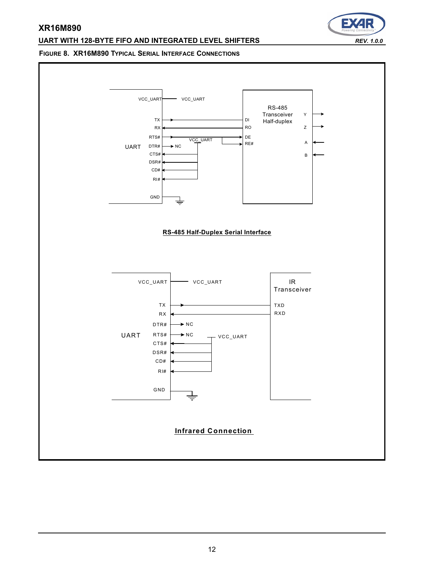#### **UART WITH 128-BYTE FIFO AND INTEGRATED LEVEL SHIFTERS** *REV. 1.0.0*

# Ð

#### **FIGURE 8. XR16M890 TYPICAL SERIAL INTERFACE CONNECTIONS**

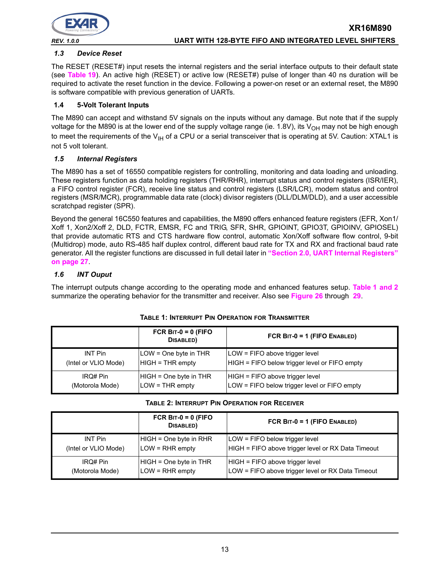

#### *1.3 Device Reset*

The RESET (RESET#) input resets the internal registers and the serial interface outputs to their default state (see **[Table](#page-49-0) 19**). An active high (RESET) or active low (RESET#) pulse of longer than 40 ns duration will be required to activate the reset function in the device. Following a power-on reset or an external reset, the M890 is software compatible with previous generation of UARTs.

#### **1.4 5-Volt Tolerant Inputs**

The M890 can accept and withstand 5V signals on the inputs without any damage. But note that if the supply voltage for the M890 is at the lower end of the supply voltage range (ie. 1.8V), its  $V_{OH}$  may not be high enough to meet the requirements of the  $V_{H}$  of a CPU or a serial transceiver that is operating at 5V. Caution: XTAL1 is not 5 volt tolerant.

#### *1.5 Internal Registers*

The M890 has a set of 16550 compatible registers for controlling, monitoring and data loading and unloading. These registers function as data holding registers (THR/RHR), interrupt status and control registers (ISR/IER), a FIFO control register (FCR), receive line status and control registers (LSR/LCR), modem status and control registers (MSR/MCR), programmable data rate (clock) divisor registers (DLL/DLM/DLD), and a user accessible scratchpad register (SPR).

Beyond the general 16C550 features and capabilities, the M890 offers enhanced feature registers (EFR, Xon1/ Xoff 1, Xon2/Xoff 2, DLD, FCTR, EMSR, FC and TRIG, SFR, SHR, GPIOINT, GPIO3T, GPIOINV, GPIOSEL) that provide automatic RTS and CTS hardware flow control, automatic Xon/Xoff software flow control, 9-bit (Multidrop) mode, auto RS-485 half duplex control, different baud rate for TX and RX and fractional baud rate generator. All the register functions are discussed in full detail later in **["Section 2.0, UART Internal Registers"](#page-26-0) [on page](#page-26-0) 27**.

#### *1.6 INT Ouput*

The interrupt outputs change according to the operating mode and enhanced features setup. **[Table](#page-12-0) 1 [and](#page-12-1) 2** summarize the operating behavior for the transmitter and receiver. Also see **[Figure](#page-57-0) 26** through **[29](#page-58-0)**.

<span id="page-12-0"></span>

|                      | FCR BIT-0 = 0 (FIFO<br>DISABLED) | FCR BIT-0 = 1 (FIFO ENABLED)                  |
|----------------------|----------------------------------|-----------------------------------------------|
| INT Pin              | LOW = One byte in THR            | LOW = FIFO above trigger level                |
| (Intel or VLIO Mode) | $HIGH = THR$ empty               | HIGH = FIFO below trigger level or FIFO empty |
| IRQ# Pin             | HIGH = One byte in THR           | HIGH = FIFO above trigger level               |
| (Motorola Mode)      | $LOW = THR$ empty                | LOW = FIFO below trigger level or FIFO empty  |

#### **TABLE 1: INTERRUPT PIN OPERATION FOR TRANSMITTER**

#### **TABLE 2: INTERRUPT PIN OPERATION FOR RECEIVER**

<span id="page-12-1"></span>

|                      | FCR BIT-0 = 0 (FIFO<br>DISABLED) | FCR BIT-0 = 1 (FIFO ENABLED)                       |
|----------------------|----------------------------------|----------------------------------------------------|
| <b>INT Pin</b>       | HIGH = One byte in RHR           | LOW = FIFO below trigger level                     |
| (Intel or VLIO Mode) | $LOW = RHR$ empty                | HIGH = FIFO above trigger level or RX Data Timeout |
| IRQ# Pin             | HIGH = One byte in THR           | HIGH = FIFO above trigger level                    |
| (Motorola Mode)      | LOW = RHR empty                  | LOW = FIFO above trigger level or RX Data Timeout  |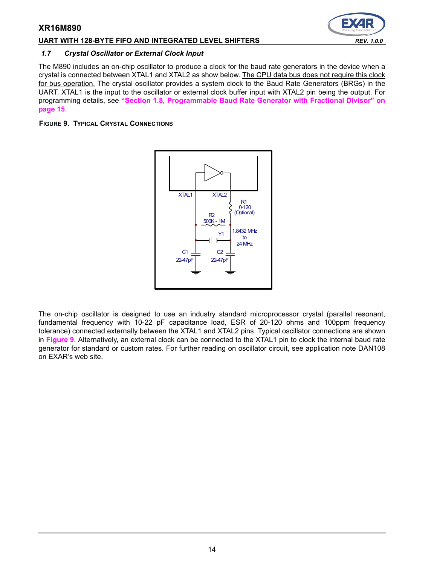#### **UART WITH 128-BYTE FIFO AND INTEGRATED LEVEL SHIFTERS** *REV. 1.0.0*

#### *1.7 Crystal Oscillator or External Clock Input*

The M890 includes an on-chip oscillator to produce a clock for the baud rate generators in the device when a crystal is connected between XTAL1 and XTAL2 as show below. The CPU data bus does not require this clock for bus operation. The crystal oscillator provides a system clock to the Baud Rate Generators (BRGs) in the UART. XTAL1 is the input to the oscillator or external clock buffer input with XTAL2 pin being the output. For programming details, see **["Section 1.8, Programmable Baud Rate Generator with Fractional Divisor" on](#page-14-0)  [page](#page-14-0) 15**.

#### <span id="page-13-0"></span>**FIGURE 9. TYPICAL CRYSTAL CONNECTIONS**



The on-chip oscillator is designed to use an industry standard microprocessor crystal (parallel resonant, fundamental frequency with 10-22 pF capacitance load, ESR of 20-120 ohms and 100ppm frequency tolerance) connected externally between the XTAL1 and XTAL2 pins. Typical oscillator connections are shown in **[Figure](#page-13-0) 9**. Alternatively, an external clock can be connected to the XTAL1 pin to clock the internal baud rate generator for standard or custom rates. For further reading on oscillator circuit, see application note DAN108 on EXAR's web site.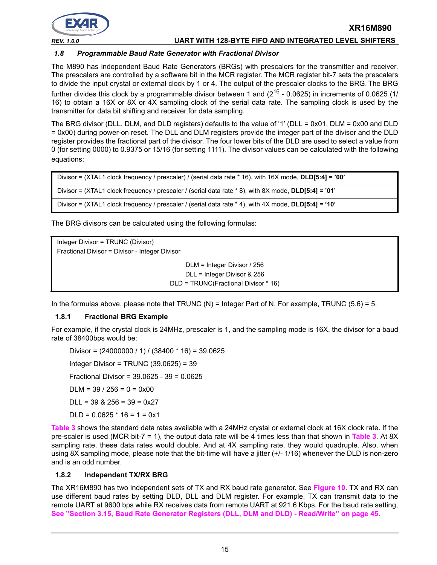

*REV. 1.0.0* **UART WITH 128-BYTE FIFO AND INTEGRATED LEVEL SHIFTERS**

#### <span id="page-14-0"></span>*1.8 Programmable Baud Rate Generator with Fractional Divisor*

The M890 has independent Baud Rate Generators (BRGs) with prescalers for the transmitter and receiver. The prescalers are controlled by a software bit in the MCR register. The MCR register bit-7 sets the prescalers to divide the input crystal or external clock by 1 or 4. The output of the prescaler clocks to the BRG. The BRG further divides this clock by a programmable divisor between 1 and  $(2^{16} - 0.0625)$  in increments of 0.0625 (1/ 16) to obtain a 16X or 8X or 4X sampling clock of the serial data rate. The sampling clock is used by the transmitter for data bit shifting and receiver for data sampling.

The BRG divisor (DLL, DLM, and DLD registers) defaults to the value of '1' (DLL = 0x01, DLM = 0x00 and DLD = 0x00) during power-on reset. The DLL and DLM registers provide the integer part of the divisor and the DLD register provides the fractional part of the divisor. The four lower bits of the DLD are used to select a value from 0 (for setting 0000) to 0.9375 or 15/16 (for setting 1111). The divisor values can be calculated with the following equations:

```
Divisor = (XTAL1 clock frequency / prescaler) / (serial data rate * 16), with 16X mode, DLD[5:4] = '00'
Divisor = (XTAL1 clock frequency / prescaler / (serial data rate * 8), with 8X mode, DLD[5:4] = '01'
Divisor = (XTAL1 clock frequency / prescaler / (serial data rate * 4), with 4X mode, DLD[5:4] = '10'
```
The BRG divisors can be calculated using the following formulas:

Integer Divisor = TRUNC (Divisor) Fractional Divisor = Divisor - Integer Divisor DLM = Integer Divisor / 256 DLL = Integer Divisor & 256 DLD = TRUNC(Fractional Divisor \* 16)

In the formulas above, please note that TRUNC  $(N)$  = Integer Part of N. For example, TRUNC (5.6) = 5.

#### **1.8.1 Fractional BRG Example**

For example, if the crystal clock is 24MHz, prescaler is 1, and the sampling mode is 16X, the divisor for a baud rate of 38400bps would be:

Divisor =  $(24000000 / 1) / (38400 * 16) = 39.0625$ Integer Divisor = TRUNC (39.0625) = 39 Fractional Divisor = 39.0625 - 39 = 0.0625  $DLM = 39 / 256 = 0 = 0 \times 00$  $DI = 39$  & 256 = 39 = 0x27  $DLD = 0.0625 * 16 = 1 = 0x1$ 

**[Table](#page-15-0) 3** shows the standard data rates available with a 24MHz crystal or external clock at 16X clock rate. If the pre-scaler is used (MCR bit-7 = 1), the output data rate will be 4 times less than that shown in **[Table](#page-15-0) 3**. At 8X sampling rate, these data rates would double. And at 4X sampling rate, they would quadruple. Also, when using 8X sampling mode, please note that the bit-time will have a jitter (+/- 1/16) whenever the DLD is non-zero and is an odd number.

#### **1.8.2 Independent TX/RX BRG**

The XR16M890 has two independent sets of TX and RX baud rate generator. See **[Figure](#page-15-1) 10**. TX and RX can use different baud rates by setting DLD, DLL and DLM register. For example, TX can transmit data to the remote UART at 9600 bps while RX receives data from remote UART at 921.6 Kbps. For the baud rate setting, **[See "Section 3.15, Baud Rate Generator Registers \(DLL, DLM and DLD\) - Read/Write" on page](#page-44-0) 45.**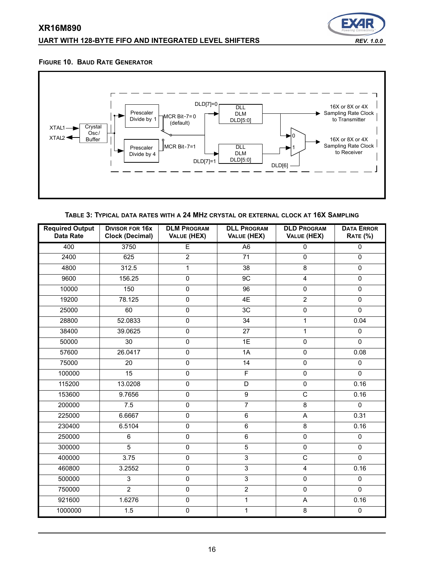## **UART WITH 128-BYTE FIFO AND INTEGRATED LEVEL SHIFTERS** *REV. 1.0.0*



#### <span id="page-15-1"></span>**FIGURE 10. BAUD RATE GENERATOR**



**TABLE 3: TYPICAL DATA RATES WITH A 24 MHZ CRYSTAL OR EXTERNAL CLOCK AT 16X SAMPLING**

<span id="page-15-0"></span>

| <b>Required Output</b><br><b>Data Rate</b> | <b>DIVISOR FOR 16x</b><br><b>Clock (Decimal)</b> | <b>DLL PROGRAM</b><br><b>DLD PROGRAM</b><br><b>DLM PROGRAM</b><br>VALUE (HEX)<br>VALUE (HEX)<br>VALUE (HEX) |                 | <b>DATA ERROR</b><br><b>RATE (%)</b> |                |
|--------------------------------------------|--------------------------------------------------|-------------------------------------------------------------------------------------------------------------|-----------------|--------------------------------------|----------------|
| 400                                        | 3750                                             | E                                                                                                           | A <sub>6</sub>  | 0                                    | 0              |
| 2400                                       | 625                                              | $\overline{2}$                                                                                              | $\overline{71}$ | $\overline{0}$                       | $\overline{0}$ |
| 4800                                       | 312.5                                            | 1                                                                                                           | 38              | 8                                    | $\mathsf 0$    |
| 9600                                       | 156.25                                           | $\overline{0}$                                                                                              | 9C              | $\overline{\mathbf{4}}$              | $\mathsf 0$    |
| 10000                                      | 150                                              | 0                                                                                                           | $\overline{96}$ | 0                                    | $\overline{0}$ |
| 19200                                      | 78.125                                           | 0                                                                                                           | 4E              | $\overline{2}$                       | $\mathsf 0$    |
| 25000                                      | 60                                               | 0                                                                                                           | 3C              | $\pmb{0}$                            | $\overline{0}$ |
| 28800                                      | 52.0833                                          | 0                                                                                                           | 34              | $\mathbf{1}$                         | 0.04           |
| 38400                                      | 39.0625                                          | $\overline{0}$                                                                                              | $\overline{27}$ | $\mathbf{1}$                         | $\pmb{0}$      |
| 50000                                      | 30                                               | 0                                                                                                           | 1E              | $\pmb{0}$                            | $\overline{0}$ |
| 57600                                      | 26.0417                                          | $\overline{0}$                                                                                              | 1A              | $\mathbf 0$                          | 0.08           |
| 75000                                      | 20                                               | $\mathsf 0$                                                                                                 | 14              | $\pmb{0}$                            | $\pmb{0}$      |
| 100000                                     | $\overline{15}$                                  | $\overline{0}$                                                                                              | F               | $\overline{0}$                       | $\overline{0}$ |
| 115200                                     | 13.0208                                          | $\mathsf 0$                                                                                                 | D               | $\mathbf 0$                          | 0.16           |
| 153600                                     | 9.7656                                           | $\overline{0}$                                                                                              | $\overline{9}$  | $\overline{\text{c}}$                | 0.16           |
| 200000                                     | 7.5                                              | 0                                                                                                           | $\overline{7}$  | 8                                    | $\mathbf 0$    |
| 225000                                     | 6.6667                                           | 0                                                                                                           | $\overline{6}$  | $\overline{\mathsf{A}}$              | 0.31           |
| 230400                                     | 6.5104                                           | 0                                                                                                           | $\,6\,$         | 8                                    | 0.16           |
| 250000                                     | 6                                                | 0                                                                                                           | $\overline{6}$  | $\mathsf 0$                          | $\pmb{0}$      |
| 300000                                     | $\overline{5}$                                   | $\overline{0}$                                                                                              | 5               | $\overline{0}$                       | $\overline{0}$ |
| 400000                                     | 3.75                                             | $\overline{0}$                                                                                              | $\overline{3}$  | $\overline{C}$                       | $\overline{0}$ |
| 460800                                     | 3.2552                                           | 0                                                                                                           | $\overline{3}$  | 4                                    | 0.16           |
| 500000                                     | $\overline{3}$                                   | $\overline{0}$                                                                                              | $\overline{3}$  | $\mathsf 0$                          | $\overline{0}$ |
| 750000                                     | $\overline{2}$                                   | $\overline{0}$                                                                                              | $\overline{2}$  | $\overline{0}$                       | $\overline{0}$ |
| 921600                                     | 1.6276                                           | 0                                                                                                           | $\mathbf{1}$    | $\mathsf A$                          | 0.16           |
| 1000000                                    | 1.5                                              | $\overline{0}$                                                                                              | 1               | $\overline{8}$                       | $\overline{0}$ |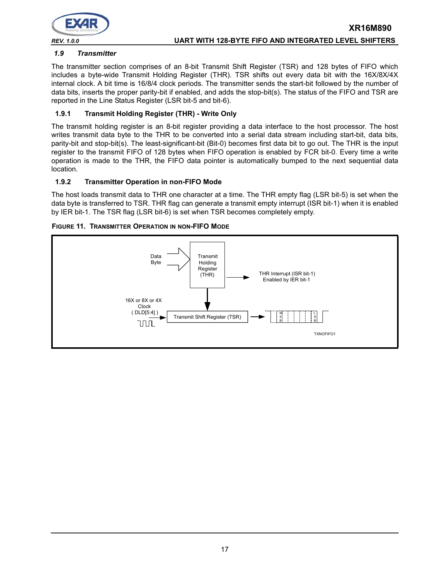

# <span id="page-16-0"></span>*1.9 Transmitter*

The transmitter section comprises of an 8-bit Transmit Shift Register (TSR) and 128 bytes of FIFO which includes a byte-wide Transmit Holding Register (THR). TSR shifts out every data bit with the 16X/8X/4X internal clock. A bit time is 16/8/4 clock periods. The transmitter sends the start-bit followed by the number of data bits, inserts the proper parity-bit if enabled, and adds the stop-bit(s). The status of the FIFO and TSR are reported in the Line Status Register (LSR bit-5 and bit-6).

#### **1.9.1 Transmit Holding Register (THR) - Write Only**

The transmit holding register is an 8-bit register providing a data interface to the host processor. The host writes transmit data byte to the THR to be converted into a serial data stream including start-bit, data bits, parity-bit and stop-bit(s). The least-significant-bit (Bit-0) becomes first data bit to go out. The THR is the input register to the transmit FIFO of 128 bytes when FIFO operation is enabled by FCR bit-0. Every time a write operation is made to the THR, the FIFO data pointer is automatically bumped to the next sequential data location.

#### **1.9.2 Transmitter Operation in non-FIFO Mode**

The host loads transmit data to THR one character at a time. The THR empty flag (LSR bit-5) is set when the data byte is transferred to TSR. THR flag can generate a transmit empty interrupt (ISR bit-1) when it is enabled by IER bit-1. The TSR flag (LSR bit-6) is set when TSR becomes completely empty.

#### **FIGURE 11. TRANSMITTER OPERATION IN NON-FIFO MODE**

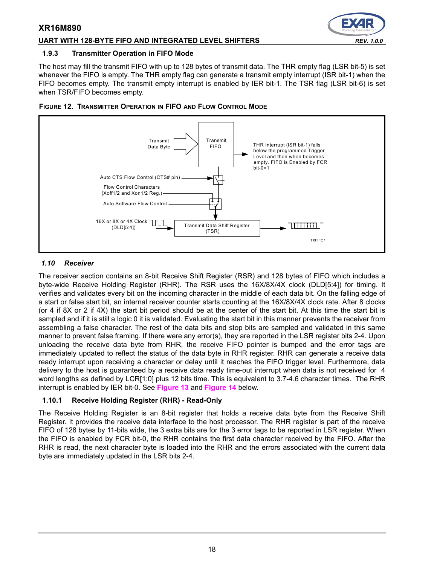#### **UART WITH 128-BYTE FIFO AND INTEGRATED LEVEL SHIFTERS** *REV. 1.0.0*

#### **1.9.3 Transmitter Operation in FIFO Mode**

The host may fill the transmit FIFO with up to 128 bytes of transmit data. The THR empty flag (LSR bit-5) is set whenever the FIFO is empty. The THR empty flag can generate a transmit empty interrupt (ISR bit-1) when the FIFO becomes empty. The transmit empty interrupt is enabled by IER bit-1. The TSR flag (LSR bit-6) is set when TSR/FIFO becomes empty.





#### <span id="page-17-0"></span>*1.10 Receiver*

The receiver section contains an 8-bit Receive Shift Register (RSR) and 128 bytes of FIFO which includes a byte-wide Receive Holding Register (RHR). The RSR uses the 16X/8X/4X clock (DLD[5:4]) for timing. It verifies and validates every bit on the incoming character in the middle of each data bit. On the falling edge of a start or false start bit, an internal receiver counter starts counting at the 16X/8X/4X clock rate. After 8 clocks (or 4 if 8X or 2 if 4X) the start bit period should be at the center of the start bit. At this time the start bit is sampled and if it is still a logic 0 it is validated. Evaluating the start bit in this manner prevents the receiver from assembling a false character. The rest of the data bits and stop bits are sampled and validated in this same manner to prevent false framing. If there were any error(s), they are reported in the LSR register bits 2-4. Upon unloading the receive data byte from RHR, the receive FIFO pointer is bumped and the error tags are immediately updated to reflect the status of the data byte in RHR register. RHR can generate a receive data ready interrupt upon receiving a character or delay until it reaches the FIFO trigger level. Furthermore, data delivery to the host is guaranteed by a receive data ready time-out interrupt when data is not received for 4 word lengths as defined by LCR[1:0] plus 12 bits time. This is equivalent to 3.7-4.6 character times. The RHR interrupt is enabled by IER bit-0. See **[Figure](#page-18-0) 13** and **[Figure](#page-18-1) 14** below.

#### **1.10.1 Receive Holding Register (RHR) - Read-Only**

The Receive Holding Register is an 8-bit register that holds a receive data byte from the Receive Shift Register. It provides the receive data interface to the host processor. The RHR register is part of the receive FIFO of 128 bytes by 11-bits wide, the 3 extra bits are for the 3 error tags to be reported in LSR register. When the FIFO is enabled by FCR bit-0, the RHR contains the first data character received by the FIFO. After the RHR is read, the next character byte is loaded into the RHR and the errors associated with the current data byte are immediately updated in the LSR bits 2-4.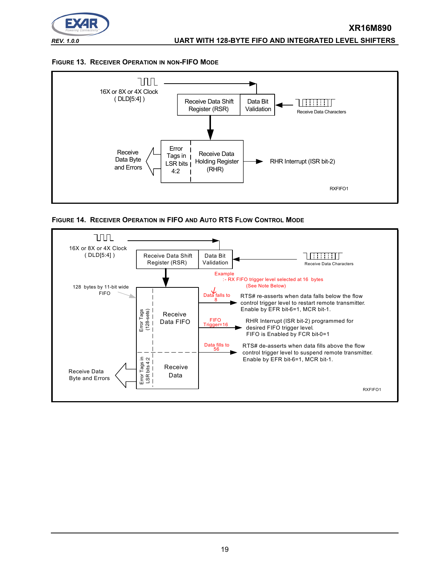

#### <span id="page-18-0"></span>**FIGURE 13. RECEIVER OPERATION IN NON-FIFO MODE**



<span id="page-18-1"></span>**FIGURE 14. RECEIVER OPERATION IN FIFO AND AUTO RTS FLOW CONTROL MODE**

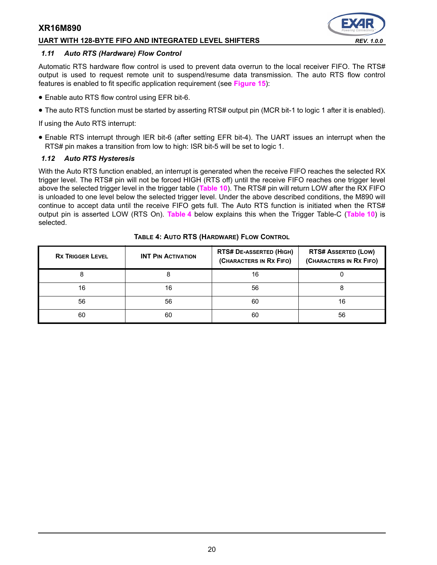#### **UART WITH 128-BYTE FIFO AND INTEGRATED LEVEL SHIFTERS** *REV. 1.0.0*



#### *1.11 Auto RTS (Hardware) Flow Control*

Automatic RTS hardware flow control is used to prevent data overrun to the local receiver FIFO. The RTS# output is used to request remote unit to suspend/resume data transmission. The auto RTS flow control features is enabled to fit specific application requirement (see **[Figure](#page-20-0) 15**):

- Enable auto RTS flow control using EFR bit-6.
- The auto RTS function must be started by asserting RTS# output pin (MCR bit-1 to logic 1 after it is enabled).

If using the Auto RTS interrupt:

• Enable RTS interrupt through IER bit-6 (after setting EFR bit-4). The UART issues an interrupt when the RTS# pin makes a transition from low to high: ISR bit-5 will be set to logic 1.

#### *1.12 Auto RTS Hysteresis*

With the Auto RTS function enabled, an interrupt is generated when the receive FIFO reaches the selected RX trigger level. The RTS# pin will not be forced HIGH (RTS off) until the receive FIFO reaches one trigger level above the selected trigger level in the trigger table (**[Table](#page-34-0) 10**). The RTS# pin will return LOW after the RX FIFO is unloaded to one level below the selected trigger level. Under the above described conditions, the M890 will continue to accept data until the receive FIFO gets full. The Auto RTS function is initiated when the RTS# output pin is asserted LOW (RTS On). **[Table](#page-19-0) 4** below explains this when the Trigger Table-C (**[Table](#page-34-0) 10**) is selected.

<span id="page-19-0"></span>

| <b>RX TRIGGER LEVEL</b> | <b>INT PIN ACTIVATION</b> | <b>RTS# DE-ASSERTED (HIGH)</b><br>(CHARACTERS IN RX FIFO) | <b>RTS# ASSERTED (LOW)</b><br>(CHARACTERS IN RX FIFO) |  |
|-------------------------|---------------------------|-----------------------------------------------------------|-------------------------------------------------------|--|
|                         | 8                         | 16                                                        |                                                       |  |
| 16                      | 16                        | 56                                                        |                                                       |  |
| 56                      | 56                        | 60                                                        | 16                                                    |  |
| 60                      | 60                        | 60                                                        | 56                                                    |  |

#### **TABLE 4: AUTO RTS (HARDWARE) FLOW CONTROL**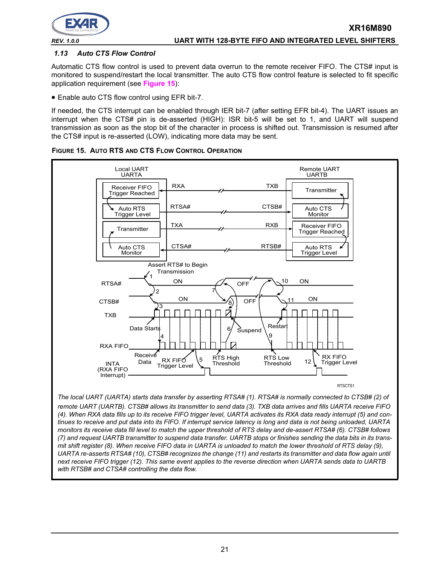

#### *1.13 Auto CTS Flow Control*

Automatic CTS flow control is used to prevent data overrun to the remote receiver FIFO. The CTS# input is monitored to suspend/restart the local transmitter. The auto CTS flow control feature is selected to fit specific application requirement (see **[Figure](#page-20-0) 15**):

• Enable auto CTS flow control using EFR bit-7.

If needed, the CTS interrupt can be enabled through IER bit-7 (after setting EFR bit-4). The UART issues an interrupt when the CTS# pin is de-asserted (HIGH): ISR bit-5 will be set to 1, and UART will suspend transmission as soon as the stop bit of the character in process is shifted out. Transmission is resumed after the CTS# input is re-asserted (LOW), indicating more data may be sent.



<span id="page-20-0"></span>**FIGURE 15. AUTO RTS AND CTS FLOW CONTROL OPERATION**

*The local UART (UARTA) starts data transfer by asserting RTSA# (1). RTSA# is normally connected to CTSB# (2) of remote UART (UARTB). CTSB# allows its transmitter to send data (3). TXB data arrives and fills UARTA receive FIFO (4). When RXA data fills up to its receive FIFO trigger level, UARTA activates its RXA data ready interrupt (5) and continues to receive and put data into its FIFO. If interrupt service latency is long and data is not being unloaded, UARTA monitors its receive data fill level to match the upper threshold of RTS delay and de-assert RTSA# (6). CTSB# follows (7) and request UARTB transmitter to suspend data transfer. UARTB stops or finishes sending the data bits in its transmit shift register (8). When receive FIFO data in UARTA is unloaded to match the lower threshold of RTS delay (9), UARTA re-asserts RTSA# (10), CTSB# recognizes the change (11) and restarts its transmitter and data flow again until next receive FIFO trigger (12). This same event applies to the reverse direction when UARTA sends data to UARTB with RTSB# and CTSA# controlling the data flow.*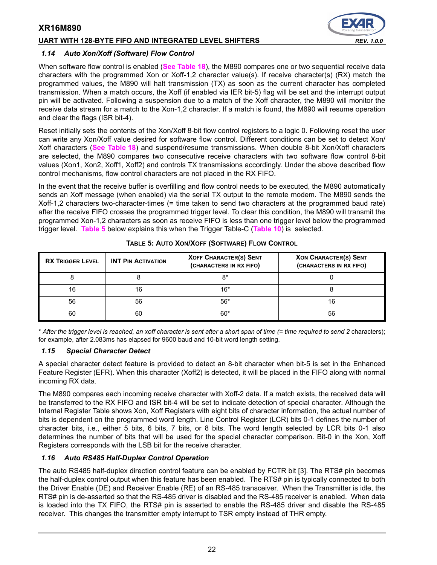#### **UART WITH 128-BYTE FIFO AND INTEGRATED LEVEL SHIFTERS** *REV. 1.0.0*



#### *1.14 Auto Xon/Xoff (Software) Flow Control*

When software flow control is enabled (**[See Table](#page-47-0) 18**), the M890 compares one or two sequential receive data characters with the programmed Xon or Xoff-1,2 character value(s). If receive character(s) (RX) match the programmed values, the M890 will halt transmission (TX) as soon as the current character has completed transmission. When a match occurs, the Xoff (if enabled via IER bit-5) flag will be set and the interrupt output pin will be activated. Following a suspension due to a match of the Xoff character, the M890 will monitor the receive data stream for a match to the Xon-1,2 character. If a match is found, the M890 will resume operation and clear the flags (ISR bit-4).

Reset initially sets the contents of the Xon/Xoff 8-bit flow control registers to a logic 0. Following reset the user can write any Xon/Xoff value desired for software flow control. Different conditions can be set to detect Xon/ Xoff characters (**[See Table](#page-47-0) 18**) and suspend/resume transmissions. When double 8-bit Xon/Xoff characters are selected, the M890 compares two consecutive receive characters with two software flow control 8-bit values (Xon1, Xon2, Xoff1, Xoff2) and controls TX transmissions accordingly. Under the above described flow control mechanisms, flow control characters are not placed in the RX FIFO.

In the event that the receive buffer is overfilling and flow control needs to be executed, the M890 automatically sends an Xoff message (when enabled) via the serial TX output to the remote modem. The M890 sends the Xoff-1,2 characters two-character-times (= time taken to send two characters at the programmed baud rate) after the receive FIFO crosses the programmed trigger level. To clear this condition, the M890 will transmit the programmed Xon-1,2 characters as soon as receive FIFO is less than one trigger level below the programmed trigger level. **[Table](#page-21-0) 5** below explains this when the Trigger Table-C (**[Table](#page-34-0) 10**) is selected.

<span id="page-21-0"></span>

| <b>RX TRIGGER LEVEL</b> | <b>INT PIN ACTIVATION</b> | <b>XOFF CHARACTER(S) SENT</b><br>(CHARACTERS IN RX FIFO) | <b>XON CHARACTER(S) SENT</b><br>(CHARACTERS IN RX FIFO) |  |  |
|-------------------------|---------------------------|----------------------------------------------------------|---------------------------------------------------------|--|--|
|                         |                           | 8*                                                       |                                                         |  |  |
| 16                      | 16                        | $16*$                                                    |                                                         |  |  |
| 56                      | 56                        | $56*$                                                    | 16                                                      |  |  |
| 60                      | 60                        | $60*$                                                    | 56                                                      |  |  |

**TABLE 5: AUTO XON/XOFF (SOFTWARE) FLOW CONTROL**

\* *After the trigger level is reached, an xoff character is sent after a short span of time (= time required to send 2* characters); for example, after 2.083ms has elapsed for 9600 baud and 10-bit word length setting.

#### *1.15 Special Character Detect*

A special character detect feature is provided to detect an 8-bit character when bit-5 is set in the Enhanced Feature Register (EFR). When this character (Xoff2) is detected, it will be placed in the FIFO along with normal incoming RX data.

The M890 compares each incoming receive character with Xoff-2 data. If a match exists, the received data will be transferred to the RX FIFO and ISR bit-4 will be set to indicate detection of special character. Although the Internal Register Table shows Xon, Xoff Registers with eight bits of character information, the actual number of bits is dependent on the programmed word length. Line Control Register (LCR) bits 0-1 defines the number of character bits, i.e., either 5 bits, 6 bits, 7 bits, or 8 bits. The word length selected by LCR bits 0-1 also determines the number of bits that will be used for the special character comparison. Bit-0 in the Xon, Xoff Registers corresponds with the LSB bit for the receive character.

#### *1.16 Auto RS485 Half-Duplex Control Operation*

The auto RS485 half-duplex direction control feature can be enabled by FCTR bit [3]. The RTS# pin becomes the half-duplex control output when this feature has been enabled. The RTS# pin is typically connected to both the Driver Enable (DE) and Receiver Enable (RE) of an RS-485 transceiver. When the Transmitter is idle, the RTS# pin is de-asserted so that the RS-485 driver is disabled and the RS-485 receiver is enabled. When data is loaded into the TX FIFO, the RTS# pin is asserted to enable the RS-485 driver and disable the RS-485 receiver. This changes the transmitter empty interrupt to TSR empty instead of THR empty.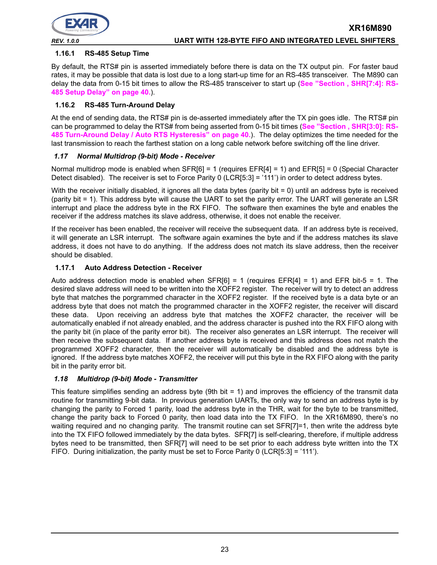

#### **1.16.1 RS-485 Setup Time**

By default, the RTS# pin is asserted immediately before there is data on the TX output pin. For faster baud rates, it may be possible that data is lost due to a long start-up time for an RS-485 transceiver. The M890 can delay the data from 0-15 bit times to allow the RS-485 transceiver to start up (**[See "Section , SHR\[7:4\]: RS-](#page-39-0)[485 Setup Delay" on page](#page-39-0) 40.**).

#### **1.16.2 RS-485 Turn-Around Delay**

At the end of sending data, the RTS# pin is de-asserted immediately after the TX pin goes idle. The RTS# pin can be programmed to delay the RTS# from being asserted from 0-15 bit times (See "Section, SHR[3:0]: RS-**[485 Turn-Around Delay / Auto RTS Hysteresis" on page](#page-39-1) 40.**). The delay optimizes the time needed for the last transmission to reach the farthest station on a long cable network before switching off the line driver.

#### <span id="page-22-0"></span>*1.17 Normal Multidrop (9-bit) Mode - Receiver*

Normal multidrop mode is enabled when SFR[6] = 1 (requires EFR[4] = 1) and EFR[5] = 0 (Special Character Detect disabled). The receiver is set to Force Parity 0 (LCR[5:3] = '111') in order to detect address bytes.

With the receiver initially disabled, it ignores all the data bytes (parity bit = 0) until an address byte is received (parity bit = 1). This address byte will cause the UART to set the parity error. The UART will generate an LSR interrupt and place the address byte in the RX FIFO. The software then examines the byte and enables the receiver if the address matches its slave address, otherwise, it does not enable the receiver.

If the receiver has been enabled, the receiver will receive the subsequent data. If an address byte is received, it will generate an LSR interrupt. The software again examines the byte and if the address matches its slave address, it does not have to do anything. If the address does not match its slave address, then the receiver should be disabled.

#### <span id="page-22-2"></span>**1.17.1 Auto Address Detection - Receiver**

Auto address detection mode is enabled when  $SFR[6] = 1$  (requires  $EFR[4] = 1$ ) and EFR bit-5 = 1. The desired slave address will need to be written into the XOFF2 register. The receiver will try to detect an address byte that matches the porgrammed character in the XOFF2 register. If the received byte is a data byte or an address byte that does not match the programmed character in the XOFF2 register, the receiver will discard these data. Upon receiving an address byte that matches the XOFF2 character, the receiver will be automatically enabled if not already enabled, and the address character is pushed into the RX FIFO along with the parity bit (in place of the parity error bit). The receiver also generates an LSR interrupt. The receiver will then receive the subsequent data. If another address byte is received and this address does not match the programmed XOFF2 character, then the receiver will automatically be disabled and the address byte is ignored. If the address byte matches XOFF2, the receiver will put this byte in the RX FIFO along with the parity bit in the parity error bit.

#### <span id="page-22-1"></span>*1.18 Multidrop (9-bit) Mode - Transmitter*

This feature simplifies sending an address byte (9th bit = 1) and improves the efficiency of the transmit data routine for transmitting 9-bit data. In previous generation UARTs, the only way to send an address byte is by changing the parity to Forced 1 parity, load the address byte in the THR, wait for the byte to be transmitted, change the parity back to Forced 0 parity, then load data into the TX FIFO. In the XR16M890, there's no waiting required and no changing parity. The transmit routine can set SFR[7]=1, then write the address byte into the TX FIFO followed immediately by the data bytes. SFR[7] is self-clearing, therefore, if multiple address bytes need to be transmitted, then SFR[7] will need to be set prior to each address byte written into the TX FIFO. During initialization, the parity must be set to Force Parity 0 (LCR[5:3] = '111').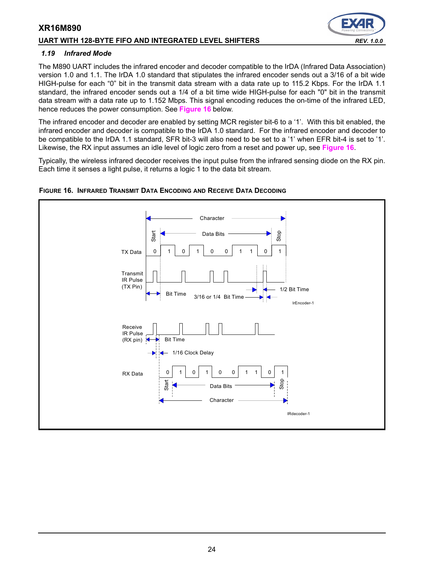#### **UART WITH 128-BYTE FIFO AND INTEGRATED LEVEL SHIFTERS** *REV. 1.0.0*

#### <span id="page-23-1"></span>*1.19 Infrared Mode*

The M890 UART includes the infrared encoder and decoder compatible to the IrDA (Infrared Data Association) version 1.0 and 1.1. The IrDA 1.0 standard that stipulates the infrared encoder sends out a 3/16 of a bit wide HIGH-pulse for each "0" bit in the transmit data stream with a data rate up to 115.2 Kbps. For the IrDA 1.1 standard, the infrared encoder sends out a 1/4 of a bit time wide HIGH-pulse for each "0" bit in the transmit data stream with a data rate up to 1.152 Mbps. This signal encoding reduces the on-time of the infrared LED, hence reduces the power consumption. See **[Figure](#page-23-0) 16** below.

The infrared encoder and decoder are enabled by setting MCR register bit-6 to a '1'. With this bit enabled, the infrared encoder and decoder is compatible to the IrDA 1.0 standard. For the infrared encoder and decoder to be compatible to the IrDA 1.1 standard, SFR bit-3 will also need to be set to a '1' when EFR bit-4 is set to '1'. Likewise, the RX input assumes an idle level of logic zero from a reset and power up, see **[Figure](#page-23-0) 16**.

Typically, the wireless infrared decoder receives the input pulse from the infrared sensing diode on the RX pin. Each time it senses a light pulse, it returns a logic 1 to the data bit stream.



#### <span id="page-23-0"></span>**FIGURE 16. INFRARED TRANSMIT DATA ENCODING AND RECEIVE DATA DECODING**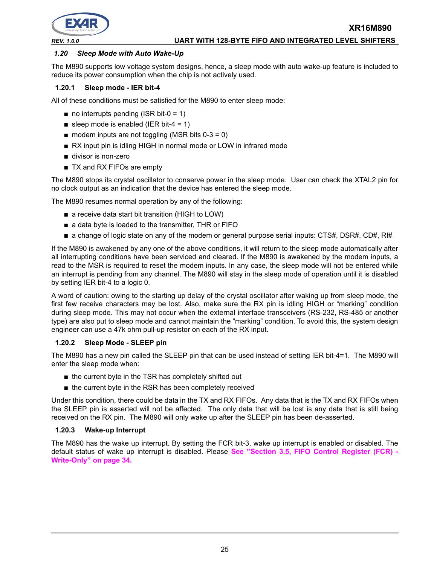

# *1.20 Sleep Mode with Auto Wake-Up*

The M890 supports low voltage system designs, hence, a sleep mode with auto wake-up feature is included to reduce its power consumption when the chip is not actively used.

#### **1.20.1 Sleep mode - IER bit-4**

All of these conditions must be satisfied for the M890 to enter sleep mode:

- $\blacksquare$  no interrupts pending (ISR bit-0 = 1)
- sleep mode is enabled (IER bit-4 = 1)
- $\blacksquare$  modem inputs are not toggling (MSR bits 0-3 = 0)
- RX input pin is idling HIGH in normal mode or LOW in infrared mode
- divisor is non-zero
- TX and RX FIFOs are empty

The M890 stops its crystal oscillator to conserve power in the sleep mode. User can check the XTAL2 pin for no clock output as an indication that the device has entered the sleep mode.

The M890 resumes normal operation by any of the following:

- a receive data start bit transition (HIGH to LOW)
- a data byte is loaded to the transmitter, THR or FIFO
- a change of logic state on any of the modem or general purpose serial inputs: CTS#, DSR#, CD#, RI#

If the M890 is awakened by any one of the above conditions, it will return to the sleep mode automatically after all interrupting conditions have been serviced and cleared. If the M890 is awakened by the modem inputs, a read to the MSR is required to reset the modem inputs. In any case, the sleep mode will not be entered while an interrupt is pending from any channel. The M890 will stay in the sleep mode of operation until it is disabled by setting IER bit-4 to a logic 0.

A word of caution: owing to the starting up delay of the crystal oscillator after waking up from sleep mode, the first few receive characters may be lost. Also, make sure the RX pin is idling HIGH or "marking" condition during sleep mode. This may not occur when the external interface transceivers (RS-232, RS-485 or another type) are also put to sleep mode and cannot maintain the "marking" condition. To avoid this, the system design engineer can use a 47k ohm pull-up resistor on each of the RX input.

#### <span id="page-24-0"></span>**1.20.2 Sleep Mode - SLEEP pin**

The M890 has a new pin called the SLEEP pin that can be used instead of setting IER bit-4=1. The M890 will enter the sleep mode when:

- the current byte in the TSR has completely shifted out
- the current byte in the RSR has been completely received

Under this condition, there could be data in the TX and RX FIFOs. Any data that is the TX and RX FIFOs when the SLEEP pin is asserted will not be affected. The only data that will be lost is any data that is still being received on the RX pin. The M890 will only wake up after the SLEEP pin has been de-asserted.

#### <span id="page-24-1"></span>**1.20.3 Wake-up Interrupt**

The M890 has the wake up interrupt. By setting the FCR bit-3, wake up interrupt is enabled or disabled. The default status of wake up interrupt is disabled. Please **[See "Section 3.5, FIFO Control Register \(FCR\) -](#page-33-0) [Write-Only" on page](#page-33-0) 34.**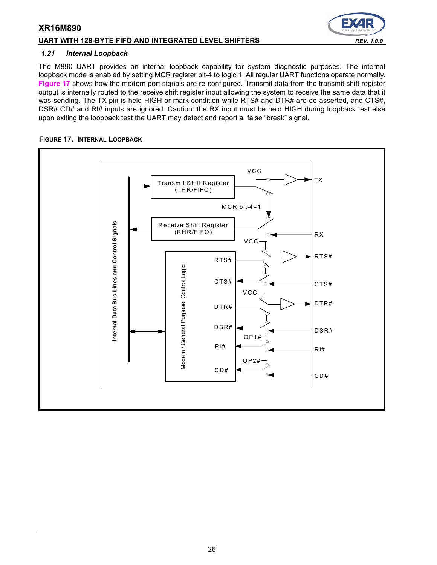## UART WITH 128-BYTE FIFO AND INTEGRATED LEVEL SHIFTERS *REV. 1.0.0*

#### *1.21 Internal Loopback*

The M890 UART provides an internal loopback capability for system diagnostic purposes. The internal loopback mode is enabled by setting MCR register bit-4 to logic 1. All regular UART functions operate normally. **[Figure](#page-25-0) 17** shows how the modem port signals are re-configured. Transmit data from the transmit shift register output is internally routed to the receive shift register input allowing the system to receive the same data that it was sending. The TX pin is held HIGH or mark condition while RTS# and DTR# are de-asserted, and CTS#, DSR# CD# and RI# inputs are ignored. Caution: the RX input must be held HIGH during loopback test else upon exiting the loopback test the UART may detect and report a false "break" signal.

#### <span id="page-25-0"></span>**FIGURE 17. INTERNAL LOOPBACK**



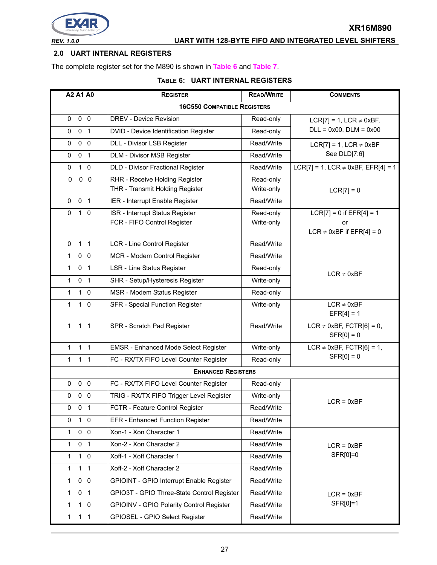

# *REV. 1.0.0* **UART WITH 128-BYTE FIFO AND INTEGRATED LEVEL SHIFTERS**

#### <span id="page-26-0"></span>**2.0 UART INTERNAL REGISTERS**

The complete register set for the M890 is shown in **[Table](#page-26-1) 6** and **[Table](#page-27-0) 7**.

#### **TABLE 6: UART INTERNAL REGISTERS**

<span id="page-26-1"></span>

| A2 A1 A0                           | <b>REGISTER</b>                             | <b>READ/WRITE</b> | <b>COMMENTS</b>                            |  |  |  |  |  |  |
|------------------------------------|---------------------------------------------|-------------------|--------------------------------------------|--|--|--|--|--|--|
| <b>16C550 COMPATIBLE REGISTERS</b> |                                             |                   |                                            |  |  |  |  |  |  |
| $0\quad 0$<br>0                    | <b>DREV - Device Revision</b>               | Read-only         | LCR[7] = 1, LCR $\neq$ 0xBF,               |  |  |  |  |  |  |
| 0 <sub>1</sub><br>0                | DVID - Device Identification Register       | Read-only         | $DLL = 0x00$ , $DLM = 0x00$                |  |  |  |  |  |  |
| 0 <sub>0</sub><br>0                | DLL - Divisor LSB Register                  | Read/Write        | LCR[7] = 1, LCR $\neq$ 0xBF                |  |  |  |  |  |  |
| 0 <sub>1</sub><br>0                | DLM - Divisor MSB Register                  | Read/Write        | See DLD[7:6]                               |  |  |  |  |  |  |
| $1\quad0$<br>0                     | DLD - Divisor Fractional Register           | Read/Write        | $LCR[7] = 1$ , LCR $\neq$ 0xBF, EFR[4] = 1 |  |  |  |  |  |  |
| $\pmb{0}$<br>$0\quad 0$            | RHR - Receive Holding Register              | Read-only         |                                            |  |  |  |  |  |  |
|                                    | THR - Transmit Holding Register             | Write-only        | $LCR[7] = 0$                               |  |  |  |  |  |  |
| 0 <sub>1</sub><br>0                | IER - Interrupt Enable Register             | Read/Write        |                                            |  |  |  |  |  |  |
| $\mathbf 0$<br>0<br>1              | ISR - Interrupt Status Register             | Read-only         | $LCR[7] = 0$ if $EFR[4] = 1$               |  |  |  |  |  |  |
|                                    | FCR - FIFO Control Register                 | Write-only        | or<br>LCR $\neq$ 0xBF if EFR[4] = 0        |  |  |  |  |  |  |
| 1 <sub>1</sub><br>0                | <b>LCR - Line Control Register</b>          | Read/Write        |                                            |  |  |  |  |  |  |
| 0 <sub>0</sub><br>1                | MCR - Modem Control Register                | Read/Write        |                                            |  |  |  |  |  |  |
| $\mathbf{1}$<br>0 <sub>1</sub>     | LSR - Line Status Register                  | Read-only         |                                            |  |  |  |  |  |  |
| $\mathbf{1}$<br>0 <sub>1</sub>     | SHR - Setup/Hysteresis Register             | Write-only        | $LCR \neq 0xBF$                            |  |  |  |  |  |  |
| 1<br>$1\quad 0$                    | MSR - Modem Status Register                 |                   |                                            |  |  |  |  |  |  |
| 1<br>$1\quad0$                     |                                             | Read-only         | $LCR \neq 0xBF$                            |  |  |  |  |  |  |
|                                    | SFR - Special Function Register             | Write-only        | $EFR[4] = 1$                               |  |  |  |  |  |  |
| 1 <sub>1</sub><br>$\mathbf{1}$     | SPR - Scratch Pad Register                  | Read/Write        | LCR $\neq$ 0xBF, FCTR[6] = 0,              |  |  |  |  |  |  |
|                                    |                                             |                   | $SFR[0] = 0$                               |  |  |  |  |  |  |
| 1 <sub>1</sub><br>$\mathbf{1}$     | <b>EMSR - Enhanced Mode Select Register</b> | Write-only        | LCR $\neq$ 0xBF, FCTR[6] = 1,              |  |  |  |  |  |  |
| $\mathbf{1}$<br>1 <sub>1</sub>     | FC - RX/TX FIFO Level Counter Register      | Read-only         | $SFR[0] = 0$                               |  |  |  |  |  |  |
|                                    | <b>ENHANCED REGISTERS</b>                   |                   |                                            |  |  |  |  |  |  |
| $0\quad 0$<br>0                    | FC - RX/TX FIFO Level Counter Register      | Read-only         |                                            |  |  |  |  |  |  |
| $0\quad 0$<br>0                    | TRIG - RX/TX FIFO Trigger Level Register    | Write-only        | $LCR = 0xBF$                               |  |  |  |  |  |  |
| 0<br>0 <sub>1</sub>                | FCTR - Feature Control Register             | Read/Write        |                                            |  |  |  |  |  |  |
| $1\quad0$<br>0                     | EFR - Enhanced Function Register            | Read/Write        |                                            |  |  |  |  |  |  |
| $0\quad 0$<br>$\mathbf{1}$         | Xon-1 - Xon Character 1                     | Read/Write        |                                            |  |  |  |  |  |  |
| 0 <sub>1</sub><br>1                | Xon-2 - Xon Character 2                     | Read/Write        | $LCR = 0xBF$                               |  |  |  |  |  |  |
| $1\quad 0$<br>1                    | Xoff-1 - Xoff Character 1                   | Read/Write        | SFR[0]=0                                   |  |  |  |  |  |  |
| 1<br>$1 \quad 1$                   | Xoff-2 - Xoff Character 2                   | Read/Write        |                                            |  |  |  |  |  |  |
| $0\quad 0$<br>1                    | GPIOINT - GPIO Interrupt Enable Register    | Read/Write        |                                            |  |  |  |  |  |  |
| 1<br>0 <sub>1</sub>                | GPIO3T - GPIO Three-State Control Register  | Read/Write        | $LCR = 0xBF$                               |  |  |  |  |  |  |
| $1\quad 0$<br>1                    | GPIOINV - GPIO Polarity Control Register    | Read/Write        | SFR[0]=1                                   |  |  |  |  |  |  |
| 1 <sub>1</sub><br>$\mathbf{1}$     | GPIOSEL - GPIO Select Register              | Read/Write        |                                            |  |  |  |  |  |  |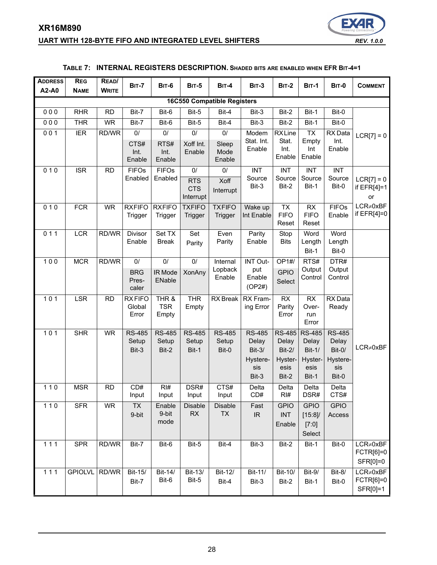# **XR16M890 UART WITH 128-BYTE FIFO AND INTEGRATED LEVEL SHIFTERS** *REV. 1.0.0*



#### **TABLE 7: INTERNAL REGISTERS DESCRIPTION. SHADED BITS ARE ENABLED WHEN EFR BIT-4=1**

<span id="page-27-0"></span>

| <b>ADDRESS</b><br>A2-A0 | <b>REG</b><br><b>NAME</b>          | READ/<br><b>WRITE</b> | <b>BIT-7</b>                         | BIT-6                           | <b>BIT-5</b>                                | BIT-4                           | <b>BIT-3</b>                                                   | <b>BIT-2</b>                                                   | <b>BIT-1</b>                                                        | <b>BIT-0</b>                                                 | <b>COMMENT</b>                           |
|-------------------------|------------------------------------|-----------------------|--------------------------------------|---------------------------------|---------------------------------------------|---------------------------------|----------------------------------------------------------------|----------------------------------------------------------------|---------------------------------------------------------------------|--------------------------------------------------------------|------------------------------------------|
|                         | <b>16C550 Compatible Registers</b> |                       |                                      |                                 |                                             |                                 |                                                                |                                                                |                                                                     |                                                              |                                          |
| 000                     | <b>RHR</b>                         | <b>RD</b>             | Bit-7                                | Bit-6                           | Bit-5                                       | Bit-4                           | Bit-3                                                          | Bit-2                                                          | Bit-1                                                               | Bit-0                                                        |                                          |
| 000                     | <b>THR</b>                         | <b>WR</b>             | Bit-7                                | Bit-6                           | Bit-5                                       | Bit-4                           | Bit-3                                                          | Bit-2                                                          | Bit-1                                                               | Bit-0                                                        |                                          |
| 001                     | <b>IER</b>                         | RD/WR                 | $0/$<br>CTS#<br>Int.<br>Enable       | $0/$<br>RTS#<br>Int.<br>Enable  | $0/$<br>Xoff Int.<br>Enable                 | $0/$<br>Sleep<br>Mode<br>Enable | Modem<br>Stat. Int.<br>Enable                                  | <b>RXLine</b><br>Stat.<br>Int.<br>Enable                       | <b>TX</b><br>Empty<br>Int<br>Enable                                 | RX Data<br>Int.<br>Enable                                    | $LCR[7] = 0$                             |
| 010                     | <b>ISR</b>                         | <b>RD</b>             | <b>FIFOs</b><br>Enabled              | <b>FIFOs</b><br>Enabled         | 0/<br><b>RTS</b><br><b>CTS</b><br>Interrupt | $0/$<br>Xoff<br>Interrupt       | <b>INT</b><br>Source<br>Bit-3                                  | <b>INT</b><br>Source<br>Bit-2                                  | <b>INT</b><br>Source<br>Bit-1                                       | <b>INT</b><br>Source<br>Bit-0                                | $LCR[7] = 0$<br>if $EFR[4]=1$<br>or      |
| 010                     | <b>FCR</b>                         | <b>WR</b>             | <b>RXFIFO</b><br>Trigger             | <b>RXFIFO</b><br>Trigger        | <b>TXFIFO</b><br>Trigger                    | <b>TXFIFO</b><br>Trigger        | Wake up<br>Int Enable                                          | <b>TX</b><br><b>FIFO</b><br>Reset                              | RX<br><b>FIFO</b><br>Reset                                          | <b>FIFOs</b><br>Enable                                       | $LCR \neq 0xBF$<br>if $EFR[4]=0$         |
| 011                     | <b>LCR</b>                         | RD/WR                 | Divisor<br>Enable                    | Set TX<br><b>Break</b>          | Set<br>Parity                               | Even<br>Parity                  | Parity<br>Enable                                               | Stop<br><b>Bits</b>                                            | Word<br>Length<br>Bit-1                                             | Word<br>Length<br>Bit-0                                      |                                          |
| 100                     | <b>MCR</b>                         | RD/WR                 | $0/$<br><b>BRG</b><br>Pres-<br>caler | $0/$<br>IR Mode<br>ENable       | $0/$<br><b>XonAny</b>                       | Internal<br>Lopback<br>Enable   | INT Out-<br>put<br>Enable<br>(OP2#)                            | OP1#/<br><b>GPIO</b><br>Select                                 | RTS#<br>Output<br>Control                                           | DTR#<br>Output<br>Control                                    |                                          |
| $101$                   | <b>LSR</b>                         | <b>RD</b>             | <b>RXFIFO</b><br>Global<br>Error     | THR &<br><b>TSR</b><br>Empty    | <b>THR</b><br>Empty                         | <b>RX</b> Break                 | RX Fram-<br>ing Error                                          | RX<br>Parity<br>Error                                          | RX<br>Over-<br>run<br>Error                                         | RX Data<br>Ready                                             |                                          |
| $101$                   | <b>SHR</b>                         | <b>WR</b>             | <b>RS-485</b><br>Setup<br>Bit-3      | <b>RS-485</b><br>Setup<br>Bit-2 | <b>RS-485</b><br>Setup<br>Bit-1             | <b>RS-485</b><br>Setup<br>Bit-0 | <b>RS-485</b><br>Delay<br>$Bit-3/$<br>Hystere-<br>sis<br>Bit-3 | <b>RS-485</b><br>Delay<br>$Bit-2/$<br>Hyster-<br>esis<br>Bit-2 | <b>RS-485</b><br>Delay<br><b>Bit-1/</b><br>Hyster-<br>esis<br>Bit-1 | <b>RS-485</b><br>Delay<br>Bit-0/<br>Hystere-<br>sis<br>Bit-0 | $LCR \neq 0xBF$                          |
| $110$                   | <b>MSR</b>                         | <b>RD</b>             | CD#<br>Input                         | RI#<br>Input                    | DSR#<br>Input                               | CTS#<br>Input                   | Delta<br>CD#                                                   | Delta<br>RI#                                                   | Delta<br>DSR#                                                       | Delta<br>CTS#                                                |                                          |
| $110$                   | <b>SFR</b>                         | <b>WR</b>             | <b>TX</b><br>9-bit                   | Enable<br>9-bit<br>mode         | Disable<br>RX                               | <b>Disable</b><br><b>TX</b>     | Fast<br>IR                                                     | <b>GPIO</b><br><b>INT</b><br>Enable                            | <b>GPIO</b><br>[15:8]<br>[7:0]<br>Select                            | <b>GPIO</b><br>Access                                        |                                          |
| 111                     | <b>SPR</b>                         | RD/WR                 | Bit-7                                | Bit-6                           | Bit-5                                       | Bit-4                           | Bit-3                                                          | Bit-2                                                          | Bit-1                                                               | Bit-0                                                        | LCR≠0xBF<br>FCTR[6]=0<br>SFR[0]=0        |
| 111                     | <b>GPIOLVL</b>                     | RD/WR                 | Bit-15/<br>Bit-7                     | Bit-14/<br>Bit-6                | Bit-13/<br>Bit-5                            | Bit-12/<br>Bit-4                | Bit-11/<br>Bit-3                                               | Bit-10/<br>Bit-2                                               | Bit-9/<br>Bit-1                                                     | Bit-8/<br>Bit-0                                              | $LCR \neq 0xBF$<br>FCTR[6]=0<br>SFR[0]=1 |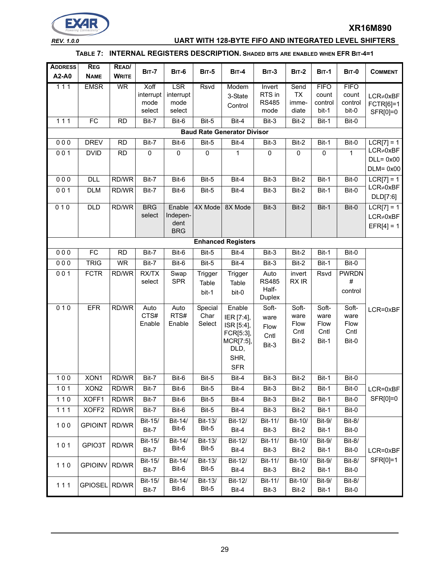

#### *REV. 1.0.0* **UART WITH 128-BYTE FIFO AND INTEGRATED LEVEL SHIFTERS**

#### **TABLE 7: INTERNAL REGISTERS DESCRIPTION. SHADED BITS ARE ENABLED WHEN EFR BIT-4=1**

| <b>ADDRESS</b><br>A2-A0 | <b>REG</b><br><b>NAME</b>          | READ/<br><b>WRITE</b> | <b>BIT-7</b>      | <b>BIT-6</b>       | <b>BIT-5</b>     | <b>BIT-4</b>              | <b>BIT-3</b>           | <b>BIT-2</b>       | <b>BIT-1</b>     | <b>BIT-0</b>     | <b>COMMENT</b>                                  |
|-------------------------|------------------------------------|-----------------------|-------------------|--------------------|------------------|---------------------------|------------------------|--------------------|------------------|------------------|-------------------------------------------------|
| $111$                   | <b>EMSR</b>                        | <b>WR</b>             | Xoff              | <b>LSR</b>         | <b>Rsvd</b>      | Modem                     | Invert<br>RTS in       | Send               | <b>FIFO</b>      | <b>FIFO</b>      |                                                 |
|                         |                                    |                       | interrupt<br>mode | interrupt<br>mode  |                  | 3-State                   | <b>RS485</b>           | <b>TX</b><br>imme- | count<br>control | count<br>control | $LCR \neq 0xBF$                                 |
|                         |                                    |                       | select            | select             |                  | Control                   | mode                   | diate              | bit-1            | bit-0            | FCTR[6]=1<br>SFR[0]=0                           |
| 111                     | FC                                 | <b>RD</b>             | Bit-7             | Bit-6              | Bit-5            | Bit-4                     | Bit-3                  | Bit-2              | Bit-1            | Bit-0            |                                                 |
|                         | <b>Baud Rate Generator Divisor</b> |                       |                   |                    |                  |                           |                        |                    |                  |                  |                                                 |
| 000                     | <b>DREV</b>                        | <b>RD</b>             | Bit-7             | Bit-6              | Bit-5            | Bit-4                     | Bit-3                  | Bit-2              | Bit-1            | Bit-0            | $LCR[7] = 1$                                    |
| 001                     | <b>DVID</b>                        | <b>RD</b>             | $\mathsf 0$       | $\mathsf 0$        | $\pmb{0}$        | 1                         | $\pmb{0}$              | $\pmb{0}$          | $\pmb{0}$        | $\mathbf{1}$     | $LCR \neq 0xBF$<br>$DLL = 0x00$<br>$DLM = 0x00$ |
| 000                     | <b>DLL</b>                         | RD/WR                 | Bit-7             | Bit-6              | Bit-5            | Bit-4                     | Bit-3                  | Bit-2              | Bit-1            | Bit-0            | $LCR[7] = 1$                                    |
| 001                     | <b>DLM</b>                         | RD/WR                 | Bit-7             | Bit-6              | Bit-5            | Bit-4                     | Bit-3                  | Bit-2              | Bit-1            | Bit-0            | $LCR \neq 0xBF$<br>DLD[7:6]                     |
| 010                     | <b>DLD</b>                         | RD/WR                 | <b>BRG</b>        | Enable             | 4X Mode          | 8X Mode                   | Bit-3                  | Bit-2              | Bit-1            | Bit-0            | $LCR[7] = 1$                                    |
|                         |                                    |                       | select            | Indepen-           |                  |                           |                        |                    |                  |                  | $LCR \neq 0xBF$                                 |
|                         |                                    |                       |                   | dent<br><b>BRG</b> |                  |                           |                        |                    |                  |                  | $EFR[4] = 1$                                    |
|                         |                                    |                       |                   |                    |                  | <b>Enhanced Registers</b> |                        |                    |                  |                  |                                                 |
| 000                     | FC                                 | <b>RD</b>             | Bit-7             | $Bit-6$            | Bit-5            | Bit-4                     | Bit-3                  | Bit-2              | Bit-1            | Bit-0            |                                                 |
| 000                     | <b>TRIG</b>                        | <b>WR</b>             | Bit-7             | Bit-6              | Bit-5            | Bit-4                     | Bit-3                  | Bit-2              | Bit-1            | Bit-0            |                                                 |
| 001                     | <b>FCTR</b>                        | RD/WR                 | RX/TX             | Swap               | Trigger          | Trigger                   | Auto                   | invert             | Rsvd             | <b>PWRDN</b>     |                                                 |
|                         |                                    |                       | select            | <b>SPR</b>         | Table            | Table                     | <b>RS485</b>           | RX IR              |                  | $\#$             |                                                 |
|                         |                                    |                       |                   |                    | bit-1            | bit-0                     | Half-<br><b>Duplex</b> |                    |                  | control          |                                                 |
| 010                     | <b>EFR</b>                         | RD/WR                 | Auto              | Auto               | Special          | Enable                    | Soft-                  | Soft-              | Soft-            | Soft-            | LCR=0xBF                                        |
|                         |                                    |                       | CTS#              | RTS#               | Char             | IER [7:4],                | ware                   | ware               | ware             | ware             |                                                 |
|                         |                                    |                       | Enable            | Enable             | Select           | ISR [5:4],<br>FCR[5:3],   | Flow                   | Flow<br>Cntl       | Flow<br>Cntl     | Flow<br>Cntl     |                                                 |
|                         |                                    |                       |                   |                    |                  | MCR[7:5],                 | Cntl                   | Bit-2              | Bit-1            | Bit-0            |                                                 |
|                         |                                    |                       |                   |                    |                  | DLD,                      | Bit-3                  |                    |                  |                  |                                                 |
|                         |                                    |                       |                   |                    |                  | SHR,                      |                        |                    |                  |                  |                                                 |
|                         |                                    |                       |                   |                    |                  | <b>SFR</b>                |                        |                    |                  |                  |                                                 |
| 100                     | XON1                               | RD/WR                 | Bit-7             | Bit-6              | Bit-5            | Bit-4                     | Bit-3                  | Bit-2              | Bit-1            | Bit-0            |                                                 |
| $101$                   | XON <sub>2</sub>                   | RD/WR                 | Bit-7             | Bit-6              | Bit-5            | Bit-4                     | Bit-3                  | Bit-2              | Bit-1            | Bit-0            | LCR=0xBF                                        |
| $110$                   | XOFF1                              | RD/WR                 | Bit-7             | Bit-6              | Bit-5            | Bit-4                     | Bit-3                  | Bit-2              | Bit-1            | Bit-0            | SFR[0]=0                                        |
| 111                     | XOFF2                              | RD/WR                 | Bit-7             | Bit-6              | Bit-5            | Bit-4                     | Bit-3                  | Bit-2              | Bit-1            | Bit-0            |                                                 |
| 100                     | <b>GPIOINT</b>                     | RD/WR                 | Bit-15/<br>Bit-7  | Bit-14/<br>Bit-6   | Bit-13/<br>Bit-5 | Bit-12/<br>Bit-4          | Bit-11/<br>Bit-3       | Bit-10/<br>Bit-2   | Bit-9/<br>Bit-1  | Bit-8/<br>Bit-0  |                                                 |
|                         |                                    |                       | Bit-15/           | Bit-14/            | Bit-13/          | Bit-12/                   | Bit-11/                | Bit-10/            | Bit-9/           | Bit-8/           |                                                 |
| $101$                   | GPIO3T                             | RD/WR                 | Bit-7             | Bit-6              | Bit-5            | Bit-4                     | Bit-3                  | Bit-2              | Bit-1            | Bit-0            | LCR=0xBF                                        |
|                         |                                    |                       | Bit-15/           | Bit-14/            | Bit-13/          | Bit-12/                   | Bit-11/                | Bit-10/            | Bit-9/           | Bit-8/           | SFR[0]=1                                        |
| $110$                   | <b>GPIOINV</b>                     | RD/WR                 | Bit-7             | Bit-6              | Bit-5            | Bit-4                     | Bit-3                  | Bit-2              | Bit-1            | Bit-0            |                                                 |
|                         |                                    |                       | Bit-15/           | Bit-14/            | Bit-13/          | Bit-12/                   | Bit-11/                | Bit-10/            | <b>Bit-9/</b>    | <b>Bit-8/</b>    |                                                 |
| $111$                   | GPIOSEL RD/WR                      |                       | Bit-7             | Bit-6              | Bit-5            | Bit-4                     | Bit-3                  | Bit-2              | Bit-1            | Bit-0            |                                                 |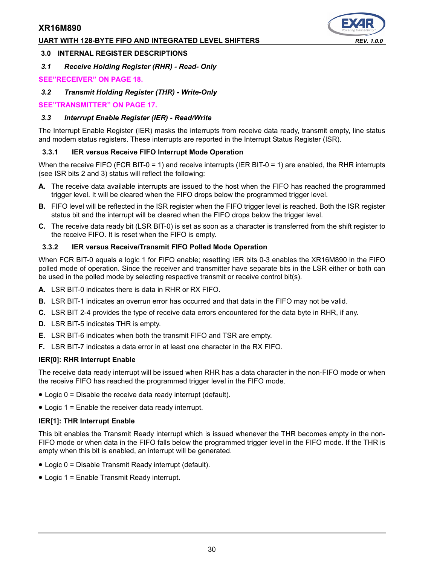#### **UART WITH 128-BYTE FIFO AND INTEGRATED LEVEL SHIFTERS** *REV. 1.0.0*

#### **3.0 INTERNAL REGISTER DESCRIPTIONS**

*3.1 Receive Holding Register (RHR) - Read- Only*

#### **[SEE"RECEIVER" ON PAGE](#page-17-0) 18.**

*3.2 Transmit Holding Register (THR) - Write-Only*

**[SEE"TRANSMITTER" ON PAGE](#page-16-0) 17.**

#### *3.3 Interrupt Enable Register (IER) - Read/Write*

The Interrupt Enable Register (IER) masks the interrupts from receive data ready, transmit empty, line status and modem status registers. These interrupts are reported in the Interrupt Status Register (ISR).

#### **3.3.1 IER versus Receive FIFO Interrupt Mode Operation**

When the receive FIFO (FCR BIT-0 = 1) and receive interrupts (IER BIT-0 = 1) are enabled, the RHR interrupts (see ISR bits 2 and 3) status will reflect the following:

- **A.** The receive data available interrupts are issued to the host when the FIFO has reached the programmed trigger level. It will be cleared when the FIFO drops below the programmed trigger level.
- **B.** FIFO level will be reflected in the ISR register when the FIFO trigger level is reached. Both the ISR register status bit and the interrupt will be cleared when the FIFO drops below the trigger level.
- **C.** The receive data ready bit (LSR BIT-0) is set as soon as a character is transferred from the shift register to the receive FIFO. It is reset when the FIFO is empty.

#### **3.3.2 IER versus Receive/Transmit FIFO Polled Mode Operation**

When FCR BIT-0 equals a logic 1 for FIFO enable; resetting IER bits 0-3 enables the XR16M890 in the FIFO polled mode of operation. Since the receiver and transmitter have separate bits in the LSR either or both can be used in the polled mode by selecting respective transmit or receive control bit(s).

- **A.** LSR BIT-0 indicates there is data in RHR or RX FIFO.
- **B.** LSR BIT-1 indicates an overrun error has occurred and that data in the FIFO may not be valid.
- **C.** LSR BIT 2-4 provides the type of receive data errors encountered for the data byte in RHR, if any.
- **D.** LSR BIT-5 indicates THR is empty.
- **E.** LSR BIT-6 indicates when both the transmit FIFO and TSR are empty.
- **F.** LSR BIT-7 indicates a data error in at least one character in the RX FIFO.

#### **IER[0]: RHR Interrupt Enable**

The receive data ready interrupt will be issued when RHR has a data character in the non-FIFO mode or when the receive FIFO has reached the programmed trigger level in the FIFO mode.

- Logic 0 = Disable the receive data ready interrupt (default).
- Logic 1 = Enable the receiver data ready interrupt.

#### **IER[1]: THR Interrupt Enable**

This bit enables the Transmit Ready interrupt which is issued whenever the THR becomes empty in the non-FIFO mode or when data in the FIFO falls below the programmed trigger level in the FIFO mode. If the THR is empty when this bit is enabled, an interrupt will be generated.

- Logic 0 = Disable Transmit Ready interrupt (default).
- Logic 1 = Enable Transmit Ready interrupt.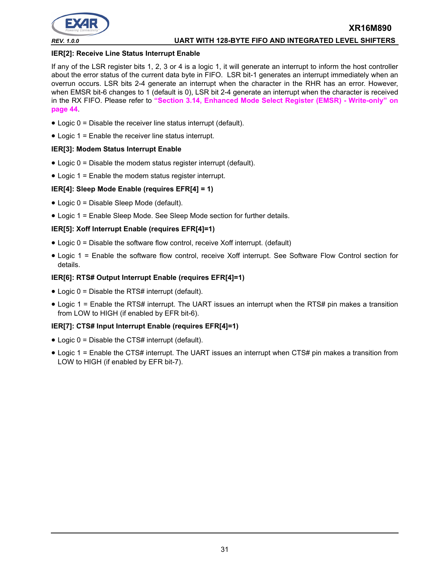

#### **IER[2]: Receive Line Status Interrupt Enable**

If any of the LSR register bits 1, 2, 3 or 4 is a logic 1, it will generate an interrupt to inform the host controller about the error status of the current data byte in FIFO. LSR bit-1 generates an interrupt immediately when an overrun occurs. LSR bits 2-4 generate an interrupt when the character in the RHR has an error. However, when EMSR bit-6 changes to 1 (default is 0), LSR bit 2-4 generate an interrupt when the character is received in the RX FIFO. Please refer to **["Section 3.14, Enhanced Mode Select Register \(EMSR\) - Write-only" on](#page-43-0) [page](#page-43-0) 44**.

- Logic 0 = Disable the receiver line status interrupt (default).
- Logic 1 = Enable the receiver line status interrupt.

#### **IER[3]: Modem Status Interrupt Enable**

- Logic 0 = Disable the modem status register interrupt (default).
- Logic 1 = Enable the modem status register interrupt.

#### **IER[4]: Sleep Mode Enable (requires EFR[4] = 1)**

- Logic 0 = Disable Sleep Mode (default).
- Logic 1 = Enable Sleep Mode. See Sleep Mode section for further details.

#### **IER[5]: Xoff Interrupt Enable (requires EFR[4]=1)**

- Logic 0 = Disable the software flow control, receive Xoff interrupt. (default)
- Logic 1 = Enable the software flow control, receive Xoff interrupt. See Software Flow Control section for details.

#### **IER[6]: RTS# Output Interrupt Enable (requires EFR[4]=1)**

- Logic 0 = Disable the RTS# interrupt (default).
- Logic 1 = Enable the RTS# interrupt. The UART issues an interrupt when the RTS# pin makes a transition from LOW to HIGH (if enabled by EFR bit-6).

#### **IER[7]: CTS# Input Interrupt Enable (requires EFR[4]=1)**

- Logic 0 = Disable the CTS# interrupt (default).
- Logic 1 = Enable the CTS# interrupt. The UART issues an interrupt when CTS# pin makes a transition from LOW to HIGH (if enabled by EFR bit-7).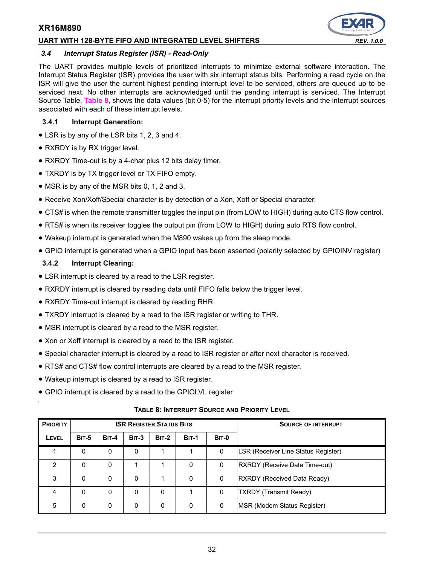#### **UART WITH 128-BYTE FIFO AND INTEGRATED LEVEL SHIFTERS** *REV. 1.0.0*

#### *3.4 Interrupt Status Register (ISR) - Read-Only*

The UART provides multiple levels of prioritized interrupts to minimize external software interaction. The Interrupt Status Register (ISR) provides the user with six interrupt status bits. Performing a read cycle on the ISR will give the user the current highest pending interrupt level to be serviced, others are queued up to be serviced next. No other interrupts are acknowledged until the pending interrupt is serviced. The Interrupt Source Table, **[Table](#page-31-0) 8**, shows the data values (bit 0-5) for the interrupt priority levels and the interrupt sources associated with each of these interrupt levels.

#### **3.4.1 Interrupt Generation:**

- LSR is by any of the LSR bits 1, 2, 3 and 4.
- RXRDY is by RX trigger level.
- RXRDY Time-out is by a 4-char plus 12 bits delay timer.
- TXRDY is by TX trigger level or TX FIFO empty.
- MSR is by any of the MSR bits 0, 1, 2 and 3.
- Receive Xon/Xoff/Special character is by detection of a Xon, Xoff or Special character.
- CTS# is when the remote transmitter toggles the input pin (from LOW to HIGH) during auto CTS flow control.
- RTS# is when its receiver toggles the output pin (from LOW to HIGH) during auto RTS flow control.
- Wakeup interrupt is generated when the M890 wakes up from the sleep mode.
- GPIO interrupt is generated when a GPIO input has been asserted (polarity selected by GPIOINV register)

#### **3.4.2 Interrupt Clearing:**

- LSR interrupt is cleared by a read to the LSR register.
- RXRDY interrupt is cleared by reading data until FIFO falls below the trigger level.
- RXRDY Time-out interrupt is cleared by reading RHR.
- TXRDY interrupt is cleared by a read to the ISR register or writing to THR.
- MSR interrupt is cleared by a read to the MSR register.
- Xon or Xoff interrupt is cleared by a read to the ISR register.
- Special character interrupt is cleared by a read to ISR register or after next character is received.
- RTS# and CTS# flow control interrupts are cleared by a read to the MSR register.
- Wakeup interrupt is cleared by a read to ISR register.
- GPIO interrupt is cleared by a read to the GPIOLVL register

#### **TABLE 8: INTERRUPT SOURCE AND PRIORITY LEVEL**

<span id="page-31-0"></span>

| <b>PRIORITY</b> |              |         |         | <b>ISR REGISTER STATUS BITS</b> |              | <b>SOURCE OF INTERRUPT</b> |                                     |
|-----------------|--------------|---------|---------|---------------------------------|--------------|----------------------------|-------------------------------------|
| LEVEL           | <b>BIT-5</b> | $BIT-4$ | $BIT-3$ | $BIT-2$                         | <b>BIT-1</b> | BIT-0                      |                                     |
|                 | 0            | 0       | 0       |                                 |              | 0                          | LSR (Receiver Line Status Register) |
| 2               | 0            | 0       |         |                                 | 0            | 0                          | RXRDY (Receive Data Time-out)       |
| 3               | 0            | 0       | 0       |                                 | 0            | 0                          | RXRDY (Received Data Ready)         |
| 4               | 0            | 0       | 0       | 0                               |              | 0                          | <b>TXRDY (Transmit Ready)</b>       |
| 5               | 0            | 0       | 0       | 0                               | 0            | 0                          | MSR (Modem Status Register)         |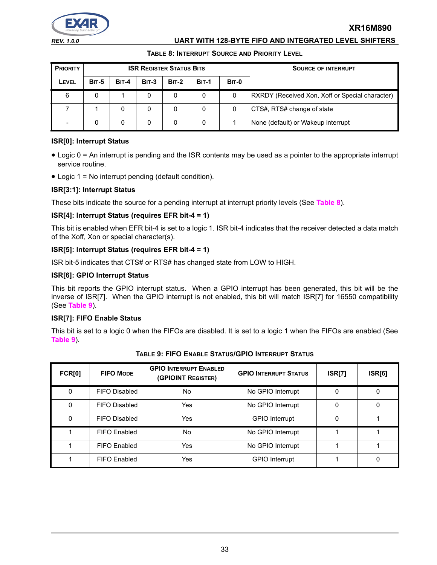

#### *REV. 1.0.0* **UART WITH 128-BYTE FIFO AND INTEGRATED LEVEL SHIFTERS**

#### **TABLE 8: INTERRUPT SOURCE AND PRIORITY LEVEL**

| <b>PRIORITY</b> | <b>ISR REGISTER STATUS BITS</b> |         |         |              |              |              | <b>SOURCE OF INTERRUPT</b>                             |
|-----------------|---------------------------------|---------|---------|--------------|--------------|--------------|--------------------------------------------------------|
| LEVEL           | <b>BIT-5</b>                    | $BIT-4$ | $BIT-3$ | <b>BIT-2</b> | <b>BIT-1</b> | <b>BIT-0</b> |                                                        |
| 6               | 0                               |         | 0       |              | 0            | 0            | <b>RXRDY</b> (Received Xon, Xoff or Special character) |
|                 |                                 | 0       | 0       |              | 0            | 0            | CTS#, RTS# change of state                             |
|                 |                                 | 0       | 0       |              | 0            |              | None (default) or Wakeup interrupt                     |

#### **ISR[0]: Interrupt Status**

- Logic 0 = An interrupt is pending and the ISR contents may be used as a pointer to the appropriate interrupt service routine.
- Logic 1 = No interrupt pending (default condition).

#### **ISR[3:1]: Interrupt Status**

These bits indicate the source for a pending interrupt at interrupt priority levels (See **[Table](#page-31-0) 8**).

#### **ISR[4]: Interrupt Status (requires EFR bit-4 = 1)**

This bit is enabled when EFR bit-4 is set to a logic 1. ISR bit-4 indicates that the receiver detected a data match of the Xoff, Xon or special character(s).

#### **ISR[5]: Interrupt Status (requires EFR bit-4 = 1)**

ISR bit-5 indicates that CTS# or RTS# has changed state from LOW to HIGH.

#### **ISR[6]: GPIO Interrupt Status**

This bit reports the GPIO interrupt status. When a GPIO interrupt has been generated, this bit will be the inverse of ISR[7]. When the GPIO interrupt is not enabled, this bit will match ISR[7] for 16550 compatibility (See **[Table](#page-32-0) 9**).

#### **ISR[7]: FIFO Enable Status**

This bit is set to a logic 0 when the FIFOs are disabled. It is set to a logic 1 when the FIFOs are enabled (See **[Table](#page-32-0) 9**).

<span id="page-32-0"></span>

| <b>FCR[0]</b> | <b>FIFO MODE</b>     | <b>GPIO INTERRUPT ENABLED</b><br>(GPIOINT REGISTER) | <b>GPIO INTERRUPT STATUS</b> | <b>ISR[7]</b> | <b>ISR[6]</b> |
|---------------|----------------------|-----------------------------------------------------|------------------------------|---------------|---------------|
| 0             | FIFO Disabled        | No.                                                 | No GPIO Interrupt            | 0             |               |
| 0             | FIFO Disabled        | Yes                                                 | No GPIO Interrupt            | 0             |               |
| 0             | <b>FIFO Disabled</b> | Yes                                                 | <b>GPIO</b> Interrupt        | 0             |               |
|               | FIFO Enabled         | No.                                                 | No GPIO Interrupt            |               |               |
|               | FIFO Enabled         | Yes                                                 | No GPIO Interrupt            |               |               |
|               | FIFO Enabled         | Yes                                                 | <b>GPIO</b> Interrupt        |               |               |

**TABLE 9: FIFO ENABLE STATUS/GPIO INTERRUPT STATUS**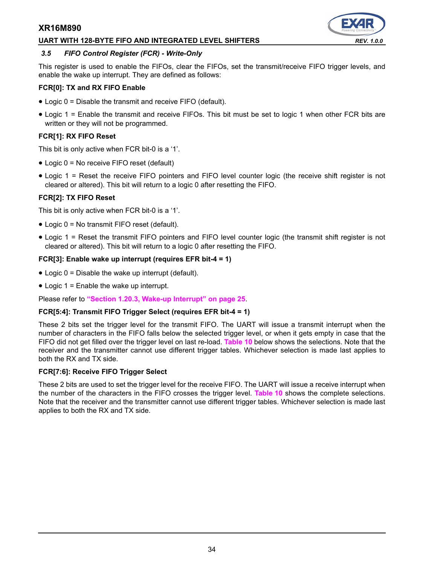#### **UART WITH 128-BYTE FIFO AND INTEGRATED LEVEL SHIFTERS** *REV. 1.0.0*



#### <span id="page-33-0"></span>*3.5 FIFO Control Register (FCR) - Write-Only*

This register is used to enable the FIFOs, clear the FIFOs, set the transmit/receive FIFO trigger levels, and enable the wake up interrupt. They are defined as follows:

#### **FCR[0]: TX and RX FIFO Enable**

- Logic 0 = Disable the transmit and receive FIFO (default).
- Logic 1 = Enable the transmit and receive FIFOs. This bit must be set to logic 1 when other FCR bits are written or they will not be programmed.

#### **FCR[1]: RX FIFO Reset**

This bit is only active when FCR bit-0 is a '1'.

- Logic 0 = No receive FIFO reset (default)
- Logic 1 = Reset the receive FIFO pointers and FIFO level counter logic (the receive shift register is not cleared or altered). This bit will return to a logic 0 after resetting the FIFO.

#### **FCR[2]: TX FIFO Reset**

This bit is only active when FCR bit-0 is a '1'.

- Logic 0 = No transmit FIFO reset (default).
- Logic 1 = Reset the transmit FIFO pointers and FIFO level counter logic (the transmit shift register is not cleared or altered). This bit will return to a logic 0 after resetting the FIFO.

#### **FCR[3]: Enable wake up interrupt (requires EFR bit-4 = 1)**

- Logic  $0 =$  Disable the wake up interrupt (default).
- Logic 1 = Enable the wake up interrupt.

Please refer to **["Section 1.20.3, Wake-up Interrupt" on page](#page-24-1) 25**.

#### **FCR[5:4]: Transmit FIFO Trigger Select (requires EFR bit-4 = 1)**

These 2 bits set the trigger level for the transmit FIFO. The UART will issue a transmit interrupt when the number of characters in the FIFO falls below the selected trigger level, or when it gets empty in case that the FIFO did not get filled over the trigger level on last re-load. **[Table](#page-34-0) 10** below shows the selections. Note that the receiver and the transmitter cannot use different trigger tables. Whichever selection is made last applies to both the RX and TX side.

#### **FCR[7:6]: Receive FIFO Trigger Select**

These 2 bits are used to set the trigger level for the receive FIFO. The UART will issue a receive interrupt when the number of the characters in the FIFO crosses the trigger level. **[Table](#page-34-0) 10** shows the complete selections. Note that the receiver and the transmitter cannot use different trigger tables. Whichever selection is made last applies to both the RX and TX side.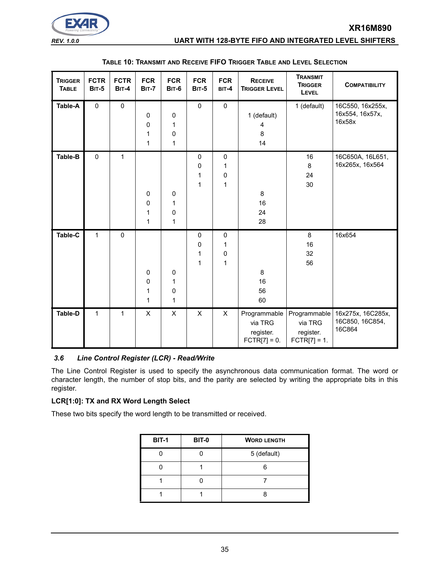

*REV. 1.0.0* **UART WITH 128-BYTE FIFO AND INTEGRATED LEVEL SHIFTERS**

<span id="page-34-0"></span>

| <b>TRIGGER</b><br><b>TABLE</b> | <b>FCTR</b><br><b>BIT-5</b> | <b>FCTR</b><br>BIT-4 | <b>FCR</b><br><b>BIT-7</b>           | <b>FCR</b><br><b>BIT-6</b> | <b>FCR</b><br><b>BIT-5</b> | <b>FCR</b><br>BIT-4                           | <b>RECEIVE</b><br><b>TRIGGER LEVEL</b>                 | <b>TRANSMIT</b><br><b>TRIGGER</b><br>LEVEL             | <b>COMPATIBILITY</b>                           |
|--------------------------------|-----------------------------|----------------------|--------------------------------------|----------------------------|----------------------------|-----------------------------------------------|--------------------------------------------------------|--------------------------------------------------------|------------------------------------------------|
| Table-A                        | $\mathbf 0$                 | $\mathbf 0$          | $\mathbf 0$<br>$\mathbf 0$<br>1<br>1 | $\pmb{0}$<br>1<br>0<br>1   | $\mathbf 0$                | $\mathbf 0$                                   | 1 (default)<br>4<br>8<br>14                            | 1 (default)                                            | 16C550, 16x255x,<br>16x554, 16x57x,<br>16x58x  |
| Table-B                        | $\pmb{0}$                   | $\mathbf{1}$         | $\mathbf 0$<br>$\mathbf 0$<br>1<br>1 | $\pmb{0}$<br>1<br>0<br>1   | 0<br>0<br>1<br>1           | $\mathsf 0$<br>1<br>$\pmb{0}$<br>$\mathbf{1}$ | 8<br>16<br>24<br>28                                    | 16<br>8<br>24<br>30                                    | 16C650A, 16L651,<br>16x265x, 16x564            |
| Table-C                        | $\mathbf{1}$                | $\mathbf 0$          | $\mathbf 0$<br>$\mathbf 0$<br>1<br>1 | $\pmb{0}$<br>1<br>0<br>1   | 0<br>0<br>1<br>1           | $\pmb{0}$<br>1<br>$\pmb{0}$<br>1              | 8<br>16<br>56<br>60                                    | 8<br>16<br>32<br>56                                    | 16x654                                         |
| <b>Table-D</b>                 | $\mathbf{1}$                | 1                    | $\mathsf{X}$                         | X                          | $\pmb{\times}$             | $\pmb{\times}$                                | Programmable<br>via TRG<br>register.<br>$FCTR[7] = 0.$ | Programmable<br>via TRG<br>register.<br>$FCTR[7] = 1.$ | 16x275x, 16C285x,<br>16C850, 16C854,<br>16C864 |

#### **TABLE 10: TRANSMIT AND RECEIVE FIFO TRIGGER TABLE AND LEVEL SELECTION**

#### *3.6 Line Control Register (LCR) - Read/Write*

The Line Control Register is used to specify the asynchronous data communication format. The word or character length, the number of stop bits, and the parity are selected by writing the appropriate bits in this register.

#### **LCR[1:0]: TX and RX Word Length Select**

These two bits specify the word length to be transmitted or received.

| <b>BIT-1</b> | <b>BIT-0</b> | <b>WORD LENGTH</b> |
|--------------|--------------|--------------------|
|              |              | 5 (default)        |
|              |              |                    |
|              |              |                    |
|              |              |                    |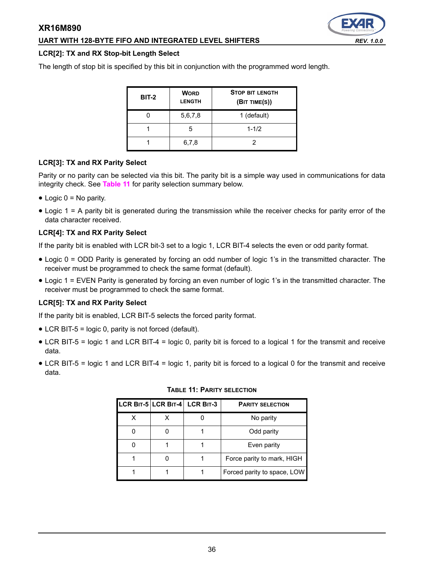## **UART WITH 128-BYTE FIFO AND INTEGRATED LEVEL SHIFTERS** *REV. 1.0.0*

#### **LCR[2]: TX and RX Stop-bit Length Select**

The length of stop bit is specified by this bit in conjunction with the programmed word length.

| <b>BIT-2</b> | <b>WORD</b><br><b>LENGTH</b> | <b>STOP BIT LENGTH</b><br>(BIT TIME(S)) |
|--------------|------------------------------|-----------------------------------------|
|              | 5,6,7,8                      | 1 (default)                             |
|              | 5                            | $1 - 1/2$                               |
|              | 6,7,8                        |                                         |

#### **LCR[3]: TX and RX Parity Select**

Parity or no parity can be selected via this bit. The parity bit is a simple way used in communications for data integrity check. See **[Table](#page-35-0) 11** for parity selection summary below.

- $\bullet$  Logic 0 = No parity.
- Logic 1 = A parity bit is generated during the transmission while the receiver checks for parity error of the data character received.

#### **LCR[4]: TX and RX Parity Select**

If the parity bit is enabled with LCR bit-3 set to a logic 1, LCR BIT-4 selects the even or odd parity format.

- Logic 0 = ODD Parity is generated by forcing an odd number of logic 1's in the transmitted character. The receiver must be programmed to check the same format (default).
- Logic 1 = EVEN Parity is generated by forcing an even number of logic 1's in the transmitted character. The receiver must be programmed to check the same format.

#### **LCR[5]: TX and RX Parity Select**

If the parity bit is enabled, LCR BIT-5 selects the forced parity format.

- LCR BIT-5 = logic 0, parity is not forced (default).
- LCR BIT-5 = logic 1 and LCR BIT-4 = logic 0, parity bit is forced to a logical 1 for the transmit and receive data.
- <span id="page-35-0"></span>• LCR BIT-5 = logic 1 and LCR BIT-4 = logic 1, parity bit is forced to a logical 0 for the transmit and receive data.

|  | LCR BIT-5 LCR BIT-4 LCR BIT-3 | <b>PARITY SELECTION</b>     |  |
|--|-------------------------------|-----------------------------|--|
|  |                               | No parity                   |  |
|  |                               | Odd parity                  |  |
|  |                               | Even parity                 |  |
|  |                               | Force parity to mark, HIGH  |  |
|  |                               | Forced parity to space, LOW |  |

#### **TABLE 11: PARITY SELECTION**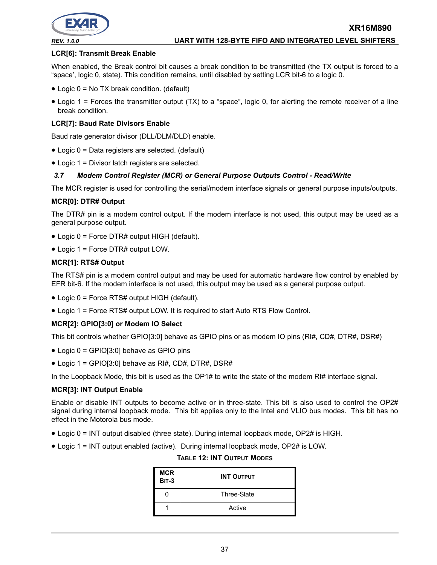

#### *REV. 1.0.0* **UART WITH 128-BYTE FIFO AND INTEGRATED LEVEL SHIFTERS**

#### **LCR[6]: Transmit Break Enable**

When enabled, the Break control bit causes a break condition to be transmitted (the TX output is forced to a "space', logic 0, state). This condition remains, until disabled by setting LCR bit-6 to a logic 0.

- Logic 0 = No TX break condition. (default)
- Logic 1 = Forces the transmitter output (TX) to a "space", logic 0, for alerting the remote receiver of a line break condition.

#### **LCR[7]: Baud Rate Divisors Enable**

Baud rate generator divisor (DLL/DLM/DLD) enable.

- Logic 0 = Data registers are selected. (default)
- Logic 1 = Divisor latch registers are selected.

#### *3.7 Modem Control Register (MCR) or General Purpose Outputs Control - Read/Write*

The MCR register is used for controlling the serial/modem interface signals or general purpose inputs/outputs.

#### **MCR[0]: DTR# Output**

The DTR# pin is a modem control output. If the modem interface is not used, this output may be used as a general purpose output.

- Logic 0 = Force DTR# output HIGH (default).
- Logic 1 = Force DTR# output LOW.

#### **MCR[1]: RTS# Output**

The RTS# pin is a modem control output and may be used for automatic hardware flow control by enabled by EFR bit-6. If the modem interface is not used, this output may be used as a general purpose output.

- Logic 0 = Force RTS# output HIGH (default).
- Logic 1 = Force RTS# output LOW. It is required to start Auto RTS Flow Control.

#### **MCR[2]: GPIO[3:0] or Modem IO Select**

This bit controls whether GPIO[3:0] behave as GPIO pins or as modem IO pins (RI#, CD#, DTR#, DSR#)

- Logic 0 = GPIO[3:0] behave as GPIO pins
- Logic 1 = GPIO[3:0] behave as RI#, CD#, DTR#, DSR#

In the Loopback Mode, this bit is used as the OP1# to write the state of the modem RI# interface signal.

#### **MCR[3]: INT Output Enable**

Enable or disable INT outputs to become active or in three-state. This bit is also used to control the OP2# signal during internal loopback mode. This bit applies only to the Intel and VLIO bus modes. This bit has no effect in the Motorola bus mode.

- Logic 0 = INT output disabled (three state). During internal loopback mode, OP2# is HIGH.
- Logic 1 = INT output enabled (active). During internal loopback mode, OP2# is LOW.

| <b>MCR</b><br><b>BIT-3</b> | <b>INT OUTPUT</b> |
|----------------------------|-------------------|
|                            | Three-State       |
|                            | Active            |

#### **TABLE 12: INT OUTPUT MODES**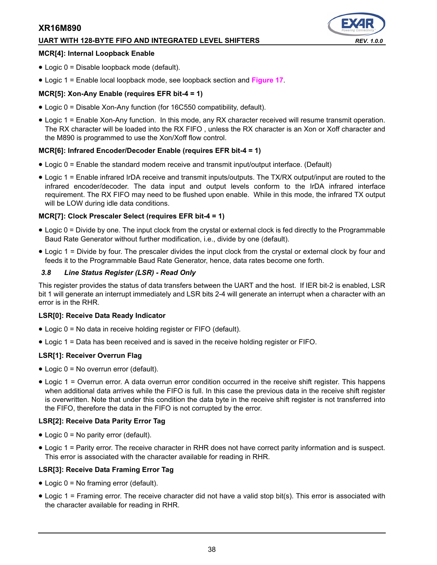#### **UART WITH 128-BYTE FIFO AND INTEGRATED LEVEL SHIFTERS** *REV. 1.0.0*



#### **MCR[4]: Internal Loopback Enable**

- Logic 0 = Disable loopback mode (default).
- Logic 1 = Enable local loopback mode, see loopback section and **[Figure](#page-25-0) 17**.

#### **MCR[5]: Xon-Any Enable (requires EFR bit-4 = 1)**

- Logic 0 = Disable Xon-Any function (for 16C550 compatibility, default).
- Logic 1 = Enable Xon-Any function. In this mode, any RX character received will resume transmit operation. The RX character will be loaded into the RX FIFO , unless the RX character is an Xon or Xoff character and the M890 is programmed to use the Xon/Xoff flow control.

#### **MCR[6]: Infrared Encoder/Decoder Enable (requires EFR bit-4 = 1)**

- Logic 0 = Enable the standard modem receive and transmit input/output interface. (Default)
- Logic 1 = Enable infrared IrDA receive and transmit inputs/outputs. The TX/RX output/input are routed to the infrared encoder/decoder. The data input and output levels conform to the IrDA infrared interface requirement. The RX FIFO may need to be flushed upon enable. While in this mode, the infrared TX output will be LOW during idle data conditions.

#### **MCR[7]: Clock Prescaler Select (requires EFR bit-4 = 1)**

- Logic 0 = Divide by one. The input clock from the crystal or external clock is fed directly to the Programmable Baud Rate Generator without further modification, i.e., divide by one (default).
- Logic 1 = Divide by four. The prescaler divides the input clock from the crystal or external clock by four and feeds it to the Programmable Baud Rate Generator, hence, data rates become one forth.

#### *3.8 Line Status Register (LSR) - Read Only*

This register provides the status of data transfers between the UART and the host. If IER bit-2 is enabled, LSR bit 1 will generate an interrupt immediately and LSR bits 2-4 will generate an interrupt when a character with an error is in the RHR.

#### **LSR[0]: Receive Data Ready Indicator**

- Logic 0 = No data in receive holding register or FIFO (default).
- Logic 1 = Data has been received and is saved in the receive holding register or FIFO.

#### **LSR[1]: Receiver Overrun Flag**

- Logic 0 = No overrun error (default).
- Logic 1 = Overrun error. A data overrun error condition occurred in the receive shift register. This happens when additional data arrives while the FIFO is full. In this case the previous data in the receive shift register is overwritten. Note that under this condition the data byte in the receive shift register is not transferred into the FIFO, therefore the data in the FIFO is not corrupted by the error.

#### **LSR[2]: Receive Data Parity Error Tag**

- Logic 0 = No parity error (default).
- Logic 1 = Parity error. The receive character in RHR does not have correct parity information and is suspect. This error is associated with the character available for reading in RHR.

#### **LSR[3]: Receive Data Framing Error Tag**

- Logic 0 = No framing error (default).
- Logic 1 = Framing error. The receive character did not have a valid stop bit(s). This error is associated with the character available for reading in RHR.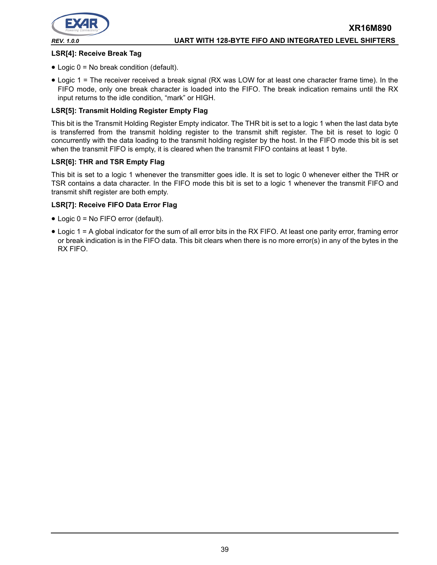

#### **LSR[4]: Receive Break Tag**

- Logic 0 = No break condition (default).
- Logic 1 = The receiver received a break signal (RX was LOW for at least one character frame time). In the FIFO mode, only one break character is loaded into the FIFO. The break indication remains until the RX input returns to the idle condition, "mark" or HIGH.

#### **LSR[5]: Transmit Holding Register Empty Flag**

This bit is the Transmit Holding Register Empty indicator. The THR bit is set to a logic 1 when the last data byte is transferred from the transmit holding register to the transmit shift register. The bit is reset to logic 0 concurrently with the data loading to the transmit holding register by the host. In the FIFO mode this bit is set when the transmit FIFO is empty, it is cleared when the transmit FIFO contains at least 1 byte.

#### **LSR[6]: THR and TSR Empty Flag**

This bit is set to a logic 1 whenever the transmitter goes idle. It is set to logic 0 whenever either the THR or TSR contains a data character. In the FIFO mode this bit is set to a logic 1 whenever the transmit FIFO and transmit shift register are both empty.

#### **LSR[7]: Receive FIFO Data Error Flag**

- Logic 0 = No FIFO error (default).
- Logic 1 = A global indicator for the sum of all error bits in the RX FIFO. At least one parity error, framing error or break indication is in the FIFO data. This bit clears when there is no more error(s) in any of the bytes in the RX FIFO.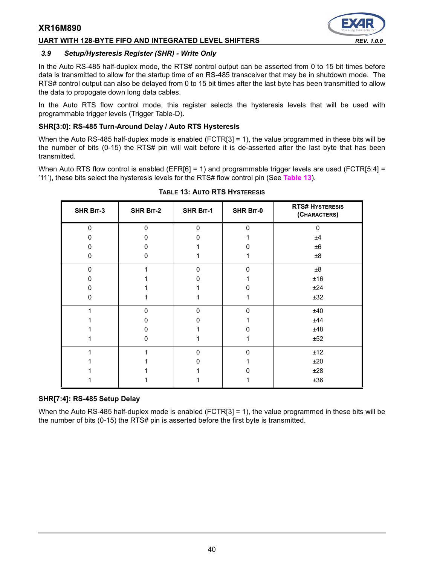#### UART WITH 128-BYTE FIFO AND INTEGRATED LEVEL SHIFTERS *REV. 1.0.0*

#### *3.9 Setup/Hysteresis Register (SHR) - Write Only*

In the Auto RS-485 half-duplex mode, the RTS# control output can be asserted from 0 to 15 bit times before data is transmitted to allow for the startup time of an RS-485 transceiver that may be in shutdown mode. The RTS# control output can also be delayed from 0 to 15 bit times after the last byte has been transmitted to allow the data to propogate down long data cables.

In the Auto RTS flow control mode, this register selects the hysteresis levels that will be used with programmable trigger levels (Trigger Table-D).

#### <span id="page-39-1"></span>**SHR[3:0]: RS-485 Turn-Around Delay / Auto RTS Hysteresis**

When the Auto RS-485 half-duplex mode is enabled (FCTR[3] = 1), the value programmed in these bits will be the number of bits (0-15) the RTS# pin will wait before it is de-asserted after the last byte that has been transmitted.

<span id="page-39-2"></span>When Auto RTS flow control is enabled (EFR $[6] = 1$ ) and programmable trigger levels are used (FCTR $[5:4] =$ '11'), these bits select the hysteresis levels for the RTS# flow control pin (See **[Table](#page-39-2) 13**).

| SHR BIT-3 | <b>SHR BIT-2</b> | <b>SHR BIT-1</b> | SHR BIT-0 | <b>RTS# HYSTERESIS</b><br>(CHARACTERS) |
|-----------|------------------|------------------|-----------|----------------------------------------|
| $\Omega$  | $\Omega$         | $\Omega$         | $\Omega$  | $\Omega$                               |
| ი         | 0                |                  |           | ±4                                     |
| 0         | 0                |                  |           | ±6                                     |
| 0         | 0                |                  |           | ±8                                     |
| $\Omega$  |                  | $\Omega$         | $\Omega$  | $8\pm$                                 |
| 0         |                  |                  |           | ±16                                    |
| O         |                  |                  | 0         | ±24                                    |
| 0         |                  |                  |           | ±32                                    |
|           | $\Omega$         | $\mathbf{0}$     | 0         | ±40                                    |
|           | n                | 0                |           | ±44                                    |
|           | 0                |                  |           | ±48                                    |
|           | 0                |                  |           | ±52                                    |
|           |                  | $\Omega$         | U         | ±12                                    |
|           |                  |                  |           | ±20                                    |
|           |                  |                  |           | ±28                                    |
|           |                  |                  |           | ±36                                    |

#### **TABLE 13: AUTO RTS HYSTERESIS**

#### <span id="page-39-0"></span>**SHR[7:4]: RS-485 Setup Delay**

When the Auto RS-485 half-duplex mode is enabled (FCTR[3] = 1), the value programmed in these bits will be the number of bits (0-15) the RTS# pin is asserted before the first byte is transmitted.

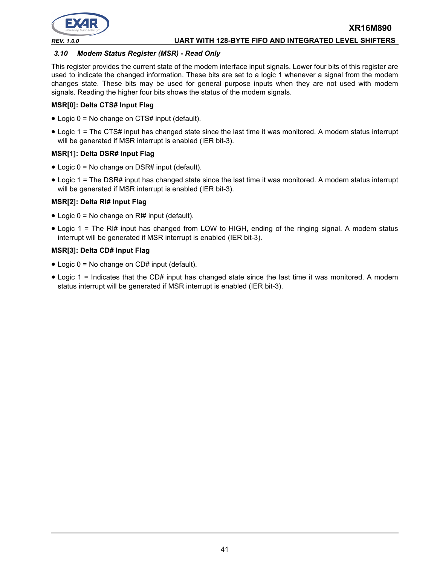

#### *3.10 Modem Status Register (MSR) - Read Only*

This register provides the current state of the modem interface input signals. Lower four bits of this register are used to indicate the changed information. These bits are set to a logic 1 whenever a signal from the modem changes state. These bits may be used for general purpose inputs when they are not used with modem signals. Reading the higher four bits shows the status of the modem signals.

#### **MSR[0]: Delta CTS# Input Flag**

- Logic 0 = No change on CTS# input (default).
- Logic 1 = The CTS# input has changed state since the last time it was monitored. A modem status interrupt will be generated if MSR interrupt is enabled (IER bit-3).

#### **MSR[1]: Delta DSR# Input Flag**

- Logic 0 = No change on DSR# input (default).
- Logic 1 = The DSR# input has changed state since the last time it was monitored. A modem status interrupt will be generated if MSR interrupt is enabled (IER bit-3).

#### **MSR[2]: Delta RI# Input Flag**

- Logic 0 = No change on RI# input (default).
- Logic 1 = The RI# input has changed from LOW to HIGH, ending of the ringing signal. A modem status interrupt will be generated if MSR interrupt is enabled (IER bit-3).

#### **MSR[3]: Delta CD# Input Flag**

- Logic 0 = No change on CD# input (default).
- Logic 1 = Indicates that the CD# input has changed state since the last time it was monitored. A modem status interrupt will be generated if MSR interrupt is enabled (IER bit-3).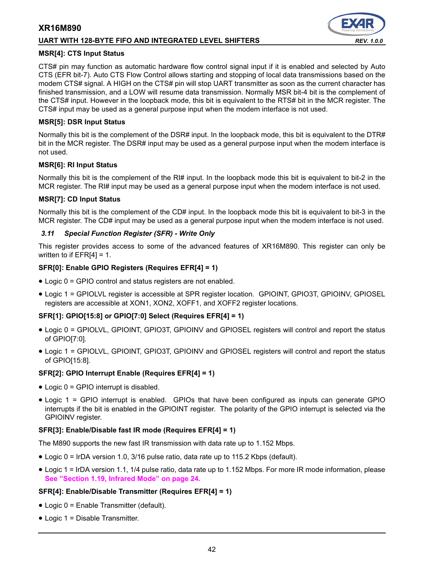#### **UART WITH 128-BYTE FIFO AND INTEGRATED LEVEL SHIFTERS** *REV. 1.0.0*

#### **MSR[4]: CTS Input Status**

CTS# pin may function as automatic hardware flow control signal input if it is enabled and selected by Auto CTS (EFR bit-7). Auto CTS Flow Control allows starting and stopping of local data transmissions based on the modem CTS# signal. A HIGH on the CTS# pin will stop UART transmitter as soon as the current character has finished transmission, and a LOW will resume data transmission. Normally MSR bit-4 bit is the complement of the CTS# input. However in the loopback mode, this bit is equivalent to the RTS# bit in the MCR register. The CTS# input may be used as a general purpose input when the modem interface is not used.

#### **MSR[5]: DSR Input Status**

Normally this bit is the complement of the DSR# input. In the loopback mode, this bit is equivalent to the DTR# bit in the MCR register. The DSR# input may be used as a general purpose input when the modem interface is not used.

#### **MSR[6]: RI Input Status**

Normally this bit is the complement of the RI# input. In the loopback mode this bit is equivalent to bit-2 in the MCR register. The RI# input may be used as a general purpose input when the modem interface is not used.

#### **MSR[7]: CD Input Status**

Normally this bit is the complement of the CD# input. In the loopback mode this bit is equivalent to bit-3 in the MCR register. The CD# input may be used as a general purpose input when the modem interface is not used.

#### *3.11 Special Function Register (SFR) - Write Only*

This register provides access to some of the advanced features of XR16M890. This register can only be written to if  $EFR[4] = 1$ .

#### **SFR[0]: Enable GPIO Registers (Requires EFR[4] = 1)**

- Logic 0 = GPIO control and status registers are not enabled.
- Logic 1 = GPIOLVL register is accessible at SPR register location. GPIOINT, GPIO3T, GPIOINV, GPIOSEL registers are accessible at XON1, XON2, XOFF1, and XOFF2 register locations.

#### **SFR[1]: GPIO[15:8] or GPIO[7:0] Select (Requires EFR[4] = 1)**

- Logic 0 = GPIOLVL, GPIOINT, GPIO3T, GPIOINV and GPIOSEL registers will control and report the status of GPIO[7:0].
- Logic 1 = GPIOLVL, GPIOINT, GPIO3T, GPIOINV and GPIOSEL registers will control and report the status of GPIO[15:8].

#### **SFR[2]: GPIO Interrupt Enable (Requires EFR[4] = 1)**

- Logic 0 = GPIO interrupt is disabled.
- Logic 1 = GPIO interrupt is enabled. GPIOs that have been configured as inputs can generate GPIO interrupts if the bit is enabled in the GPIOINT register. The polarity of the GPIO interrupt is selected via the GPIOINV register.

#### **SFR[3]: Enable/Disable fast IR mode (Requires EFR[4] = 1)**

The M890 supports the new fast IR transmission with data rate up to 1.152 Mbps.

- Logic 0 = IrDA version 1.0, 3/16 pulse ratio, data rate up to 115.2 Kbps (default).
- Logic 1 = IrDA version 1.1, 1/4 pulse ratio, data rate up to 1.152 Mbps. For more IR mode information, please **[See "Section 1.19, Infrared Mode" on page](#page-23-1) 24.**

#### **SFR[4]: Enable/Disable Transmitter (Requires EFR[4] = 1)**

- Logic 0 = Enable Transmitter (default).
- Logic 1 = Disable Transmitter.

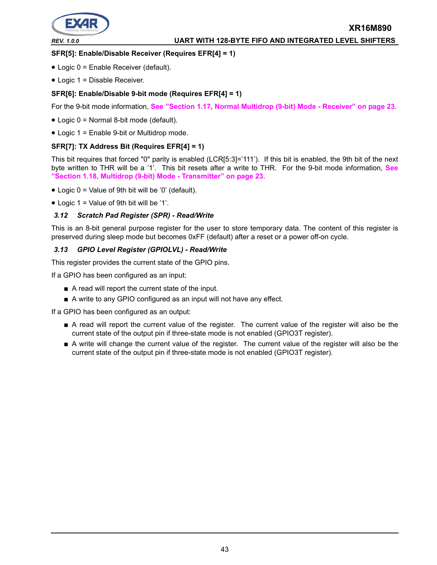

# *REV. 1.0.0* **UART WITH 128-BYTE FIFO AND INTEGRATED LEVEL SHIFTERS**

**XR16M890**

#### **SFR[5]: Enable/Disable Receiver (Requires EFR[4] = 1)**

- Logic 0 = Enable Receiver (default).
- Logic 1 = Disable Receiver.

#### **SFR[6]: Enable/Disable 9-bit mode (Requires EFR[4] = 1)**

For the 9-bit mode information, **[See "Section 1.17, Normal Multidrop \(9-bit\) Mode - Receiver" on page](#page-22-0) 23.**

- Logic 0 = Normal 8-bit mode (default).
- Logic 1 = Enable 9-bit or Multidrop mode.

#### **SFR[7]: TX Address Bit (Requires EFR[4] = 1)**

This bit requires that forced "0" parity is enabled (LCR[5:3]='111'). If this bit is enabled, the 9th bit of the next byte written to THR will be a '1'. This bit resets after a write to THR. For the 9-bit mode information, **[See](#page-22-1) ["Section 1.18, Multidrop \(9-bit\) Mode - Transmitter" on page](#page-22-1) 23.**

- Logic 0 = Value of 9th bit will be '0' (default).
- Logic  $1 =$  Value of 9th bit will be '1'.

#### *3.12 Scratch Pad Register (SPR) - Read/Write*

This is an 8-bit general purpose register for the user to store temporary data. The content of this register is preserved during sleep mode but becomes 0xFF (default) after a reset or a power off-on cycle.

#### *3.13 GPIO Level Register (GPIOLVL) - Read/Write*

This register provides the current state of the GPIO pins.

If a GPIO has been configured as an input:

- A read will report the current state of the input.
- A write to any GPIO configured as an input will not have any effect.

If a GPIO has been configured as an output:

- A read will report the current value of the register. The current value of the register will also be the current state of the output pin if three-state mode is not enabled (GPIO3T register).
- A write will change the current value of the register. The current value of the register will also be the current state of the output pin if three-state mode is not enabled (GPIO3T register).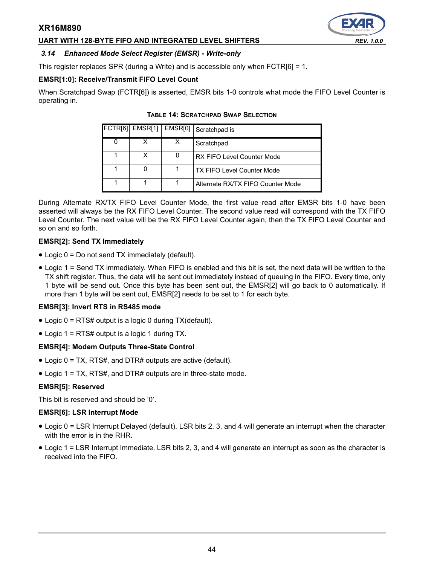#### **UART WITH 128-BYTE FIFO AND INTEGRATED LEVEL SHIFTERS** *REV. 1.0.0*

# <span id="page-43-0"></span>*3.14 Enhanced Mode Select Register (EMSR) - Write-only*

This register replaces SPR (during a Write) and is accessible only when FCTR[6] = 1.

#### **EMSR[1:0]: Receive/Transmit FIFO Level Count**

<span id="page-43-1"></span>When Scratchpad Swap (FCTR[6]) is asserted, EMSR bits 1-0 controls what mode the FIFO Level Counter is operating in.

|   | FCTR[6] EMSR[1]   EMSR[0] |   | Scratchpad is                     |
|---|---------------------------|---|-----------------------------------|
| 0 | x                         | х | Scratchpad                        |
|   | x                         |   | RX FIFO Level Counter Mode        |
|   | 0                         |   | <b>TX FIFO Level Counter Mode</b> |
|   |                           |   | Alternate RX/TX FIFO Counter Mode |

#### **TABLE 14: SCRATCHPAD SWAP SELECTION**

During Alternate RX/TX FIFO Level Counter Mode, the first value read after EMSR bits 1-0 have been asserted will always be the RX FIFO Level Counter. The second value read will correspond with the TX FIFO Level Counter. The next value will be the RX FIFO Level Counter again, then the TX FIFO Level Counter and so on and so forth.

#### **EMSR[2]: Send TX Immediately**

- Logic 0 = Do not send TX immediately (default).
- Logic 1 = Send TX immediately. When FIFO is enabled and this bit is set, the next data will be written to the TX shift register. Thus, the data will be sent out immediately instead of queuing in the FIFO. Every time, only 1 byte will be send out. Once this byte has been sent out, the EMSR[2] will go back to 0 automatically. If more than 1 byte will be sent out, EMSR[2] needs to be set to 1 for each byte.

#### **EMSR[3]: Invert RTS in RS485 mode**

- Logic 0 = RTS# output is a logic 0 during TX(default).
- Logic 1 = RTS# output is a logic 1 during TX.

#### **EMSR[4]: Modem Outputs Three-State Control**

- Logic 0 = TX, RTS#, and DTR# outputs are active (default).
- Logic 1 = TX, RTS#, and DTR# outputs are in three-state mode.

#### **EMSR[5]: Reserved**

This bit is reserved and should be '0'.

#### **EMSR[6]: LSR Interrupt Mode**

- Logic 0 = LSR Interrupt Delayed (default). LSR bits 2, 3, and 4 will generate an interrupt when the character with the error is in the RHR.
- Logic 1 = LSR Interrupt Immediate. LSR bits 2, 3, and 4 will generate an interrupt as soon as the character is received into the FIFO.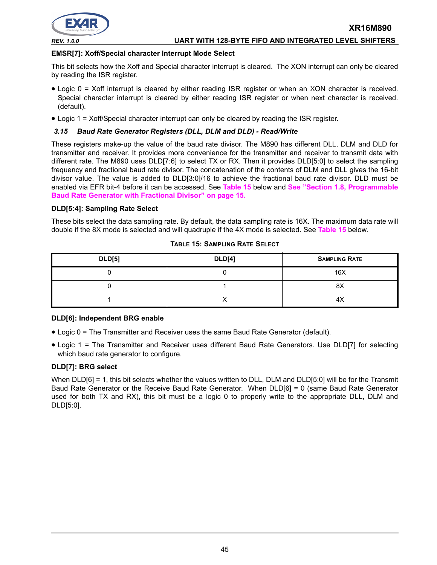

#### *REV. 1.0.0* **UART WITH 128-BYTE FIFO AND INTEGRATED LEVEL SHIFTERS**

#### **EMSR[7]: Xoff/Special character Interrupt Mode Select**

This bit selects how the Xoff and Special character interrupt is cleared. The XON interrupt can only be cleared by reading the ISR register.

- Logic 0 = Xoff interrupt is cleared by either reading ISR register or when an XON character is received. Special character interrupt is cleared by either reading ISR register or when next character is received. (default).
- Logic 1 = Xoff/Special character interrupt can only be cleared by reading the ISR register.

#### <span id="page-44-0"></span>*3.15 Baud Rate Generator Registers (DLL, DLM and DLD) - Read/Write*

These registers make-up the value of the baud rate divisor. The M890 has different DLL, DLM and DLD for transmitter and receiver. It provides more convenience for the transmitter and receiver to transmit data with different rate. The M890 uses DLD[7:6] to select TX or RX. Then it provides DLD[5:0] to select the sampling frequency and fractional baud rate divisor. The concatenation of the contents of DLM and DLL gives the 16-bit divisor value. The value is added to DLD[3:0]/16 to achieve the fractional baud rate divisor. DLD must be enabled via EFR bit-4 before it can be accessed. See **[Table](#page-44-1) 15** below and **[See "Section 1.8, Programmable](#page-14-0) [Baud Rate Generator with Fractional Divisor" on page](#page-14-0) 15.**

#### **DLD[5:4]: Sampling Rate Select**

These bits select the data sampling rate. By default, the data sampling rate is 16X. The maximum data rate will double if the 8X mode is selected and will quadruple if the 4X mode is selected. See **[Table](#page-44-1) 15** below.

<span id="page-44-1"></span>

| <b>DLD[5]</b> | <b>DLD[4]</b> | <b>SAMPLING RATE</b> |
|---------------|---------------|----------------------|
|               |               | 16X                  |
|               |               | 8X                   |
|               |               | 4X                   |

#### **TABLE 15: SAMPLING RATE SELECT**

#### **DLD[6]: Independent BRG enable**

- Logic 0 = The Transmitter and Receiver uses the same Baud Rate Generator (default).
- Logic 1 = The Transmitter and Receiver uses different Baud Rate Generators. Use DLD[7] for selecting which baud rate generator to configure.

#### **DLD[7]: BRG select**

When DLD[6] = 1, this bit selects whether the values written to DLL, DLM and DLD[5:0] will be for the Transmit Baud Rate Generator or the Receive Baud Rate Generator. When DLD[6] = 0 (same Baud Rate Generator used for both TX and RX), this bit must be a logic 0 to properly write to the appropriate DLL, DLM and DLD[5:0].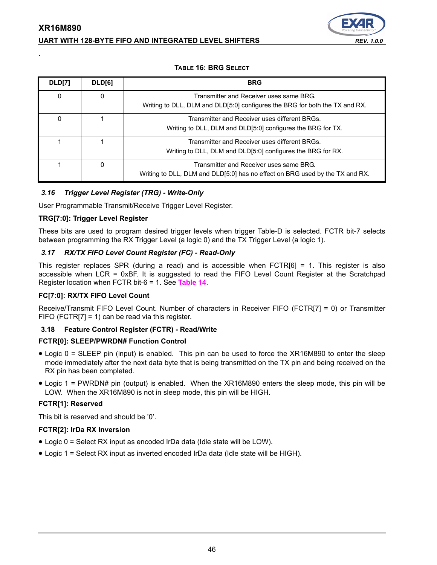# **XR16M890 UART WITH 128-BYTE FIFO AND INTEGRATED LEVEL SHIFTERS** *REV. 1.0.0*



#### **TABLE 16: BRG SELECT**

| <b>DLD[7]</b> | DLD[6]   | <b>BRG</b>                                                                                                              |
|---------------|----------|-------------------------------------------------------------------------------------------------------------------------|
| 0             | $\Omega$ | Transmitter and Receiver uses same BRG.<br>Writing to DLL, DLM and DLD[5:0] configures the BRG for both the TX and RX.  |
| 0             |          | Transmitter and Receiver uses different BRGs.<br>Writing to DLL, DLM and DLD[5:0] configures the BRG for TX.            |
|               |          | Transmitter and Receiver uses different BRGs.<br>Writing to DLL, DLM and DLD[5:0] configures the BRG for RX.            |
|               | $\Omega$ | Transmitter and Receiver uses same BRG.<br>Writing to DLL, DLM and DLD[5:0] has no effect on BRG used by the TX and RX. |

#### *3.16 Trigger Level Register (TRG) - Write-Only*

User Programmable Transmit/Receive Trigger Level Register.

#### **TRG[7:0]: Trigger Level Register**

.

These bits are used to program desired trigger levels when trigger Table-D is selected. FCTR bit-7 selects between programming the RX Trigger Level (a logic 0) and the TX Trigger Level (a logic 1).

#### *3.17 RX/TX FIFO Level Count Register (FC) - Read-Only*

This register replaces SPR (during a read) and is accessible when FCTR[6] = 1. This register is also accessible when LCR = 0xBF. It is suggested to read the FIFO Level Count Register at the Scratchpad Register location when FCTR bit-6 = 1. See **[Table](#page-43-1) 14**.

#### **FC[7:0]: RX/TX FIFO Level Count**

Receive/Transmit FIFO Level Count. Number of characters in Receiver FIFO (FCTR[7] = 0) or Transmitter FIFO (FCTR[7] = 1) can be read via this register.

#### **3.18 Feature Control Register (FCTR) - Read/Write**

#### **FCTR[0]: SLEEP/PWRDN# Function Control**

- Logic 0 = SLEEP pin (input) is enabled. This pin can be used to force the XR16M890 to enter the sleep mode immediately after the next data byte that is being transmitted on the TX pin and being received on the RX pin has been completed.
- Logic 1 = PWRDN# pin (output) is enabled. When the XR16M890 enters the sleep mode, this pin will be LOW. When the XR16M890 is not in sleep mode, this pin will be HIGH.

#### **FCTR[1]: Reserved**

This bit is reserved and should be '0'.

#### **FCTR[2]: IrDa RX Inversion**

- Logic 0 = Select RX input as encoded IrDa data (Idle state will be LOW).
- Logic 1 = Select RX input as inverted encoded IrDa data (Idle state will be HIGH).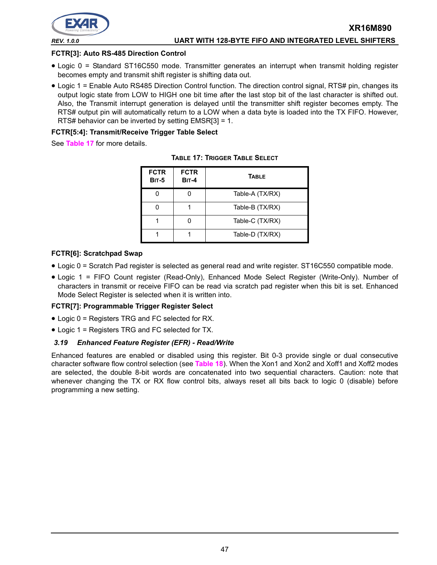

#### *REV. 1.0.0* **UART WITH 128-BYTE FIFO AND INTEGRATED LEVEL SHIFTERS**

#### **FCTR[3]: Auto RS-485 Direction Control**

- Logic 0 = Standard ST16C550 mode. Transmitter generates an interrupt when transmit holding register becomes empty and transmit shift register is shifting data out.
- Logic 1 = Enable Auto RS485 Direction Control function. The direction control signal, RTS# pin, changes its output logic state from LOW to HIGH one bit time after the last stop bit of the last character is shifted out. Also, the Transmit interrupt generation is delayed until the transmitter shift register becomes empty. The RTS# output pin will automatically return to a LOW when a data byte is loaded into the TX FIFO. However, RTS# behavior can be inverted by setting EMSR[3] = 1.

#### **FCTR[5:4]: Transmit/Receive Trigger Table Select**

<span id="page-46-0"></span>See **[Table](#page-46-0) 17** for more details.

| <b>FCTR</b><br><b>BIT-5</b> | <b>FCTR</b><br><b>BIT-4</b> | <b>TABLE</b>    |  |  |  |
|-----------------------------|-----------------------------|-----------------|--|--|--|
|                             |                             | Table-A (TX/RX) |  |  |  |
|                             |                             | Table-B (TX/RX) |  |  |  |
|                             |                             | Table-C (TX/RX) |  |  |  |
|                             |                             | Table-D (TX/RX) |  |  |  |

| <b>TABLE 17: TRIGGER TABLE SELECT</b> |  |  |  |
|---------------------------------------|--|--|--|
|---------------------------------------|--|--|--|

#### **FCTR[6]: Scratchpad Swap**

- Logic 0 = Scratch Pad register is selected as general read and write register. ST16C550 compatible mode.
- Logic 1 = FIFO Count register (Read-Only), Enhanced Mode Select Register (Write-Only). Number of characters in transmit or receive FIFO can be read via scratch pad register when this bit is set. Enhanced Mode Select Register is selected when it is written into.

#### **FCTR[7]: Programmable Trigger Register Select**

- Logic 0 = Registers TRG and FC selected for RX.
- Logic 1 = Registers TRG and FC selected for TX.

#### *3.19 Enhanced Feature Register (EFR) - Read/Write*

Enhanced features are enabled or disabled using this register. Bit 0-3 provide single or dual consecutive character software flow control selection (see **[Table](#page-47-0) 18**). When the Xon1 and Xon2 and Xoff1 and Xoff2 modes are selected, the double 8-bit words are concatenated into two sequential characters. Caution: note that whenever changing the TX or RX flow control bits, always reset all bits back to logic 0 (disable) before programming a new setting.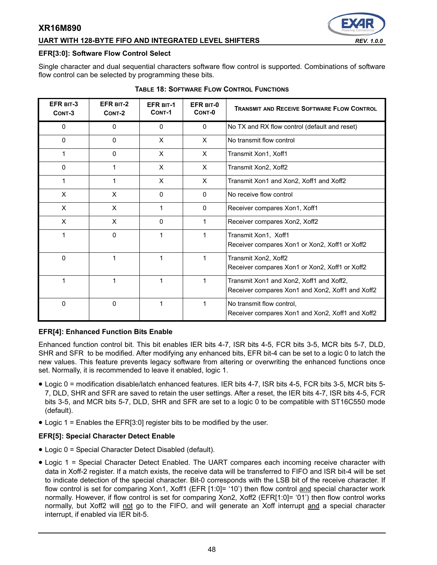#### **UART WITH 128-BYTE FIFO AND INTEGRATED LEVEL SHIFTERS** *REV. 1.0.0*



#### **EFR[3:0]: Software Flow Control Select**

Single character and dual sequential characters software flow control is supported. Combinations of software flow control can be selected by programming these bits.

<span id="page-47-0"></span>

| EFR BIT-3<br>CONT-3 | EFR BIT-2<br>CONT-2 | <b>EFR BIT-1</b><br>CONT-1 | EFR BIT-0<br>CONT-0 | <b>TRANSMIT AND RECEIVE SOFTWARE FLOW CONTROL</b>                                            |
|---------------------|---------------------|----------------------------|---------------------|----------------------------------------------------------------------------------------------|
| 0                   | 0                   | 0                          | $\mathbf{0}$        | No TX and RX flow control (default and reset)                                                |
| $\mathbf{0}$        | $\mathbf{0}$        | X                          | $\times$            | No transmit flow control                                                                     |
| 1                   | 0                   | X                          | X                   | Transmit Xon1, Xoff1                                                                         |
| 0                   | 1                   | X                          | X                   | Transmit Xon2, Xoff2                                                                         |
| 1                   |                     | X                          | X                   | Transmit Xon1 and Xon2, Xoff1 and Xoff2                                                      |
| X                   | X                   | $\Omega$                   | $\mathbf{0}$        | No receive flow control                                                                      |
| X                   | X                   | 1                          | $\Omega$            | Receiver compares Xon1, Xoff1                                                                |
| X                   | X                   | 0                          |                     | Receiver compares Xon2, Xoff2                                                                |
| 1                   | 0                   | 1                          | 1                   | Transmit Xon1, Xoff1<br>Receiver compares Xon1 or Xon2, Xoff1 or Xoff2                       |
| $\Omega$            | 1                   | 1                          |                     | Transmit Xon2, Xoff2<br>Receiver compares Xon1 or Xon2, Xoff1 or Xoff2                       |
| 1                   | 1                   | 1                          | 1                   | Transmit Xon1 and Xon2, Xoff1 and Xoff2,<br>Receiver compares Xon1 and Xon2, Xoff1 and Xoff2 |
| 0                   | 0                   | 1                          | 1                   | No transmit flow control,<br>Receiver compares Xon1 and Xon2, Xoff1 and Xoff2                |

#### **TABLE 18: SOFTWARE FLOW CONTROL FUNCTIONS**

#### **EFR[4]: Enhanced Function Bits Enable**

Enhanced function control bit. This bit enables IER bits 4-7, ISR bits 4-5, FCR bits 3-5, MCR bits 5-7, DLD, SHR and SFR to be modified. After modifying any enhanced bits, EFR bit-4 can be set to a logic 0 to latch the new values. This feature prevents legacy software from altering or overwriting the enhanced functions once set. Normally, it is recommended to leave it enabled, logic 1.

- Logic 0 = modification disable/latch enhanced features. IER bits 4-7, ISR bits 4-5, FCR bits 3-5, MCR bits 5- 7, DLD, SHR and SFR are saved to retain the user settings. After a reset, the IER bits 4-7, ISR bits 4-5, FCR bits 3-5, and MCR bits 5-7, DLD, SHR and SFR are set to a logic 0 to be compatible with ST16C550 mode (default).
- Logic 1 = Enables the EFR[3:0] register bits to be modified by the user.

#### **EFR[5]: Special Character Detect Enable**

- Logic 0 = Special Character Detect Disabled (default).
- Logic 1 = Special Character Detect Enabled. The UART compares each incoming receive character with data in Xoff-2 register. If a match exists, the receive data will be transferred to FIFO and ISR bit-4 will be set to indicate detection of the special character. Bit-0 corresponds with the LSB bit of the receive character. If flow control is set for comparing Xon1, Xoff1 (EFR [1:0]= '10') then flow control and special character work normally. However, if flow control is set for comparing Xon2, Xoff2 (EFR[1:0]= '01') then flow control works normally, but Xoff2 will not go to the FIFO, and will generate an Xoff interrupt and a special character interrupt, if enabled via IER bit-5.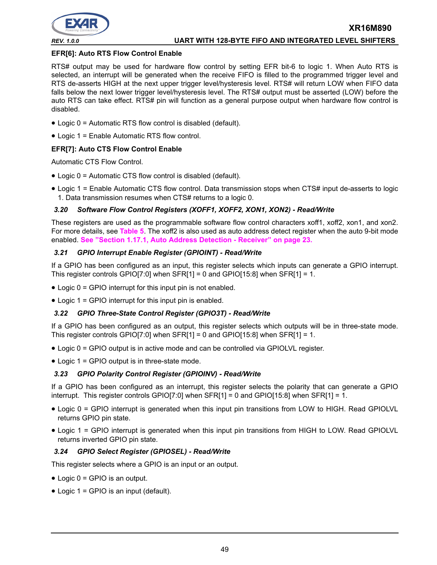

#### **EFR[6]: Auto RTS Flow Control Enable**

RTS# output may be used for hardware flow control by setting EFR bit-6 to logic 1. When Auto RTS is selected, an interrupt will be generated when the receive FIFO is filled to the programmed trigger level and RTS de-asserts HIGH at the next upper trigger level/hysteresis level. RTS# will return LOW when FIFO data falls below the next lower trigger level/hysteresis level. The RTS# output must be asserted (LOW) before the auto RTS can take effect. RTS# pin will function as a general purpose output when hardware flow control is disabled.

- Logic 0 = Automatic RTS flow control is disabled (default).
- Logic 1 = Enable Automatic RTS flow control.

#### **EFR[7]: Auto CTS Flow Control Enable**

Automatic CTS Flow Control.

- Logic 0 = Automatic CTS flow control is disabled (default).
- Logic 1 = Enable Automatic CTS flow control. Data transmission stops when CTS# input de-asserts to logic 1. Data transmission resumes when CTS# returns to a logic 0.

#### *3.20 Software Flow Control Registers (XOFF1, XOFF2, XON1, XON2) - Read/Write*

These registers are used as the programmable software flow control characters xoff1, xoff2, xon1, and xon2. For more details, see **[Table](#page-21-0) 5**. The xoff2 is also used as auto address detect register when the auto 9-bit mode enabled. **[See "Section 1.17.1, Auto Address Detection - Receiver" on page](#page-22-2) 23.**

#### *3.21 GPIO Interrupt Enable Register (GPIOINT) - Read/Write*

If a GPIO has been configured as an input, this register selects which inputs can generate a GPIO interrupt. This register controls GPIO[7:0] when SFR[1] = 0 and GPIO[15:8] when SFR[1] = 1.

- Logic 0 = GPIO interrupt for this input pin is not enabled.
- Logic 1 = GPIO interrupt for this input pin is enabled.

#### *3.22 GPIO Three-State Control Register (GPIO3T) - Read/Write*

If a GPIO has been configured as an output, this register selects which outputs will be in three-state mode. This register controls GPIO[7:0] when  $SFR[1] = 0$  and GPIO[15:8] when  $SFR[1] = 1$ .

- Logic 0 = GPIO output is in active mode and can be controlled via GPIOLVL register.
- Logic 1 = GPIO output is in three-state mode.

#### *3.23 GPIO Polarity Control Register (GPIOINV) - Read/Write*

If a GPIO has been configured as an interrupt, this register selects the polarity that can generate a GPIO interrupt. This register controls GPIO[7:0] when SFR[1] = 0 and GPIO[15:8] when SFR[1] = 1.

- Logic 0 = GPIO interrupt is generated when this input pin transitions from LOW to HIGH. Read GPIOLVL returns GPIO pin state.
- Logic 1 = GPIO interrupt is generated when this input pin transitions from HIGH to LOW. Read GPIOLVL returns inverted GPIO pin state.

#### *3.24 GPIO Select Register (GPIOSEL) - Read/Write*

This register selects where a GPIO is an input or an output.

- Logic 0 = GPIO is an output.
- Logic 1 = GPIO is an input (default).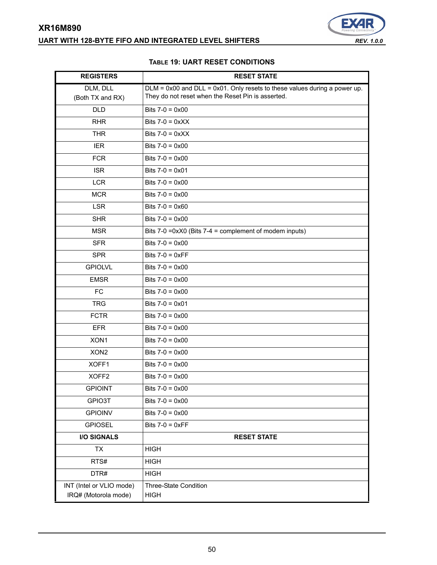# **XR16M890 UART WITH 128-BYTE FIFO AND INTEGRATED LEVEL SHIFTERS** *REV. 1.0.0*



#### **TABLE 19: UART RESET CONDITIONS**

<span id="page-49-0"></span>

| <b>REGISTERS</b>                                 | <b>RESET STATE</b>                                                             |
|--------------------------------------------------|--------------------------------------------------------------------------------|
| DLM, DLL                                         | $DLM = 0x00$ and $DLL = 0x01$ . Only resets to these values during a power up. |
| (Both TX and RX)                                 | They do not reset when the Reset Pin is asserted.                              |
| <b>DLD</b>                                       | Bits $7-0 = 0 \times 00$                                                       |
| <b>RHR</b>                                       | Bits $7-0 = 0 \times X$                                                        |
| <b>THR</b>                                       | Bits $7-0 = 0 \times X$                                                        |
| <b>IER</b>                                       | Bits $7-0 = 0 \times 00$                                                       |
| <b>FCR</b>                                       | Bits $7-0 = 0 \times 00$                                                       |
| <b>ISR</b>                                       | Bits $7-0 = 0 \times 01$                                                       |
| <b>LCR</b>                                       | Bits $7-0 = 0 \times 00$                                                       |
| <b>MCR</b>                                       | Bits $7-0 = 0 \times 00$                                                       |
| <b>LSR</b>                                       | Bits $7-0 = 0 \times 60$                                                       |
| <b>SHR</b>                                       | Bits $7-0 = 0 \times 00$                                                       |
| <b>MSR</b>                                       | Bits $7-0$ =0xX0 (Bits $7-4$ = complement of modem inputs)                     |
| <b>SFR</b>                                       | Bits $7-0 = 0 \times 00$                                                       |
| <b>SPR</b>                                       | Bits $7-0 = 0 \times FF$                                                       |
| <b>GPIOLVL</b>                                   | Bits $7-0 = 0 \times 00$                                                       |
| <b>EMSR</b>                                      | Bits $7-0 = 0 \times 00$                                                       |
| <b>FC</b>                                        | Bits $7-0 = 0 \times 00$                                                       |
| <b>TRG</b>                                       | Bits $7-0 = 0 \times 01$                                                       |
| <b>FCTR</b>                                      | Bits $7-0 = 0 \times 00$                                                       |
| <b>EFR</b>                                       | Bits $7-0 = 0 \times 00$                                                       |
| XON1                                             | Bits $7-0 = 0 \times 00$                                                       |
| XON <sub>2</sub>                                 | Bits $7-0 = 0 \times 00$                                                       |
| XOFF1                                            | Bits $7-0 = 0 \times 00$                                                       |
| XOFF <sub>2</sub>                                | Bits $7-0 = 0 \times 00$                                                       |
| <b>GPIOINT</b>                                   | Bits $7-0 = 0 \times 00$                                                       |
| GPIO3T                                           | Bits $7-0 = 0 \times 00$                                                       |
| <b>GPIOINV</b>                                   | Bits $7-0 = 0 \times 00$                                                       |
| <b>GPIOSEL</b>                                   | Bits $7-0 = 0 \times FF$                                                       |
| <b>I/O SIGNALS</b>                               | <b>RESET STATE</b>                                                             |
| <b>TX</b>                                        | <b>HIGH</b>                                                                    |
| RTS#                                             | <b>HIGH</b>                                                                    |
| DTR#                                             | <b>HIGH</b>                                                                    |
| INT (Intel or VLIO mode)<br>IRQ# (Motorola mode) | Three-State Condition<br><b>HIGH</b>                                           |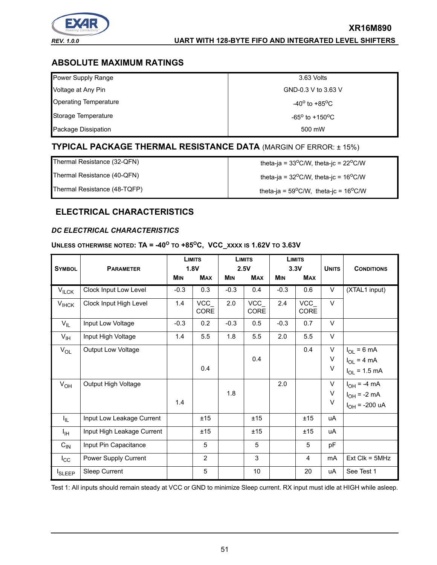

## *REV. 1.0.0* **UART WITH 128-BYTE FIFO AND INTEGRATED LEVEL SHIFTERS**

**XR16M890**

# **ABSOLUTE MAXIMUM RATINGS**

| Power Supply Range           | 3.63 Volts                         |
|------------------------------|------------------------------------|
| Voltage at Any Pin           | GND-0.3 V to 3.63 V                |
| <b>Operating Temperature</b> | -40 $^{\rm o}$ to +85 $^{\rm o}$ C |
| Storage Temperature          | $-65^{\circ}$ to $+150^{\circ}$ C  |
| Package Dissipation          | 500 mW                             |

# **TYPICAL PACKAGE THERMAL RESISTANCE DATA** (MARGIN OF ERROR: ± 15%)

| Thermal Resistance (32-QFN)  | theta-ja = $33^{\circ}$ C/W, theta-jc = $22^{\circ}$ C/W |
|------------------------------|----------------------------------------------------------|
| Thermal Resistance (40-QFN)  | theta-ja = $32^{\circ}$ C/W, theta-jc = $16^{\circ}$ C/W |
| Thermal Resistance (48-TQFP) | theta-ja = $59^{\circ}$ C/W, theta-jc = $16^{\circ}$ C/W |

# **ELECTRICAL CHARACTERISTICS**

#### *DC ELECTRICAL CHARACTERISTICS*

# UNLESS OTHERWISE NOTED:  $TA = -40^\circ$  to  $+85^\circ$ C, VCC\_XXXX IS 1.62V TO 3.63V

| <b>SYMBOL</b>     |                            |            |                |            | <b>LIMITS</b><br>1.8V<br><b>PARAMETER</b> |            | <b>LIMITS</b><br>2.5V |             | <b>LIMITS</b><br>3.3V                                      |  | <b>UNITS</b> | <b>CONDITIONS</b> |
|-------------------|----------------------------|------------|----------------|------------|-------------------------------------------|------------|-----------------------|-------------|------------------------------------------------------------|--|--------------|-------------------|
|                   |                            | <b>MIN</b> | <b>MAX</b>     | <b>MIN</b> | <b>MAX</b>                                | <b>MIN</b> | <b>MAX</b>            |             |                                                            |  |              |                   |
| $V_{\text{ILCK}}$ | Clock Input Low Level      | $-0.3$     | 0.3            | $-0.3$     | 0.4                                       | $-0.3$     | 0.6                   | V           | (XTAL1 input)                                              |  |              |                   |
| $V_{I H C K}$     | Clock Input High Level     | 1.4        | VCC<br>CORE    | 2.0        | VCC<br>CORE                               | 2.4        | VCC<br>CORE           | $\vee$      |                                                            |  |              |                   |
| $V_{IL}$          | Input Low Voltage          | $-0.3$     | 0.2            | $-0.3$     | 0.5                                       | $-0.3$     | 0.7                   | $\vee$      |                                                            |  |              |                   |
| $V_{\text{IH}}$   | Input High Voltage         | 1.4        | 5.5            | 1.8        | 5.5                                       | 2.0        | 5.5                   | $\vee$      |                                                            |  |              |                   |
| $V_{OL}$          | <b>Output Low Voltage</b>  |            | 0.4            |            | 0.4                                       |            | 0.4                   | V<br>V<br>V | $I_{OL}$ = 6 mA<br>$I_{OL}$ = 4 mA<br>$I_{OL} = 1.5$ mA    |  |              |                   |
| $V_{OH}$          | Output High Voltage        | 1.4        |                | 1.8        |                                           | 2.0        |                       | V<br>V<br>V | $I_{OH}$ = -4 mA<br>$I_{OH} = -2 mA$<br>$I_{OH}$ = -200 uA |  |              |                   |
| $I_{IL}$          | Input Low Leakage Current  |            | ±15            |            | ±15                                       |            | ±15                   | uA          |                                                            |  |              |                   |
| $I_{\text{IH}}$   | Input High Leakage Current |            | ±15            |            | ±15                                       |            | ±15                   | uA          |                                                            |  |              |                   |
| $C_{IN}$          | Input Pin Capacitance      |            | 5              |            | 5                                         |            | 5                     | pF          |                                                            |  |              |                   |
| $I_{\rm CC}$      | Power Supply Current       |            | $\overline{2}$ |            | $\mathbf{3}$                              |            | 4                     | mA          | $Ext$ Clk = $5MHz$                                         |  |              |                   |
| <b>I</b> SLEEP    | Sleep Current              |            | $\sqrt{5}$     |            | 10 <sup>°</sup>                           |            | 20                    | uA          | See Test 1                                                 |  |              |                   |

Test 1: All inputs should remain steady at VCC or GND to minimize Sleep current. RX input must idle at HIGH while asleep.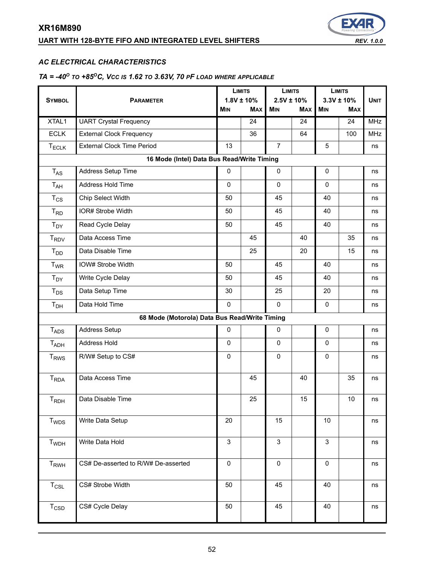# **UART WITH 128-BYTE FIFO AND INTEGRATED LEVEL SHIFTERS** *REV. 1.0.0*



#### *AC ELECTRICAL CHARACTERISTICS*

# *TA = -40O TO +85OC, VCC IS 1.62 TO 3.63V, 70 PF LOAD WHERE APPLICABLE*

|                                      |                                               | <b>LIMITS</b> |                 | <b>LIMITS</b>   |            | <b>LIMITS</b> |                 |             |
|--------------------------------------|-----------------------------------------------|---------------|-----------------|-----------------|------------|---------------|-----------------|-------------|
| <b>SYMBOL</b>                        | <b>PARAMETER</b>                              |               | $1.8V \pm 10\%$ | $2.5V \pm 10\%$ |            |               | $3.3V \pm 10\%$ | <b>UNIT</b> |
|                                      |                                               | <b>MIN</b>    | <b>MAX</b>      | <b>MIN</b>      | <b>MAX</b> | MIN           | <b>MAX</b>      |             |
| XTAL1                                | <b>UART Crystal Frequency</b>                 |               | 24              |                 | 24         |               | 24              | <b>MHz</b>  |
| <b>ECLK</b>                          | <b>External Clock Frequency</b>               |               | 36              |                 | 64         |               | 100             | <b>MHz</b>  |
| $T_{ECLK}$                           | <b>External Clock Time Period</b>             | 13            |                 | $\overline{7}$  |            | 5             |                 | ns          |
|                                      | 16 Mode (Intel) Data Bus Read/Write Timing    |               |                 |                 |            |               |                 |             |
| $T_{AS}$                             | Address Setup Time                            | 0             |                 | 0               |            | 0             |                 | ns          |
| $T_{AH}$                             | Address Hold Time                             | 0             |                 | $\mathbf 0$     |            | 0             |                 | ns          |
| $T_{CS}$                             | Chip Select Width                             | 50            |                 | 45              |            | 40            |                 | ns          |
| $T_{RD}$                             | IOR# Strobe Width                             | 50            |                 | 45              |            | 40            |                 | ns          |
| $T_{DY}$                             | Read Cycle Delay                              | 50            |                 | 45              |            | 40            |                 | ns          |
| $T_{\mathsf{RDV}}$                   | Data Access Time                              |               | 45              |                 | 40         |               | 35              | ns          |
| T <sub>DD</sub>                      | Data Disable Time                             |               | 25              |                 | 20         |               | 15              | ns          |
| $T_{WR}$                             | IOW# Strobe Width                             | 50            |                 | 45              |            | 40            |                 | ns          |
| $T_{DY}$                             | Write Cycle Delay                             | 50            |                 | 45              |            | 40            |                 | ns          |
| $T_{DS}$                             | Data Setup Time                               | 30            |                 | 25              |            | 20            |                 | ns          |
| T <sub>DH</sub>                      | Data Hold Time                                | 0             |                 | $\mathbf 0$     |            | $\pmb{0}$     |                 | ns          |
|                                      | 68 Mode (Motorola) Data Bus Read/Write Timing |               |                 |                 |            |               |                 |             |
| $T_{ADS}$                            | Address Setup                                 | 0             |                 | $\mathbf 0$     |            | 0             |                 | ns          |
| <b>TADH</b>                          | Address Hold                                  | 0             |                 | $\mathbf 0$     |            | 0             |                 | ns          |
| <b>T<sub>RWS</sub></b>               | R/W# Setup to CS#                             | 0             |                 | 0               |            | 0             |                 | ns          |
| <b>T</b> <sub>RDA</sub>              | Data Access Time                              |               | 45              |                 | 40         |               | 35              | ns          |
| $T_{\mathsf{R}\mathsf{D}\mathsf{H}}$ | Data Disable Time                             |               | 25              |                 | 15         |               | 10              | ns          |
| T <sub>WDS</sub>                     | Write Data Setup                              | 20            |                 | 15              |            | 10            |                 | ns          |
| T <sub>WDH</sub>                     | Write Data Hold                               | 3             |                 | $\mathsf 3$     |            | 3             |                 | ns          |
| $T_{RWH}$                            | CS# De-asserted to R/W# De-asserted           | $\mathbf 0$   |                 | $\mathbf 0$     |            | $\pmb{0}$     |                 | ns          |
| $T_{CSL}$                            | CS# Strobe Width                              | 50            |                 | 45              |            | 40            |                 | ns          |
| $T_{\text{CSD}}$                     | CS# Cycle Delay                               | 50            |                 | 45              |            | 40            |                 | ns          |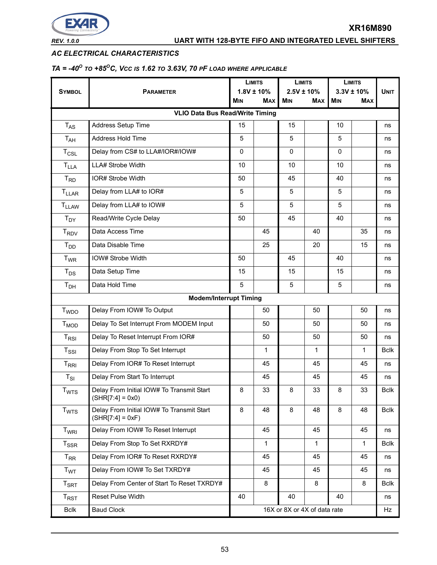

#### *AC ELECTRICAL CHARACTERISTICS*

# *TA = -40O TO +85OC, VCC IS 1.62 TO 3.63V, 70 PF LOAD WHERE APPLICABLE*

|                            |                                                                 |             | <b>LIMITS</b><br>$1.8V \pm 10\%$ |                              | <b>LIMITS</b><br>$2.5V \pm 10\%$ |            | <b>LIMITS</b><br>$3.3V \pm 10\%$ |             |
|----------------------------|-----------------------------------------------------------------|-------------|----------------------------------|------------------------------|----------------------------------|------------|----------------------------------|-------------|
| <b>SYMBOL</b>              | <b>PARAMETER</b>                                                | MIN         | <b>MAX</b>                       | <b>MIN</b>                   | <b>MAX</b>                       | <b>MIN</b> | <b>MAX</b>                       | <b>UNIT</b> |
|                            | <b>VLIO Data Bus Read/Write Timing</b>                          |             |                                  |                              |                                  |            |                                  |             |
| $T_{AS}$                   | Address Setup Time                                              | 15          |                                  | 15                           |                                  | 10         |                                  | ns          |
| T <sub>AH</sub>            | Address Hold Time                                               | 5           |                                  | 5                            |                                  | 5          |                                  | ns          |
| $T_{CSL}$                  | Delay from CS# to LLA#/IOR#/IOW#                                | $\mathbf 0$ |                                  | $\mathbf 0$                  |                                  | 0          |                                  | ns          |
| $T_{LLA}$                  | LLA# Strobe Width                                               | 10          |                                  | 10                           |                                  | 10         |                                  | ns          |
| $T_{RD}$                   | IOR# Strobe Width                                               | 50          |                                  | 45                           |                                  | 40         |                                  | ns          |
| <b>TLLAR</b>               | Delay from LLA# to IOR#                                         | 5           |                                  | 5                            |                                  | 5          |                                  | ns          |
| <b>TLLAW</b>               | Delay from LLA# to IOW#                                         | 5           |                                  | 5                            |                                  | 5          |                                  | ns          |
| $T_{DY}$                   | Read/Write Cycle Delay                                          | 50          |                                  | 45                           |                                  | 40         |                                  | ns          |
| T <sub>RDV</sub>           | Data Access Time                                                |             | 45                               |                              | 40                               |            | 35                               | ns          |
| $T_{DD}$                   | Data Disable Time                                               |             | 25                               |                              | 20                               |            | 15                               | ns          |
| $T_{WR}$                   | IOW# Strobe Width                                               | 50          |                                  | 45                           |                                  | 40         |                                  | ns          |
| $T_{DS}$                   | Data Setup Time                                                 | 15          |                                  | 15                           |                                  | 15         |                                  | ns          |
| T <sub>DH</sub>            | Data Hold Time                                                  | 5           |                                  | 5                            |                                  | 5          |                                  | ns          |
|                            | <b>Modem/Interrupt Timing</b>                                   |             |                                  |                              |                                  |            |                                  |             |
| <b>T</b> <sub>WDO</sub>    | Delay From IOW# To Output                                       |             | 50                               |                              | 50                               |            | 50                               | ns          |
| $T_{MOD}$                  | Delay To Set Interrupt From MODEM Input                         |             | 50                               |                              | 50                               |            | 50                               | ns          |
| $T_{RSI}$                  | Delay To Reset Interrupt From IOR#                              |             | 50                               |                              | 50                               |            | 50                               | ns          |
| $T_{\rm SSI}$              | Delay From Stop To Set Interrupt                                |             | 1                                |                              | $\mathbf{1}$                     |            | $\mathbf{1}$                     | <b>Bclk</b> |
| $T_{\rm RRI}$              | Delay From IOR# To Reset Interrupt                              |             | 45                               |                              | 45                               |            | 45                               | ns          |
| $T_{SI}$                   | Delay From Start To Interrupt                                   |             | 45                               |                              | 45                               |            | 45                               | ns          |
| <b>T</b> <sub>WTS</sub>    | Delay From Initial IOW# To Transmit Start<br>$(SHK 7:4  = 0x0)$ | 8           | 33                               | 8                            | 33                               | 8          | 33                               | <b>Bclk</b> |
| T <sub>WTS</sub>           | Delay From Initial IOW# To Transmit Start<br>$(SHR[7:4] = 0xF)$ | 8           | 48                               | 8                            | 48                               | 8          | 48                               | <b>Bclk</b> |
| T <sub>WRI</sub>           | Delay From IOW# To Reset Interrupt                              |             | 45                               |                              | 45                               |            | 45                               | ns          |
| $T_{SSR}$                  | Delay From Stop To Set RXRDY#                                   |             | 1                                |                              | $\mathbf{1}$                     |            | $\mathbf{1}$                     | <b>Bclk</b> |
| $T_{RR}$                   | Delay From IOR# To Reset RXRDY#                                 |             | 45                               |                              | 45                               |            | 45                               | ns          |
| T <sub>WT</sub>            | Delay From IOW# To Set TXRDY#                                   |             | 45                               |                              | 45                               |            | 45                               | ns          |
| $T_{\footnotesize\rm SRT}$ | Delay From Center of Start To Reset TXRDY#                      |             | 8                                |                              | 8                                |            | 8                                | <b>Bclk</b> |
| $T_{RST}$                  | Reset Pulse Width                                               | 40          |                                  | 40                           |                                  | 40         |                                  | ns          |
| <b>Bclk</b>                | <b>Baud Clock</b>                                               |             |                                  | 16X or 8X or 4X of data rate |                                  |            |                                  | Hz          |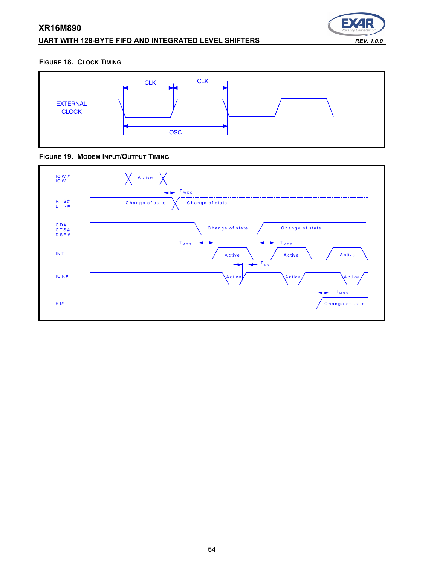# **XR16M890 UART WITH 128-BYTE FIFO AND INTEGRATED LEVEL SHIFTERS** *REV. 1.0.0*



#### **FIGURE 18. CLOCK TIMING**



#### **FIGURE 19. MODEM INPUT/OUTPUT TIMING**

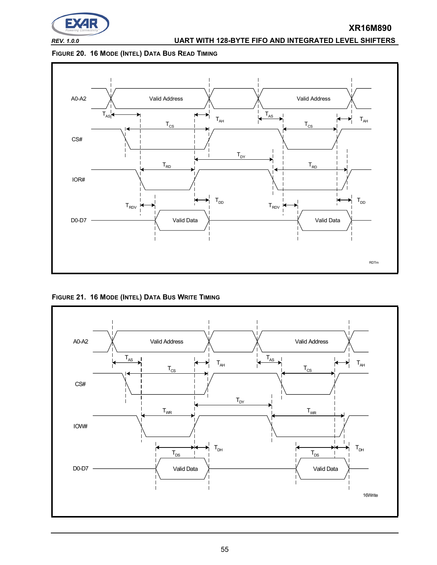

# *REV. 1.0.0* **UART WITH 128-BYTE FIFO AND INTEGRATED LEVEL SHIFTERS**

**XR16M890**

#### **FIGURE 20. 16 MODE (INTEL) DATA BUS READ TIMING**



**FIGURE 21. 16 MODE (INTEL) DATA BUS WRITE TIMING**

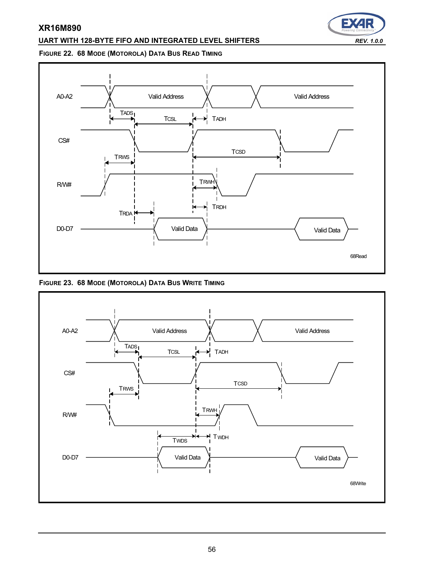#### **UART WITH 128-BYTE FIFO AND INTEGRATED LEVEL SHIFTERS** *REV. 1.0.0*

# E)

#### **FIGURE 22. 68 MODE (MOTOROLA) DATA BUS READ TIMING**



**FIGURE 23. 68 MODE (MOTOROLA) DATA BUS WRITE TIMING**

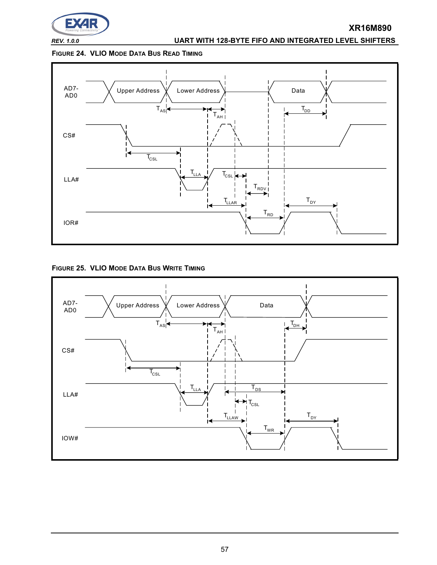

# *REV. 1.0.0* **UART WITH 128-BYTE FIFO AND INTEGRATED LEVEL SHIFTERS**

**XR16M890**

#### **FIGURE 24. VLIO MODE DATA BUS READ TIMING**



**FIGURE 25. VLIO MODE DATA BUS WRITE TIMING**

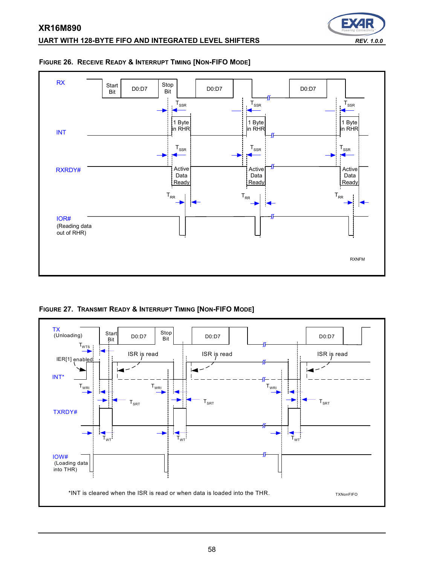

# <span id="page-57-0"></span>**FIGURE 26. RECEIVE READY & INTERRUPT TIMING [NON-FIFO MODE]**



**FIGURE 27. TRANSMIT READY & INTERRUPT TIMING [NON-FIFO MODE]**

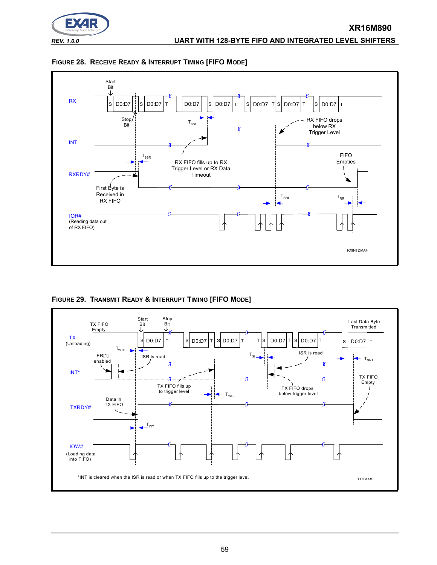





<span id="page-58-0"></span>**FIGURE 29. TRANSMIT READY & INTERRUPT TIMING [FIFO MODE]**

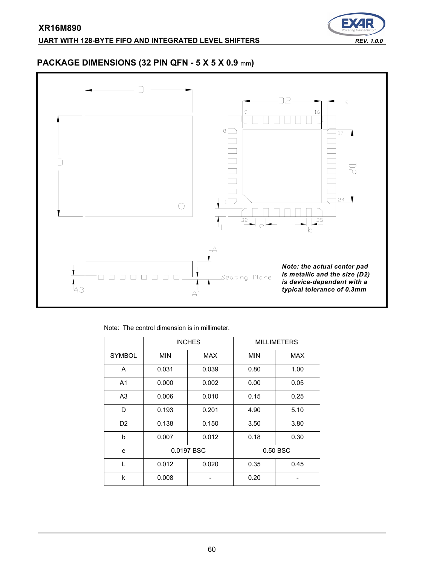

# **PACKAGE DIMENSIONS (32 PIN QFN - 5 X 5 X 0.9** mm**)**



Note: The control dimension is in millimeter.

|                |            | <b>INCHES</b> |      | <b>MILLIMETERS</b> |
|----------------|------------|---------------|------|--------------------|
| <b>SYMBOL</b>  | <b>MIN</b> | <b>MAX</b>    | MIN  | <b>MAX</b>         |
| A              | 0.031      | 0.039         | 0.80 | 1.00               |
| A <sub>1</sub> | 0.000      | 0.002         | 0.00 | 0.05               |
| A <sub>3</sub> | 0.006      | 0.010         | 0.15 | 0.25               |
| D              | 0.193      | 0.201         | 4.90 | 5.10               |
| D <sub>2</sub> | 0.138      | 0.150         | 3.50 | 3.80               |
| b              | 0.007      | 0.012         | 0.18 | 0.30               |
| e              |            | 0.0197 BSC    |      | 0.50 BSC           |
| L              | 0.012      | 0.020         | 0.35 | 0.45               |
| k              | 0.008      |               | 0.20 |                    |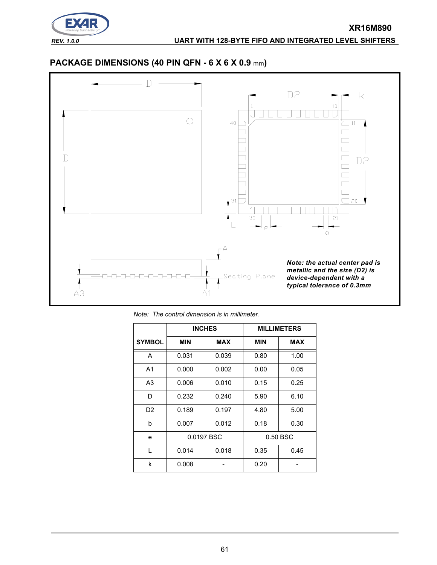

# **PACKAGE DIMENSIONS (40 PIN QFN - 6 X 6 X 0.9** mm**)**



*Note: The control dimension is in millimeter.*

|                |            | <b>INCHES</b> |            | <b>MILLIMETERS</b> |
|----------------|------------|---------------|------------|--------------------|
| <b>SYMBOL</b>  | <b>MIN</b> | <b>MAX</b>    | <b>MIN</b> | <b>MAX</b>         |
| A              | 0.031      | 0.039         | 0.80       | 1.00               |
| A <sub>1</sub> | 0.000      | 0.002         | 0.00       | 0.05               |
| A <sub>3</sub> | 0.006      | 0.010         | 0.15       | 0.25               |
| D              | 0.232      | 0.240         | 5.90       | 6.10               |
| D <sub>2</sub> | 0.189      | 0.197         | 4.80       | 5.00               |
| h              | 0.007      | 0.012         | 0.18       | 0.30               |
| e              |            | 0.0197 BSC    |            | 0.50 BSC           |
| L              | 0.014      | 0.018         | 0.35       | 0.45               |
| k              | 0.008      |               | 0.20       |                    |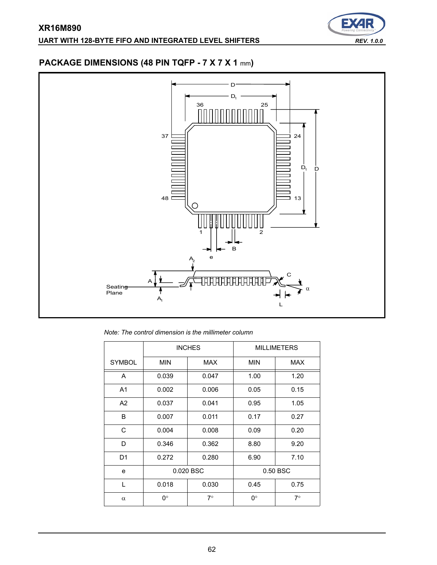

# **PACKAGE DIMENSIONS (48 PIN TQFP - 7 X 7 X 1** mm**)**



*Note: The control dimension is the millimeter column*

|                | <b>INCHES</b> |            | <b>MILLIMETERS</b> |            |
|----------------|---------------|------------|--------------------|------------|
| <b>SYMBOL</b>  | <b>MIN</b>    | <b>MAX</b> | <b>MIN</b>         | <b>MAX</b> |
| A              | 0.039         | 0.047      | 1.00               | 1.20       |
| A <sub>1</sub> | 0.002         | 0.006      | 0.05               | 0.15       |
| A2             | 0.037         | 0.041      | 0.95               | 1.05       |
| B              | 0.007         | 0.011      | 0.17               | 0.27       |
| C              | 0.004         | 0.008      | 0.09               | 0.20       |
| D              | 0.346         | 0.362      | 8.80               | 9.20       |
| D <sub>1</sub> | 0.272         | 0.280      | 6.90               | 7.10       |
| e              | 0.020 BSC     |            | 0.50 BSC           |            |
| L              | 0.018         | 0.030      | 0.45               | 0.75       |
| $\alpha$       | 0°            | $7^\circ$  | 0°                 | $7^\circ$  |